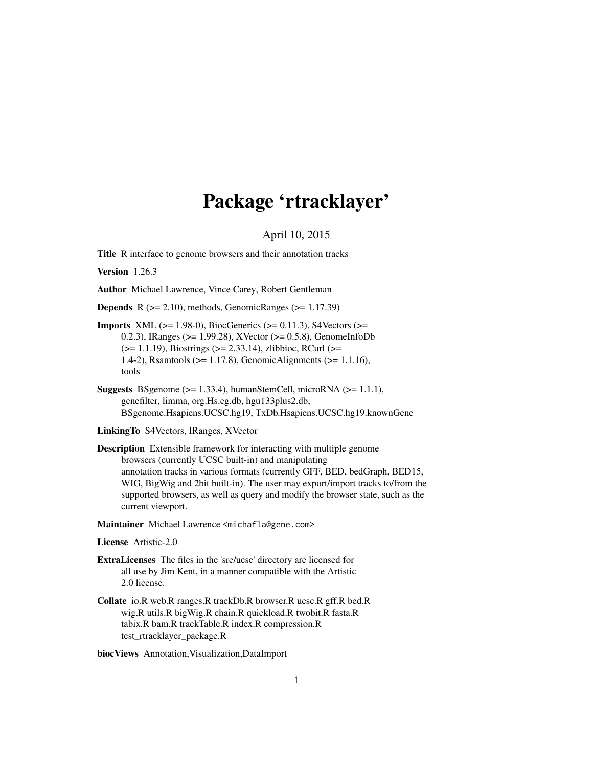# Package 'rtracklayer'

# April 10, 2015

<span id="page-0-0"></span>Title R interface to genome browsers and their annotation tracks

Version 1.26.3

Author Michael Lawrence, Vince Carey, Robert Gentleman

**Depends** R  $(>= 2.10)$ , methods, GenomicRanges  $(>= 1.17.39)$ 

**Imports** XML ( $>= 1.98-0$ ), BiocGenerics ( $>= 0.11.3$ ), S4Vectors ( $>=$ 0.2.3), IRanges (>= 1.99.28), XVector (>= 0.5.8), GenomeInfoDb (>= 1.1.19), Biostrings (>= 2.33.14), zlibbioc, RCurl (>= 1.4-2), Rsamtools (>= 1.17.8), GenomicAlignments (>= 1.1.16), tools

**Suggests** BSgenome ( $> = 1.33.4$ ), humanStemCell, microRNA ( $> = 1.1.1$ ), genefilter, limma, org.Hs.eg.db, hgu133plus2.db, BSgenome.Hsapiens.UCSC.hg19, TxDb.Hsapiens.UCSC.hg19.knownGene

LinkingTo S4Vectors, IRanges, XVector

Description Extensible framework for interacting with multiple genome browsers (currently UCSC built-in) and manipulating annotation tracks in various formats (currently GFF, BED, bedGraph, BED15, WIG, BigWig and 2bit built-in). The user may export/import tracks to/from the supported browsers, as well as query and modify the browser state, such as the current viewport.

Maintainer Michael Lawrence <michafla@gene.com>

License Artistic-2.0

- ExtraLicenses The files in the 'src/ucsc' directory are licensed for all use by Jim Kent, in a manner compatible with the Artistic 2.0 license.
- Collate io.R web.R ranges.R trackDb.R browser.R ucsc.R gff.R bed.R wig.R utils.R bigWig.R chain.R quickload.R twobit.R fasta.R tabix.R bam.R trackTable.R index.R compression.R test\_rtracklayer\_package.R

biocViews Annotation,Visualization,DataImport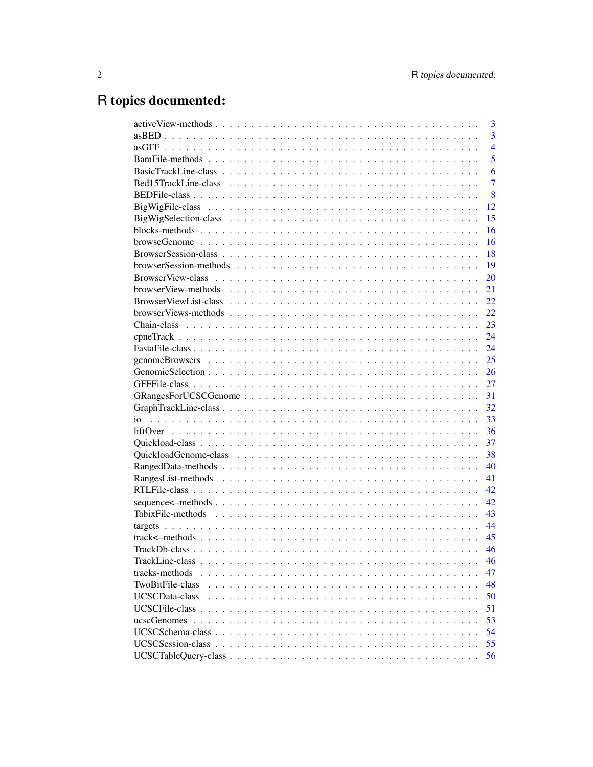# R topics documented:

| 3                      |
|------------------------|
| 3                      |
| $\overline{4}$         |
| 5                      |
| 6                      |
| 7                      |
| 8                      |
| 12                     |
| 15                     |
| 16                     |
| 16                     |
| 18                     |
| 19                     |
| 20                     |
| 21                     |
| 22                     |
| 22                     |
| 23                     |
| 24                     |
| 24                     |
| 25                     |
| 26                     |
| 27                     |
| 31                     |
| 32                     |
| 33<br>$i\Omega$        |
| 36                     |
| 37                     |
| 38                     |
| 40                     |
| 41                     |
| 42                     |
| 42                     |
| 43                     |
| 44                     |
| 45                     |
| 46                     |
| 46                     |
| tracks-methods<br>47   |
| 48<br>TwoBitFile-class |
| 50<br>UCSCData-class   |
| 51                     |
| 53                     |
| 54                     |
| 55                     |
| 56                     |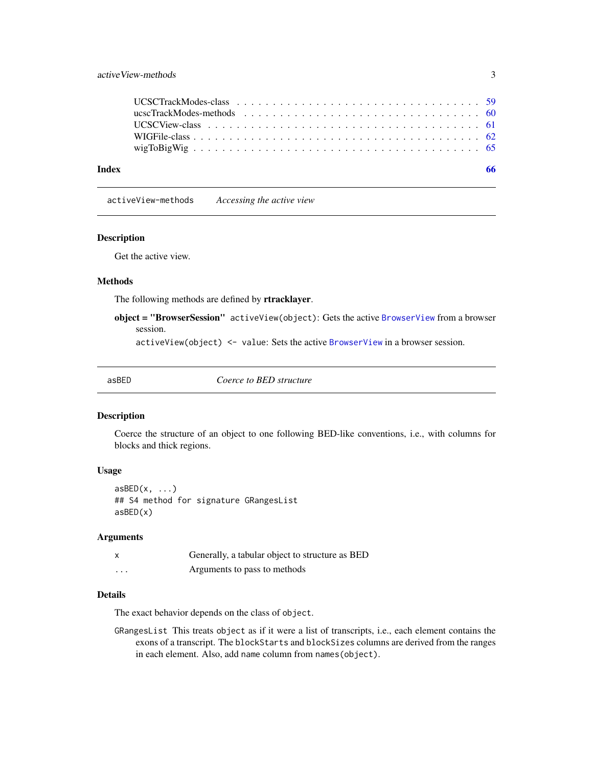<span id="page-2-0"></span>

| Index |  |
|-------|--|
|       |  |
|       |  |
|       |  |
|       |  |
|       |  |

activeView-methods *Accessing the active view*

#### <span id="page-2-2"></span>Description

Get the active view.

# Methods

The following methods are defined by rtracklayer.

object = "BrowserSession" activeView(object): Gets the active [BrowserView](#page-19-1) from a browser session.

activeView(object) <- value: Sets the active [BrowserView](#page-19-1) in a browser session.

<span id="page-2-1"></span>

asBED *Coerce to BED structure*

# Description

Coerce the structure of an object to one following BED-like conventions, i.e., with columns for blocks and thick regions.

### Usage

```
asBED(x, \ldots)## S4 method for signature GRangesList
asBED(x)
```
# Arguments

|          | Generally, a tabular object to structure as BED |
|----------|-------------------------------------------------|
| $\cdots$ | Arguments to pass to methods                    |

# Details

The exact behavior depends on the class of object.

GRangesList This treats object as if it were a list of transcripts, i.e., each element contains the exons of a transcript. The blockStarts and blockSizes columns are derived from the ranges in each element. Also, add name column from names(object).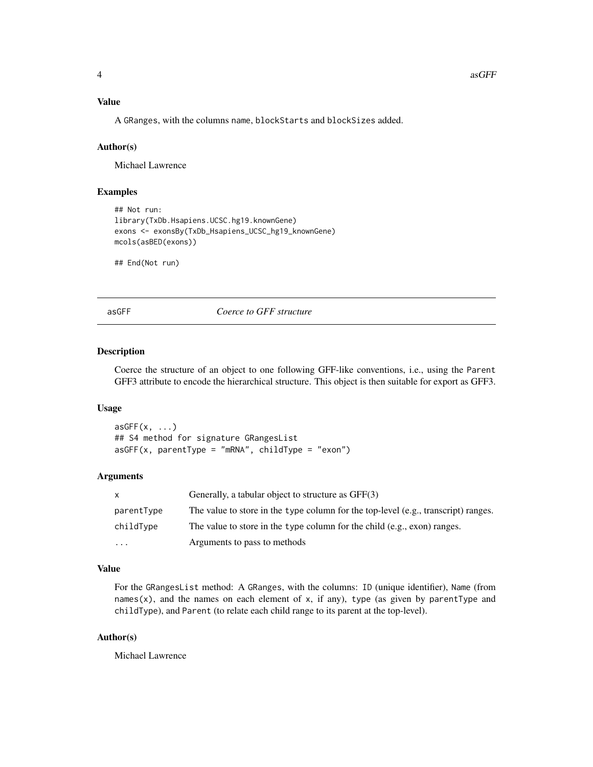# <span id="page-3-0"></span>Value

A GRanges, with the columns name, blockStarts and blockSizes added.

#### Author(s)

Michael Lawrence

# Examples

```
## Not run:
library(TxDb.Hsapiens.UCSC.hg19.knownGene)
exons <- exonsBy(TxDb_Hsapiens_UCSC_hg19_knownGene)
mcols(asBED(exons))
```
## End(Not run)

asGFF *Coerce to GFF structure*

# Description

Coerce the structure of an object to one following GFF-like conventions, i.e., using the Parent GFF3 attribute to encode the hierarchical structure. This object is then suitable for export as GFF3.

#### Usage

```
asGFF(x, \ldots)## S4 method for signature GRangesList
asGFF(x, parentType = "mRNA", childType = "exon")
```
#### Arguments

| $\mathsf{X}$      | Generally, a tabular object to structure as GFF(3)                                 |
|-------------------|------------------------------------------------------------------------------------|
| parentType        | The value to store in the type column for the top-level (e.g., transcript) ranges. |
| childType         | The value to store in the type column for the child (e.g., exon) ranges.           |
| $\cdot\cdot\cdot$ | Arguments to pass to methods                                                       |

# Value

For the GRangesList method: A GRanges, with the columns: ID (unique identifier), Name (from names $(x)$ , and the names on each element of x, if any), type (as given by parentType and childType), and Parent (to relate each child range to its parent at the top-level).

# Author(s)

Michael Lawrence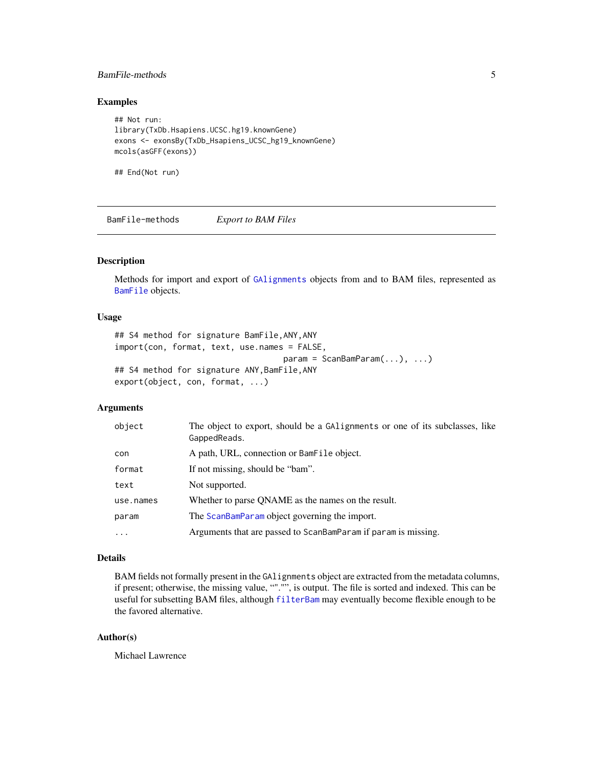# <span id="page-4-0"></span>BamFile-methods 5

# Examples

```
## Not run:
library(TxDb.Hsapiens.UCSC.hg19.knownGene)
exons <- exonsBy(TxDb_Hsapiens_UCSC_hg19_knownGene)
mcols(asGFF(exons))
```
## End(Not run)

BamFile-methods *Export to BAM Files*

# Description

Methods for import and export of [GAlignments](#page-0-0) objects from and to BAM files, represented as [BamFile](#page-0-0) objects.

#### Usage

```
## S4 method for signature BamFile,ANY,ANY
import(con, format, text, use.names = FALSE,
                                   param = ScanBamParam(...), ...## S4 method for signature ANY,BamFile,ANY
export(object, con, format, ...)
```
# Arguments

| object    | The object to export, should be a GA1ignments or one of its subclasses, like<br>GappedReads. |
|-----------|----------------------------------------------------------------------------------------------|
| con       | A path, URL, connection or BamFile object.                                                   |
| format    | If not missing, should be "bam".                                                             |
| text      | Not supported.                                                                               |
| use.names | Whether to parse QNAME as the names on the result.                                           |
| param     | The ScanBamParam object governing the import.                                                |
| $\ddotsc$ | Arguments that are passed to ScanBamParam if param is missing.                               |

# Details

BAM fields not formally present in the GAlignments object are extracted from the metadata columns, if present; otherwise, the missing value, ""."", is output. The file is sorted and indexed. This can be useful for subsetting BAM files, although [filterBam](#page-0-0) may eventually become flexible enough to be the favored alternative.

# Author(s)

Michael Lawrence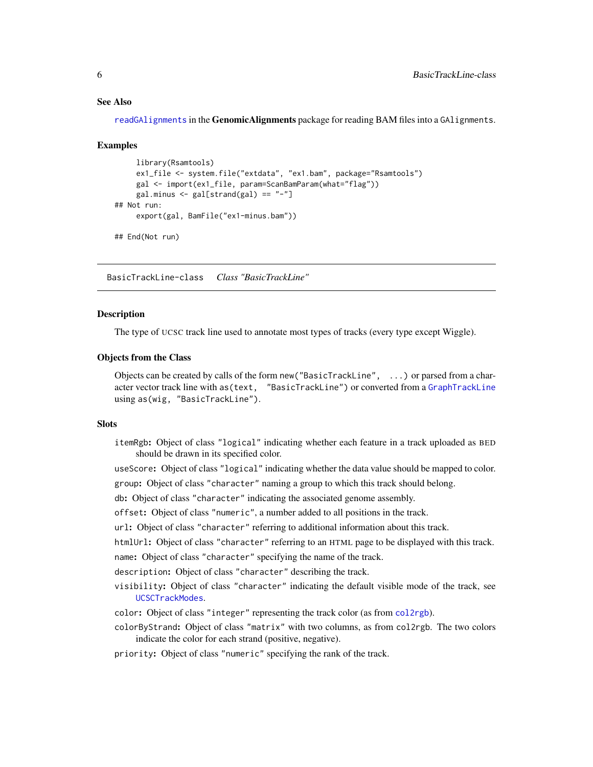#### <span id="page-5-0"></span>See Also

[readGAlignments](#page-0-0) in the GenomicAlignments package for reading BAM files into a GAlignments.

#### Examples

```
library(Rsamtools)
     ex1_file <- system.file("extdata", "ex1.bam", package="Rsamtools")
     gal <- import(ex1_file, param=ScanBamParam(what="flag"))
     gal.minus \leftarrow gal[strand(gal) == "-"]## Not run:
    export(gal, BamFile("ex1-minus.bam"))
## End(Not run)
```
<span id="page-5-1"></span>BasicTrackLine-class *Class "BasicTrackLine"*

#### Description

The type of UCSC track line used to annotate most types of tracks (every type except Wiggle).

# Objects from the Class

Objects can be created by calls of the form new("BasicTrackLine", ...) or parsed from a character vector track line with as(text, "BasicTrackLine") or converted from a [GraphTrackLine](#page-31-1) using as(wig, "BasicTrackLine").

#### **Slots**

itemRgb: Object of class "logical" indicating whether each feature in a track uploaded as BED should be drawn in its specified color.

useScore: Object of class "logical" indicating whether the data value should be mapped to color.

group: Object of class "character" naming a group to which this track should belong.

db: Object of class "character" indicating the associated genome assembly.

offset: Object of class "numeric", a number added to all positions in the track.

url: Object of class "character" referring to additional information about this track.

htmlUrl: Object of class "character" referring to an HTML page to be displayed with this track.

name: Object of class "character" specifying the name of the track.

description: Object of class "character" describing the track.

visibility: Object of class "character" indicating the default visible mode of the track, see [UCSCTrackModes](#page-58-1).

color: Object of class "integer" representing the track color (as from [col2rgb](#page-0-0)).

colorByStrand: Object of class "matrix" with two columns, as from col2rgb. The two colors indicate the color for each strand (positive, negative).

priority: Object of class "numeric" specifying the rank of the track.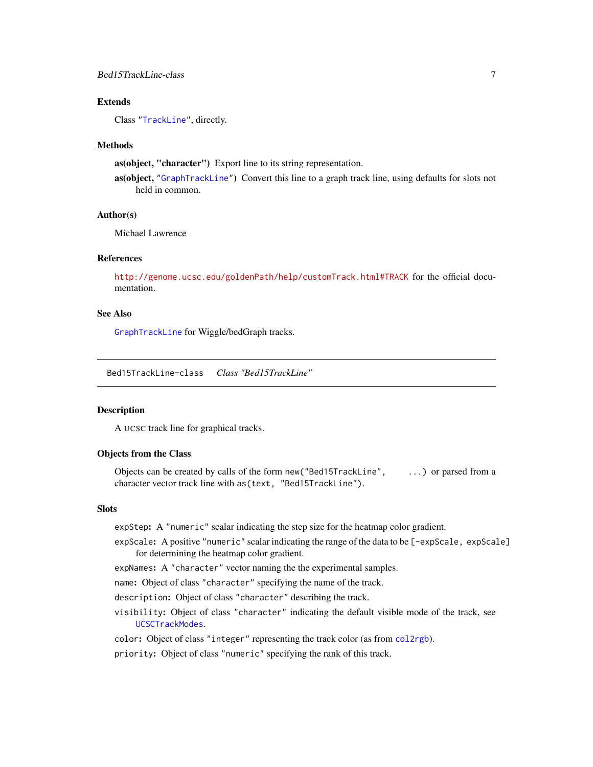# <span id="page-6-0"></span>Extends

Class ["TrackLine"](#page-45-1), directly.

#### Methods

as(object, "character") Export line to its string representation.

as(object, ["GraphTrackLine"](#page-31-1)) Convert this line to a graph track line, using defaults for slots not held in common.

#### Author(s)

Michael Lawrence

#### References

<http://genome.ucsc.edu/goldenPath/help/customTrack.html#TRACK> for the official documentation.

# See Also

[GraphTrackLine](#page-31-1) for Wiggle/bedGraph tracks.

Bed15TrackLine-class *Class "Bed15TrackLine"*

# Description

A UCSC track line for graphical tracks.

#### Objects from the Class

Objects can be created by calls of the form new("Bed15TrackLine", ...) or parsed from a character vector track line with as(text, "Bed15TrackLine").

#### Slots

expStep: A "numeric" scalar indicating the step size for the heatmap color gradient.

- expScale: A positive "numeric" scalar indicating the range of the data to be [-expScale, expScale] for determining the heatmap color gradient.
- expNames: A "character" vector naming the the experimental samples.

name: Object of class "character" specifying the name of the track.

description: Object of class "character" describing the track.

visibility: Object of class "character" indicating the default visible mode of the track, see [UCSCTrackModes](#page-58-1).

color: Object of class "integer" representing the track color (as from [col2rgb](#page-0-0)).

priority: Object of class "numeric" specifying the rank of this track.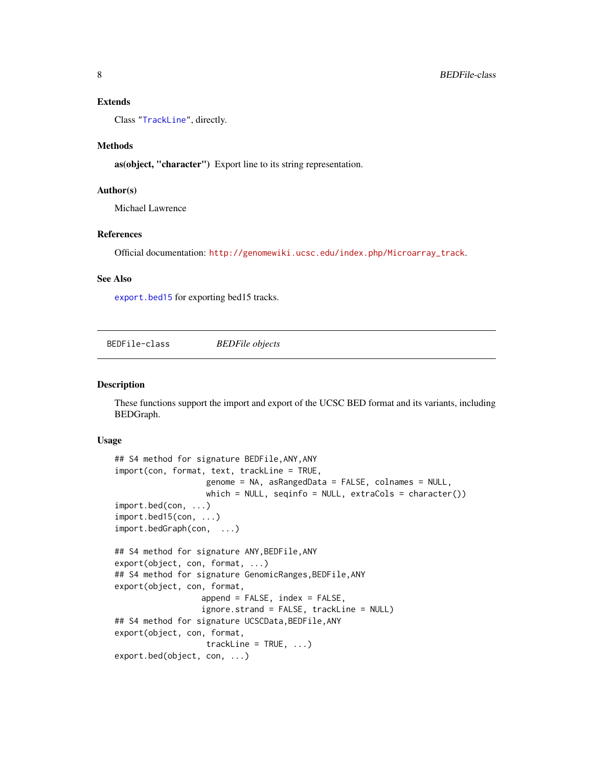# <span id="page-7-0"></span>Extends

Class ["TrackLine"](#page-45-1), directly.

#### Methods

as(object, "character") Export line to its string representation.

# Author(s)

Michael Lawrence

# References

Official documentation: [http://genomewiki.ucsc.edu/index.php/Microarray\\_track](http://genomewiki.ucsc.edu/index.php/Microarray_track).

### See Also

[export.bed15](#page-7-1) for exporting bed15 tracks.

BEDFile-class *BEDFile objects*

# <span id="page-7-1"></span>Description

These functions support the import and export of the UCSC BED format and its variants, including BEDGraph.

#### Usage

```
## S4 method for signature BEDFile,ANY,ANY
import(con, format, text, trackLine = TRUE,
                   genome = NA, asRangedData = FALSE, colnames = NULL,
                   which = NULL, seqinfo = NULL, extraCols = character())
import.bed(con, ...)
import.bed15(con, ...)
import.bedGraph(con, ...)
## S4 method for signature ANY,BEDFile,ANY
export(object, con, format, ...)
## S4 method for signature GenomicRanges, BEDFile, ANY
export(object, con, format,
                  append = FALSE, index = FALSE,
                  ignore.strand = FALSE, trackLine = NULL)
## S4 method for signature UCSCData, BEDFile, ANY
export(object, con, format,
                   trackLine = TRUE, ...)
export.bed(object, con, ...)
```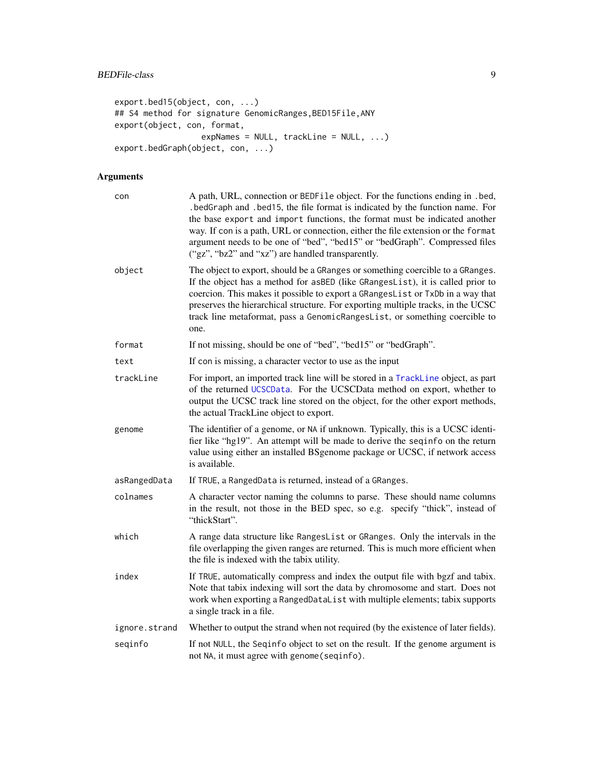```
export.bed15(object, con, ...)
## S4 method for signature GenomicRanges, BED15File, ANY
export(object, con, format,
                  expNames = NULL, trackLine = NULL, ...)export.bedGraph(object, con, ...)
```
# Arguments

| con           | A path, URL, connection or BEDFile object. For the functions ending in .bed,<br>.bedGraph and .bed15, the file format is indicated by the function name. For<br>the base export and import functions, the format must be indicated another<br>way. If con is a path, URL or connection, either the file extension or the format<br>argument needs to be one of "bed", "bed15" or "bedGraph". Compressed files<br>("gz", "bz2" and "xz") are handled transparently. |
|---------------|--------------------------------------------------------------------------------------------------------------------------------------------------------------------------------------------------------------------------------------------------------------------------------------------------------------------------------------------------------------------------------------------------------------------------------------------------------------------|
| object        | The object to export, should be a GRanges or something coercible to a GRanges.<br>If the object has a method for asBED (like GRangesList), it is called prior to<br>coercion. This makes it possible to export a GRangesList or TxDb in a way that<br>preserves the hierarchical structure. For exporting multiple tracks, in the UCSC<br>track line metaformat, pass a GenomicRangesList, or something coercible to<br>one.                                       |
| format        | If not missing, should be one of "bed", "bed15" or "bedGraph".                                                                                                                                                                                                                                                                                                                                                                                                     |
| text          | If con is missing, a character vector to use as the input                                                                                                                                                                                                                                                                                                                                                                                                          |
| trackLine     | For import, an imported track line will be stored in a TrackLine object, as part<br>of the returned UCSCData. For the UCSCData method on export, whether to<br>output the UCSC track line stored on the object, for the other export methods,<br>the actual TrackLine object to export.                                                                                                                                                                            |
| genome        | The identifier of a genome, or NA if unknown. Typically, this is a UCSC identi-<br>fier like "hg19". An attempt will be made to derive the seqinfo on the return<br>value using either an installed BSgenome package or UCSC, if network access<br>is available.                                                                                                                                                                                                   |
| asRangedData  | If TRUE, a RangedData is returned, instead of a GRanges.                                                                                                                                                                                                                                                                                                                                                                                                           |
| colnames      | A character vector naming the columns to parse. These should name columns<br>in the result, not those in the BED spec, so e.g. specify "thick", instead of<br>"thickStart".                                                                                                                                                                                                                                                                                        |
| which         | A range data structure like RangesList or GRanges. Only the intervals in the<br>file overlapping the given ranges are returned. This is much more efficient when<br>the file is indexed with the tabix utility.                                                                                                                                                                                                                                                    |
| index         | If TRUE, automatically compress and index the output file with bgzf and tabix.<br>Note that tabix indexing will sort the data by chromosome and start. Does not<br>work when exporting a RangedDataList with multiple elements; tabix supports<br>a single track in a file.                                                                                                                                                                                        |
| ignore.strand | Whether to output the strand when not required (by the existence of later fields).                                                                                                                                                                                                                                                                                                                                                                                 |
| seginfo       | If not NULL, the Sequation object to set on the result. If the genome argument is<br>not NA, it must agree with genome (seqinfo).                                                                                                                                                                                                                                                                                                                                  |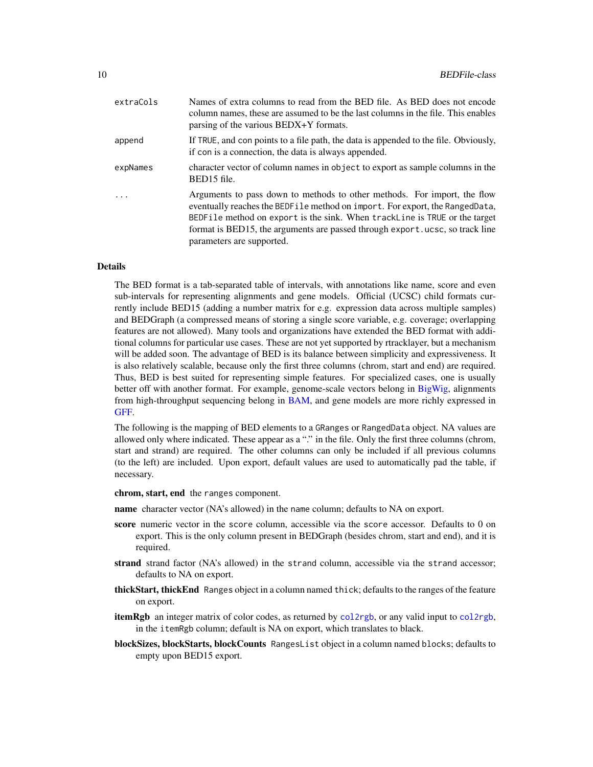| extraCols | Names of extra columns to read from the BED file. As BED does not encode<br>column names, these are assumed to be the last columns in the file. This enables<br>parsing of the various BEDX+Y formats.                                                                                                                                              |
|-----------|-----------------------------------------------------------------------------------------------------------------------------------------------------------------------------------------------------------------------------------------------------------------------------------------------------------------------------------------------------|
| append    | If TRUE, and con points to a file path, the data is appended to the file. Obviously,<br>if con is a connection, the data is always appended.                                                                                                                                                                                                        |
| expNames  | character vector of column names in object to export as sample columns in the<br>BED15 file.                                                                                                                                                                                                                                                        |
| $\ddots$  | Arguments to pass down to methods to other methods. For import, the flow<br>eventually reaches the BEDFile method on import. For export, the RangedData,<br>BEDFile method on export is the sink. When trackLine is TRUE or the target<br>format is BED15, the arguments are passed through export ucse, so track line<br>parameters are supported. |

# Details

The BED format is a tab-separated table of intervals, with annotations like name, score and even sub-intervals for representing alignments and gene models. Official (UCSC) child formats currently include BED15 (adding a number matrix for e.g. expression data across multiple samples) and BEDGraph (a compressed means of storing a single score variable, e.g. coverage; overlapping features are not allowed). Many tools and organizations have extended the BED format with additional columns for particular use cases. These are not yet supported by rtracklayer, but a mechanism will be added soon. The advantage of BED is its balance between simplicity and expressiveness. It is also relatively scalable, because only the first three columns (chrom, start and end) are required. Thus, BED is best suited for representing simple features. For specialized cases, one is usually better off with another format. For example, genome-scale vectors belong in [BigWig,](#page-11-1) alignments from high-throughput sequencing belong in [BAM,](#page-0-0) and gene models are more richly expressed in [GFF.](#page-26-1)

The following is the mapping of BED elements to a GRanges or RangedData object. NA values are allowed only where indicated. These appear as a "." in the file. Only the first three columns (chrom, start and strand) are required. The other columns can only be included if all previous columns (to the left) are included. Upon export, default values are used to automatically pad the table, if necessary.

chrom, start, end the ranges component.

name character vector (NA's allowed) in the name column; defaults to NA on export.

- score numeric vector in the score column, accessible via the score accessor. Defaults to 0 on export. This is the only column present in BEDGraph (besides chrom, start and end), and it is required.
- strand strand factor (NA's allowed) in the strand column, accessible via the strand accessor; defaults to NA on export.
- thickStart, thickEnd Ranges object in a column named thick; defaults to the ranges of the feature on export.
- itemRgb an integer matrix of color codes, as returned by [col2rgb](#page-0-0), or any valid input to col2rgb, in the itemRgb column; default is NA on export, which translates to black.
- blockSizes, blockStarts, blockCounts RangesList object in a column named blocks; defaults to empty upon BED15 export.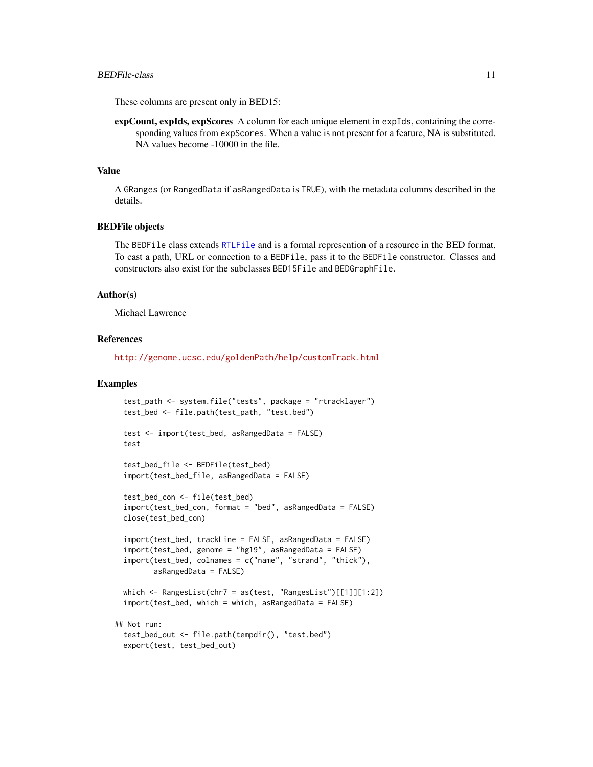These columns are present only in BED15:

expCount, expIds, expScores A column for each unique element in expIds, containing the corresponding values from expScores. When a value is not present for a feature, NA is substituted. NA values become -10000 in the file.

#### Value

A GRanges (or RangedData if asRangedData is TRUE), with the metadata columns described in the details.

#### BEDFile objects

The BEDFile class extends [RTLFile](#page-41-1) and is a formal represention of a resource in the BED format. To cast a path, URL or connection to a BEDFile, pass it to the BEDFile constructor. Classes and constructors also exist for the subclasses BED15File and BEDGraphFile.

#### Author(s)

Michael Lawrence

#### References

<http://genome.ucsc.edu/goldenPath/help/customTrack.html>

#### Examples

```
test_path <- system.file("tests", package = "rtracklayer")
 test_bed <- file.path(test_path, "test.bed")
 test <- import(test_bed, asRangedData = FALSE)
 test
 test_bed_file <- BEDFile(test_bed)
 import(test_bed_file, asRangedData = FALSE)
 test_bed_con <- file(test_bed)
 import(test_bed_con, format = "bed", asRangedData = FALSE)
 close(test_bed_con)
 import(test_bed, trackLine = FALSE, asRangedData = FALSE)
 import(test_bed, genome = "hg19", asRangedData = FALSE)
 import(test_bed, colnames = c("name", "strand", "thick"),
        asRangedData = FALSE)
 which <- RangesList(chr7 = as(test, "RangesList")[[1]][1:2])
 import(test_bed, which = which, asRangedData = FALSE)
## Not run:
 test_bed_out <- file.path(tempdir(), "test.bed")
 export(test, test_bed_out)
```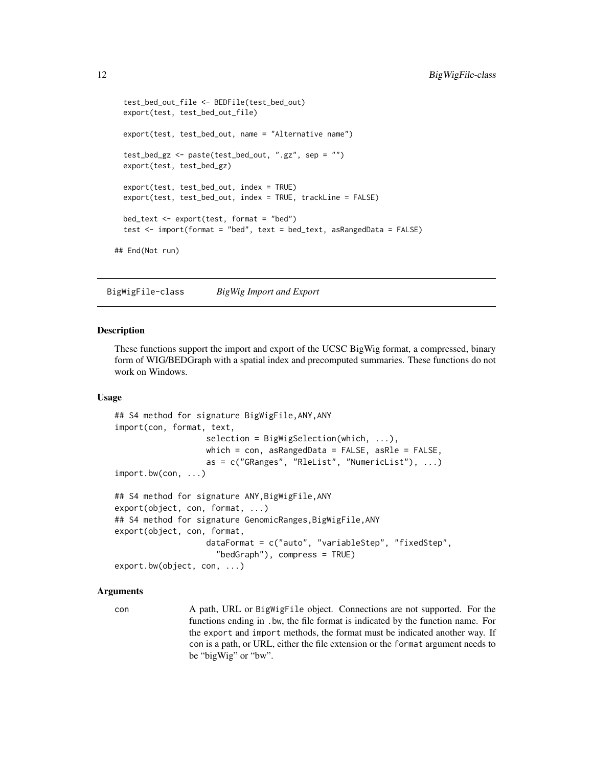```
test_bed_out_file <- BEDFile(test_bed_out)
 export(test, test_bed_out_file)
 export(test, test_bed_out, name = "Alternative name")
 test_bed_gz <- paste(test_bed_out, ".gz", sep = "")
 export(test, test_bed_gz)
 export(test, test_bed_out, index = TRUE)
 export(test, test_bed_out, index = TRUE, trackLine = FALSE)
 bed_text <- export(test, format = "bed")
 test <- import(format = "bed", text = bed_text, asRangedData = FALSE)
## End(Not run)
```
<span id="page-11-2"></span>BigWigFile-class *BigWig Import and Export*

#### <span id="page-11-1"></span>Description

These functions support the import and export of the UCSC BigWig format, a compressed, binary form of WIG/BEDGraph with a spatial index and precomputed summaries. These functions do not work on Windows.

# Usage

```
## S4 method for signature BigWigFile,ANY,ANY
import(con, format, text,
                   selection = BigWigSelection(which, ...),
                   which = con, asRangedData = FALSE, asRle = FALSE,
                   as = c("GRanges", "RleList", "NumericList"), ...)
import.bw(con, ...)
## S4 method for signature ANY,BigWigFile,ANY
export(object, con, format, ...)
## S4 method for signature GenomicRanges,BigWigFile,ANY
export(object, con, format,
                   dataFormat = c("auto", "variableStep", "fixedStep",
                     "bedGraph"), compress = TRUE)
export.bw(object, con, ...)
```
# Arguments

con A path, URL or BigWigFile object. Connections are not supported. For the functions ending in .bw, the file format is indicated by the function name. For the export and import methods, the format must be indicated another way. If con is a path, or URL, either the file extension or the format argument needs to be "bigWig" or "bw".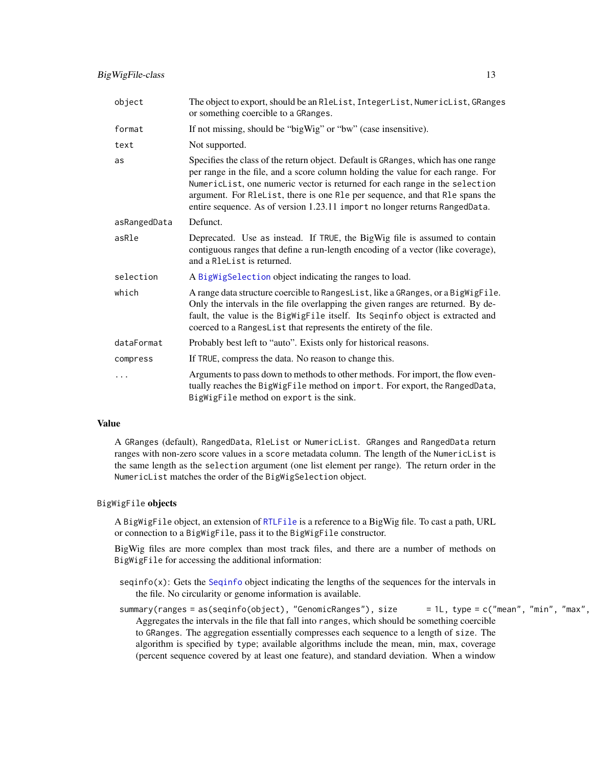| object       | The object to export, should be an RleList, IntegerList, NumericList, GRanges<br>or something coercible to a GRanges.                                                                                                                                                                                                                                                                                              |
|--------------|--------------------------------------------------------------------------------------------------------------------------------------------------------------------------------------------------------------------------------------------------------------------------------------------------------------------------------------------------------------------------------------------------------------------|
| format       | If not missing, should be "bigWig" or "bw" (case insensitive).                                                                                                                                                                                                                                                                                                                                                     |
| text         | Not supported.                                                                                                                                                                                                                                                                                                                                                                                                     |
| as           | Specifies the class of the return object. Default is GRanges, which has one range<br>per range in the file, and a score column holding the value for each range. For<br>NumericList, one numeric vector is returned for each range in the selection<br>argument. For R1eList, there is one R1e per sequence, and that R1e spans the<br>entire sequence. As of version 1.23.11 import no longer returns RangedData. |
| asRangedData | Defunct.                                                                                                                                                                                                                                                                                                                                                                                                           |
| asRle        | Deprecated. Use as instead. If TRUE, the BigWig file is assumed to contain<br>contiguous ranges that define a run-length encoding of a vector (like coverage),<br>and a R1eList is returned.                                                                                                                                                                                                                       |
| selection    | A BigWigSelection object indicating the ranges to load.                                                                                                                                                                                                                                                                                                                                                            |
| which        | A range data structure coercible to RangesList, like a GRanges, or a BigWigFile.<br>Only the intervals in the file overlapping the given ranges are returned. By de-<br>fault, the value is the BigWigFile itself. Its Seqinfo object is extracted and<br>coerced to a RangesList that represents the entirety of the file.                                                                                        |
| dataFormat   | Probably best left to "auto". Exists only for historical reasons.                                                                                                                                                                                                                                                                                                                                                  |
| compress     | If TRUE, compress the data. No reason to change this.                                                                                                                                                                                                                                                                                                                                                              |
| $\cdots$     | Arguments to pass down to methods to other methods. For import, the flow even-<br>tually reaches the BigWigFile method on import. For export, the RangedData,<br>BigWigFile method on export is the sink.                                                                                                                                                                                                          |

#### Value

A GRanges (default), RangedData, RleList or NumericList. GRanges and RangedData return ranges with non-zero score values in a score metadata column. The length of the NumericList is the same length as the selection argument (one list element per range). The return order in the NumericList matches the order of the BigWigSelection object.

#### BigWigFile objects

A BigWigFile object, an extension of [RTLFile](#page-41-1) is a reference to a BigWig file. To cast a path, URL or connection to a BigWigFile, pass it to the BigWigFile constructor.

BigWig files are more complex than most track files, and there are a number of methods on BigWigFile for accessing the additional information:

- seqinfo(x): Gets the [Seqinfo](#page-0-0) object indicating the lengths of the sequences for the intervals in the file. No circularity or genome information is available.
- summary(ranges = as(seqinfo(object), "GenomicRanges"), size = 1L, type = c("mean", "min", "max", Aggregates the intervals in the file that fall into ranges, which should be something coercible to GRanges. The aggregation essentially compresses each sequence to a length of size. The algorithm is specified by type; available algorithms include the mean, min, max, coverage (percent sequence covered by at least one feature), and standard deviation. When a window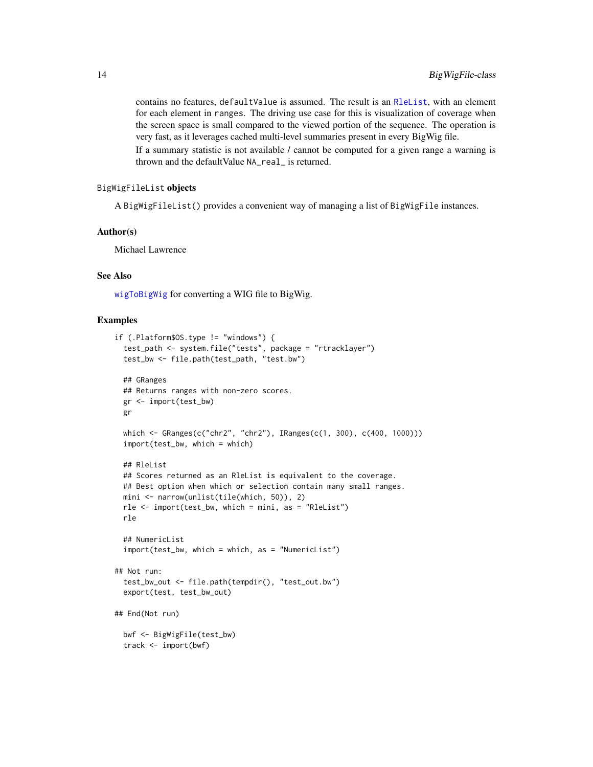contains no features, defaultValue is assumed. The result is an [RleList](#page-0-0), with an element for each element in ranges. The driving use case for this is visualization of coverage when the screen space is small compared to the viewed portion of the sequence. The operation is very fast, as it leverages cached multi-level summaries present in every BigWig file.

If a summary statistic is not available / cannot be computed for a given range a warning is thrown and the defaultValue NA\_real\_ is returned.

#### BigWigFileList objects

A BigWigFileList() provides a convenient way of managing a list of BigWigFile instances.

#### Author(s)

Michael Lawrence

# See Also

[wigToBigWig](#page-64-1) for converting a WIG file to BigWig.

#### Examples

```
if (.Platform$OS.type != "windows") {
 test_path <- system.file("tests", package = "rtracklayer")
 test_bw <- file.path(test_path, "test.bw")
 ## GRanges
 ## Returns ranges with non-zero scores.
 gr <- import(test_bw)
 gr
 which <- GRanges(c("chr2", "chr2"), IRanges(c(1, 300), c(400, 1000)))
 import(test_bw, which = which)
 ## RleList
 ## Scores returned as an RleList is equivalent to the coverage.
 ## Best option when which or selection contain many small ranges.
 mini <- narrow(unlist(tile(which, 50)), 2)
 rle < -import(test_bw, which = mini, as = "Relist")rle
 ## NumericList
 import(test_bw, which = which, as = "NumericList")
## Not run:
 test_bw_out <- file.path(tempdir(), "test_out.bw")
 export(test, test_bw_out)
## End(Not run)
 bwf <- BigWigFile(test_bw)
 track <- import(bwf)
```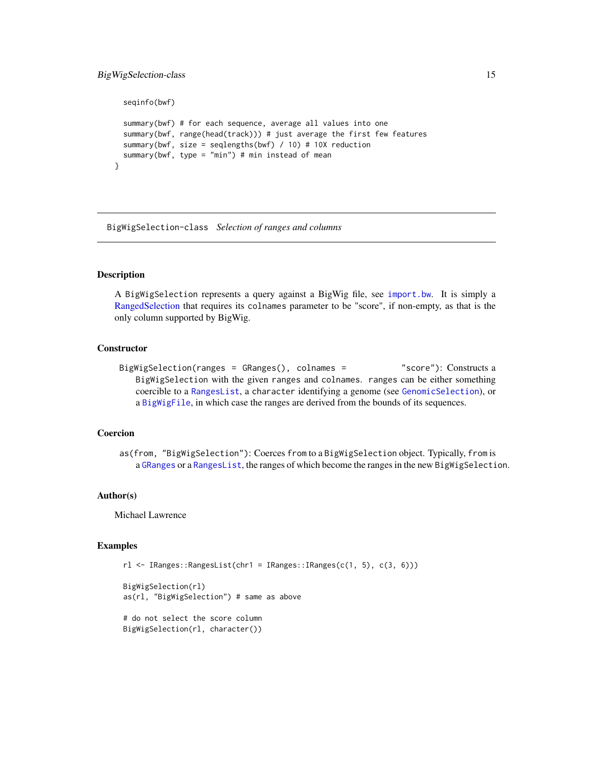# <span id="page-14-0"></span>BigWigSelection-class 15

```
seqinfo(bwf)
 summary(bwf) # for each sequence, average all values into one
 summary(bwf, range(head(track))) # just average the first few features
 summary(bwf, size = seqlengths(bwf) / 10) # 10X reduction
 summary(bwf, type = "min") # min instead of mean
}
```
<span id="page-14-1"></span>BigWigSelection-class *Selection of ranges and columns*

# <span id="page-14-2"></span>Description

A BigWigSelection represents a query against a BigWig file, see [import.bw](#page-11-1). It is simply a [RangedSelection](#page-0-0) that requires its colnames parameter to be "score", if non-empty, as that is the only column supported by BigWig.

# **Constructor**

BigWigSelection(ranges = GRanges(), colnames = "score"): Constructs a BigWigSelection with the given ranges and colnames. ranges can be either something coercible to a [RangesList](#page-0-0), a character identifying a genome (see [GenomicSelection](#page-25-1)), or a [BigWigFile](#page-11-2), in which case the ranges are derived from the bounds of its sequences.

# Coercion

as(from, "BigWigSelection"): Coerces from to a BigWigSelection object. Typically, from is a [GRanges](#page-0-0) or a [RangesList](#page-0-0), the ranges of which become the ranges in the new BigWigSelection.

## Author(s)

Michael Lawrence

# Examples

```
rl <- IRanges::RangesList(chr1 = IRanges::IRanges(c(1, 5), c(3, 6)))
```

```
BigWigSelection(rl)
as(rl, "BigWigSelection") # same as above
# do not select the score column
BigWigSelection(rl, character())
```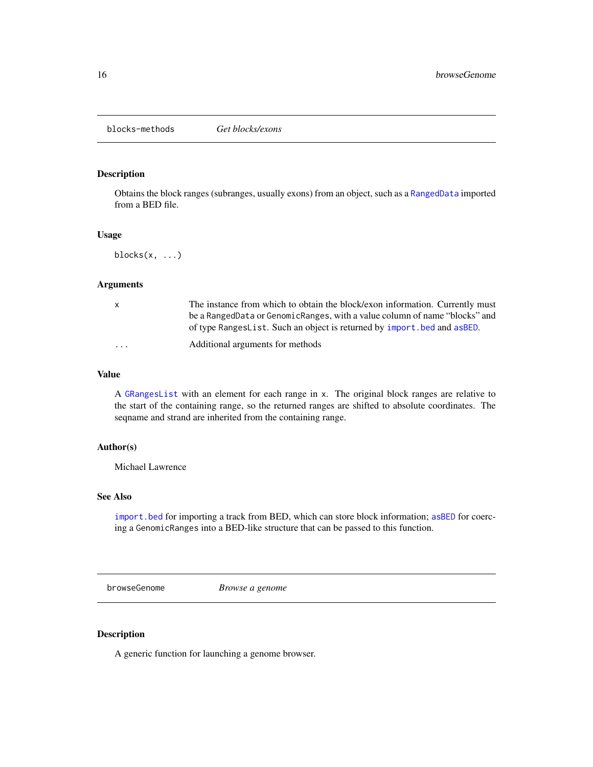<span id="page-15-0"></span>blocks-methods *Get blocks/exons*

# Description

Obtains the block ranges (subranges, usually exons) from an object, such as a [RangedData](#page-0-0) imported from a BED file.

# Usage

blocks $(x, \ldots)$ 

# Arguments

| X        | The instance from which to obtain the block/exon information. Currently must |
|----------|------------------------------------------------------------------------------|
|          | be a RangedData or GenomicRanges, with a value column of name "blocks" and   |
|          | of type RangesList. Such an object is returned by import, bed and as BED.    |
| $\cdots$ | Additional arguments for methods                                             |

# Value

A [GRangesList](#page-0-0) with an element for each range in x. The original block ranges are relative to the start of the containing range, so the returned ranges are shifted to absolute coordinates. The seqname and strand are inherited from the containing range.

# Author(s)

Michael Lawrence

# See Also

[import.bed](#page-7-1) for importing a track from BED, which can store block information; [asBED](#page-2-1) for coercing a GenomicRanges into a BED-like structure that can be passed to this function.

<span id="page-15-1"></span>browseGenome *Browse a genome*

# Description

A generic function for launching a genome browser.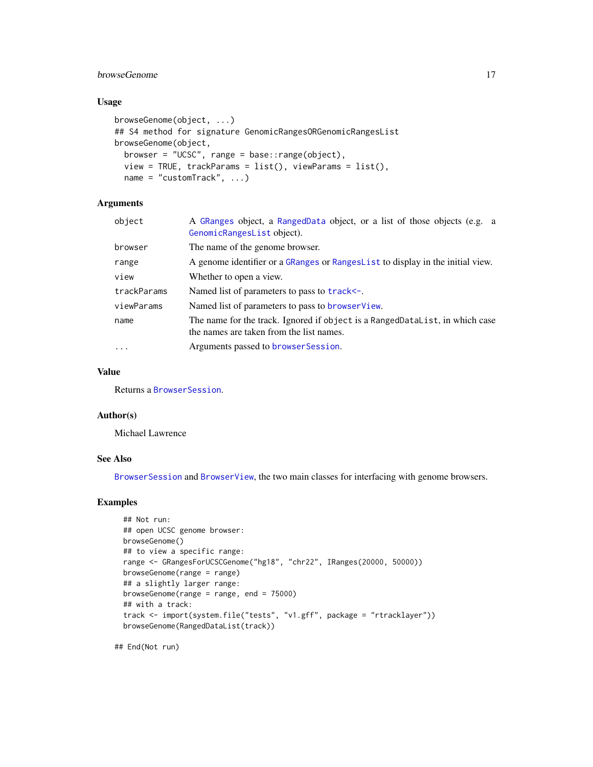# browseGenome 17

# Usage

```
browseGenome(object, ...)
## S4 method for signature GenomicRangesORGenomicRangesList
browseGenome(object,
 browser = "UCSC", range = base::range(object),
 view = TRUE, trackParams = list(), viewParams = list(),
 name = "customTrack", ...)
```
# Arguments

| object      | A GRanges object, a RangedData object, or a list of those objects (e.g. a<br>GenomicRangesList object).                  |
|-------------|--------------------------------------------------------------------------------------------------------------------------|
| browser     | The name of the genome browser.                                                                                          |
| range       | A genome identifier or a GRanges or Ranges List to display in the initial view.                                          |
| view        | Whether to open a view.                                                                                                  |
| trackParams | Named list of parameters to pass to track <-.                                                                            |
| viewParams  | Named list of parameters to pass to browser View.                                                                        |
| name        | The name for the track. Ignored if object is a RangedDataList, in which case<br>the names are taken from the list names. |
| $\cdots$    | Arguments passed to browser Session.                                                                                     |
|             |                                                                                                                          |

# Value

Returns a [BrowserSession](#page-17-1).

# Author(s)

Michael Lawrence

# See Also

[BrowserSession](#page-17-1) and [BrowserView](#page-19-1), the two main classes for interfacing with genome browsers.

# Examples

```
## Not run:
## open UCSC genome browser:
browseGenome()
## to view a specific range:
range <- GRangesForUCSCGenome("hg18", "chr22", IRanges(20000, 50000))
browseGenome(range = range)
## a slightly larger range:
browseGenome(range = range, end = 75000)
## with a track:
track <- import(system.file("tests", "v1.gff", package = "rtracklayer"))
browseGenome(RangedDataList(track))
```
## End(Not run)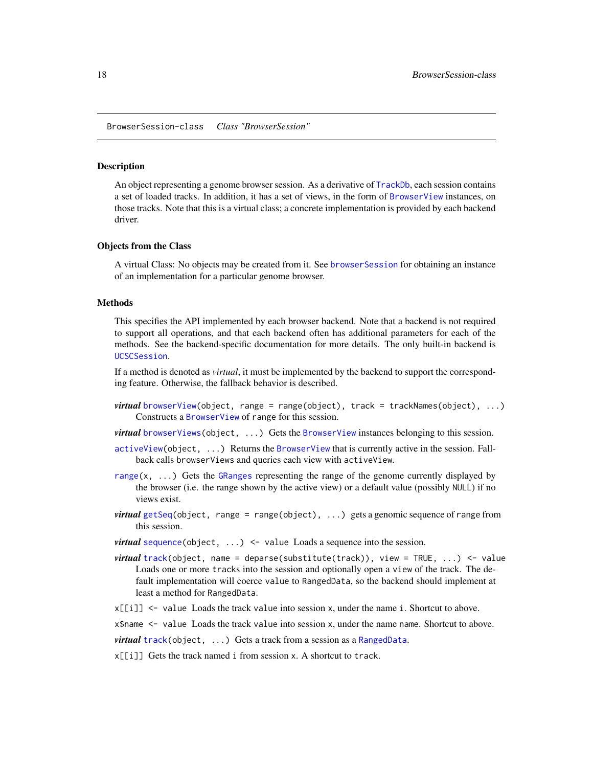<span id="page-17-1"></span><span id="page-17-0"></span>BrowserSession-class *Class "BrowserSession"*

#### Description

An object representing a genome browser session. As a derivative of [TrackDb](#page-45-2), each session contains a set of loaded tracks. In addition, it has a set of views, in the form of [BrowserView](#page-19-1) instances, on those tracks. Note that this is a virtual class; a concrete implementation is provided by each backend driver.

#### Objects from the Class

A virtual Class: No objects may be created from it. See [browserSession](#page-18-1) for obtaining an instance of an implementation for a particular genome browser.

# Methods

This specifies the API implemented by each browser backend. Note that a backend is not required to support all operations, and that each backend often has additional parameters for each of the methods. See the backend-specific documentation for more details. The only built-in backend is [UCSCSession](#page-54-1).

If a method is denoted as *virtual*, it must be implemented by the backend to support the corresponding feature. Otherwise, the fallback behavior is described.

- *virtual* [browserView\(](#page-20-1)object, range = range(object), track = trackNames(object), ...) Constructs a [BrowserView](#page-19-1) of range for this session.
- *virtual* [browserViews\(](#page-21-1)object, ...) Gets the [BrowserView](#page-19-1) instances belonging to this session.
- [activeView\(](#page-2-2)object, ...) Returns the [BrowserView](#page-19-1) that is currently active in the session. Fallback calls browserViews and queries each view with activeView.
- range $(x, \ldots)$  Gets the [GRanges](#page-0-0) representing the range of the genome currently displayed by the browser (i.e. the range shown by the active view) or a default value (possibly NULL) if no views exist.
- *virtual* [getSeq\(](#page-0-0)object, range = range(object), ...) gets a genomic sequence of range from this session.

*virtual* [sequence\(](#page-41-2)object, ...) <- value Loads a sequence into the session.

- *virtual* [track\(](#page-44-1)object, name = deparse(substitute(track)), view = TRUE, ...) <- value Loads one or more tracks into the session and optionally open a view of the track. The default implementation will coerce value to RangedData, so the backend should implement at least a method for RangedData.
- $x[[i]]$  <- value Loads the track value into session x, under the name i. Shortcut to above.

x\$name <- value Loads the track value into session x, under the name name. Shortcut to above.

*virtual* [track\(](#page-55-1)object, ...) Gets a track from a session as a [RangedData](#page-0-0).

x[[i]] Gets the track named i from session x. A shortcut to track.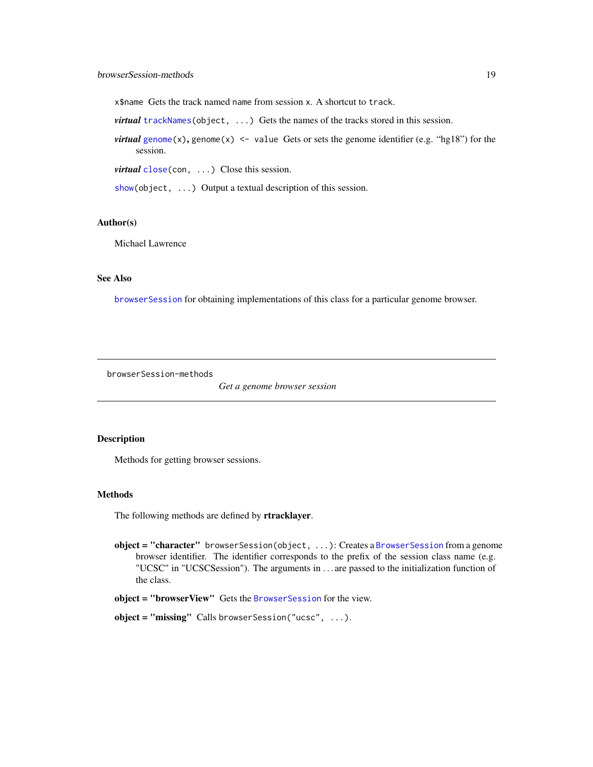<span id="page-18-0"></span>x\$name Gets the track named name from session x. A shortcut to track.

*virtual* [trackNames\(](#page-46-1)object, ...) Gets the names of the tracks stored in this session.

*virtual* [genome\(](#page-0-0)x), genome(x)  $\le -$  value Gets or sets the genome identifier (e.g. "hg18") for the session.

*virtual* [close\(](#page-0-0)con, ...) Close this session.

[show\(](#page-0-0)object, ...) Output a textual description of this session.

# Author(s)

Michael Lawrence

# See Also

[browserSession](#page-18-1) for obtaining implementations of this class for a particular genome browser.

browserSession-methods

*Get a genome browser session*

#### <span id="page-18-1"></span>Description

Methods for getting browser sessions.

#### Methods

The following methods are defined by rtracklayer.

object = "character" browserSession(object, ...): Creates a [BrowserSession](#page-17-1) from a genome browser identifier. The identifier corresponds to the prefix of the session class name (e.g. "UCSC" in "UCSCSession"). The arguments in . . . are passed to the initialization function of the class.

object = "browserView" Gets the [BrowserSession](#page-17-1) for the view.

object = "missing" Calls browserSession("ucsc", ...).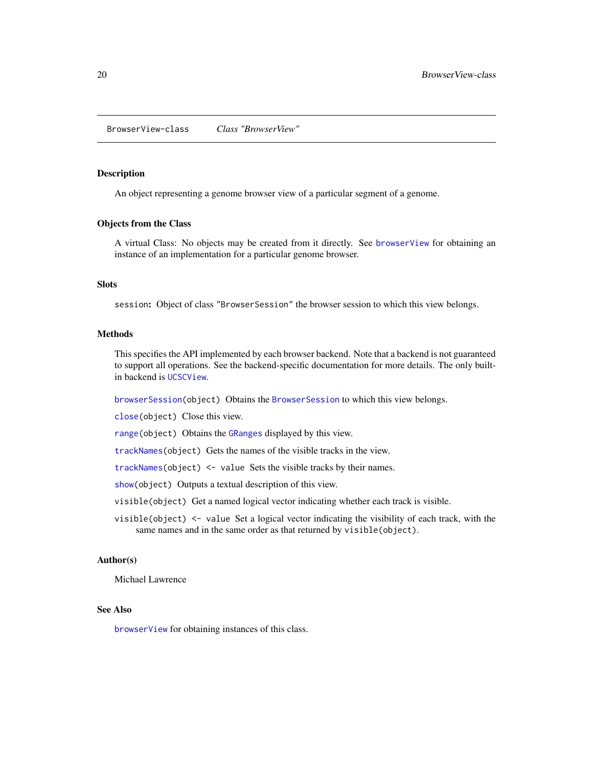<span id="page-19-1"></span><span id="page-19-0"></span>BrowserView-class *Class "BrowserView"*

#### Description

An object representing a genome browser view of a particular segment of a genome.

# Objects from the Class

A virtual Class: No objects may be created from it directly. See [browserView](#page-20-1) for obtaining an instance of an implementation for a particular genome browser.

# **Slots**

session: Object of class "BrowserSession" the browser session to which this view belongs.

# Methods

This specifies the API implemented by each browser backend. Note that a backend is not guaranteed to support all operations. See the backend-specific documentation for more details. The only builtin backend is [UCSCView](#page-60-1).

[browserSession\(](#page-18-1)object) Obtains the [BrowserSession](#page-17-1) to which this view belongs.

[close\(](#page-0-0)object) Close this view.

[range\(](#page-0-0)object) Obtains the [GRanges](#page-0-0) displayed by this view.

[trackNames\(](#page-46-1)object) Gets the names of the visible tracks in the view.

[trackNames\(](#page-46-1)object) <- value Sets the visible tracks by their names.

[show\(](#page-0-0)object) Outputs a textual description of this view.

visible(object) Get a named logical vector indicating whether each track is visible.

visible(object)  $\le$ - value Set a logical vector indicating the visibility of each track, with the same names and in the same order as that returned by visible(object).

# Author(s)

Michael Lawrence

# See Also

[browserView](#page-20-1) for obtaining instances of this class.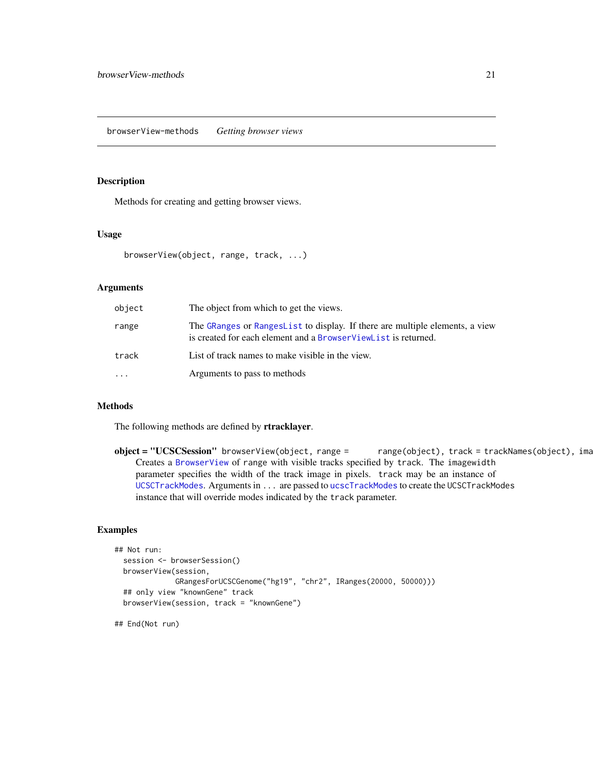# <span id="page-20-1"></span><span id="page-20-0"></span>Description

Methods for creating and getting browser views.

# Usage

```
browserView(object, range, track, ...)
```
# Arguments

| object    | The object from which to get the views.                                                                                                           |
|-----------|---------------------------------------------------------------------------------------------------------------------------------------------------|
| range     | The GRanges or Ranges List to display. If there are multiple elements, a view<br>is created for each element and a Browser View List is returned. |
| track     | List of track names to make visible in the view.                                                                                                  |
| $\ddotsc$ | Arguments to pass to methods                                                                                                                      |

# Methods

The following methods are defined by rtracklayer.

object = "UCSCSession" browserView(object, range = range(object), track = trackNames(object), ima Creates a [BrowserView](#page-19-1) of range with visible tracks specified by track. The imagewidth parameter specifies the width of the track image in pixels. track may be an instance of [UCSCTrackModes](#page-58-1). Arguments in ... are passed to [ucscTrackModes](#page-59-1) to create the UCSCTrackModes instance that will override modes indicated by the track parameter.

# Examples

```
## Not run:
 session <- browserSession()
 browserView(session,
             GRangesForUCSCGenome("hg19", "chr2", IRanges(20000, 50000)))
 ## only view "knownGene" track
 browserView(session, track = "knownGene")
```
## End(Not run)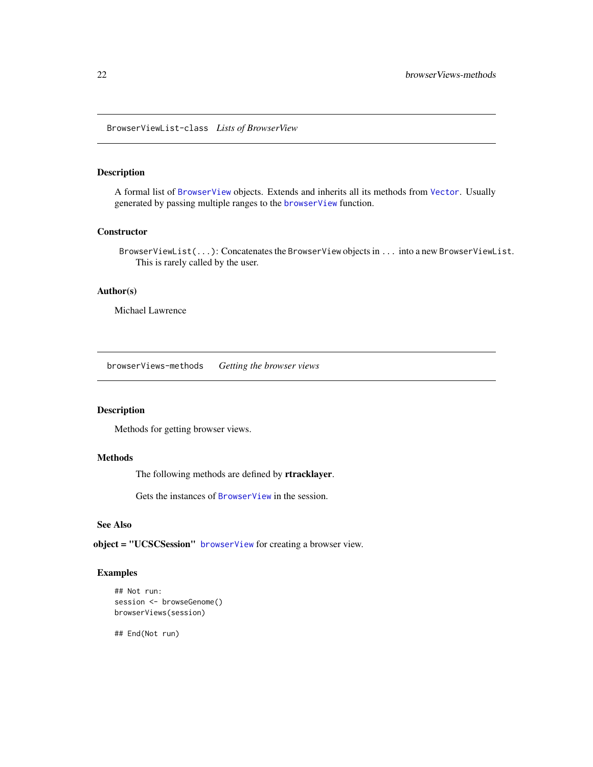<span id="page-21-2"></span><span id="page-21-0"></span>BrowserViewList-class *Lists of BrowserView*

# Description

A formal list of [BrowserView](#page-19-1) objects. Extends and inherits all its methods from [Vector](#page-0-0). Usually generated by passing multiple ranges to the [browserView](#page-20-1) function.

# **Constructor**

BrowserViewList(...): Concatenates the BrowserView objects in ... into a new BrowserViewList. This is rarely called by the user.

### Author(s)

Michael Lawrence

browserViews-methods *Getting the browser views*

# <span id="page-21-1"></span>Description

Methods for getting browser views.

# Methods

The following methods are defined by rtracklayer.

Gets the instances of [BrowserView](#page-19-1) in the session.

# See Also

object = "UCSCSession" [browserView](#page-20-1) for creating a browser view.

# Examples

```
## Not run:
session <- browseGenome()
browserViews(session)
```
## End(Not run)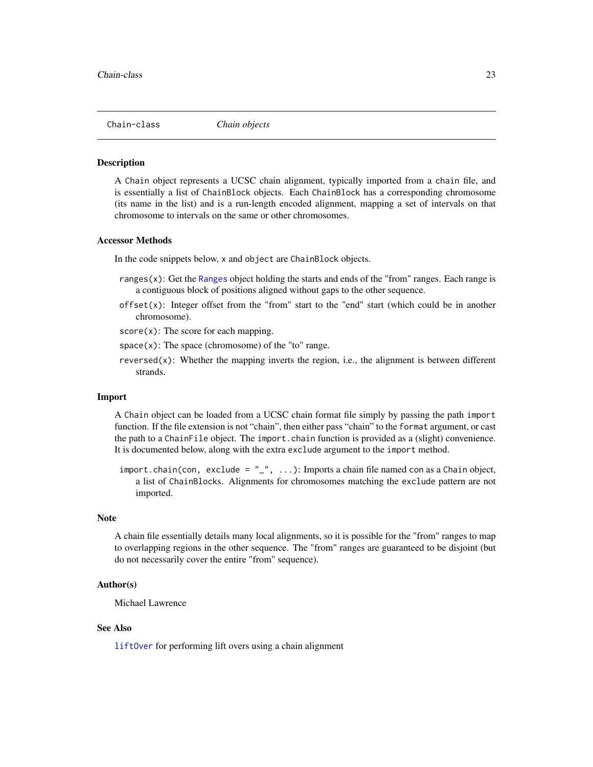<span id="page-22-1"></span><span id="page-22-0"></span>

#### <span id="page-22-2"></span>**Description**

A Chain object represents a UCSC chain alignment, typically imported from a chain file, and is essentially a list of ChainBlock objects. Each ChainBlock has a corresponding chromosome (its name in the list) and is a run-length encoded alignment, mapping a set of intervals on that chromosome to intervals on the same or other chromosomes.

# Accessor Methods

In the code snippets below, x and object are ChainBlock objects.

- ranges $(x)$ : Get the [Ranges](#page-0-0) object holding the starts and ends of the "from" ranges. Each range is a contiguous block of positions aligned without gaps to the other sequence.
- offset $(x)$ : Integer offset from the "from" start to the "end" start (which could be in another chromosome).
- $score(x)$ : The score for each mapping.
- $space(x)$ : The space (chromosome) of the "to" range.
- reversed $(x)$ : Whether the mapping inverts the region, i.e., the alignment is between different strands.

#### Import

A Chain object can be loaded from a UCSC chain format file simply by passing the path import function. If the file extension is not "chain", then either pass "chain" to the format argument, or cast the path to a ChainFile object. The import.chain function is provided as a (slight) convenience. It is documented below, along with the extra exclude argument to the import method.

import.chain(con, exclude =  $"$ \_", ...): Imports a chain file named con as a Chain object, a list of ChainBlocks. Alignments for chromosomes matching the exclude pattern are not imported.

#### Note

A chain file essentially details many local alignments, so it is possible for the "from" ranges to map to overlapping regions in the other sequence. The "from" ranges are guaranteed to be disjoint (but do not necessarily cover the entire "from" sequence).

# Author(s)

Michael Lawrence

# See Also

[liftOver](#page-35-1) for performing lift overs using a chain alignment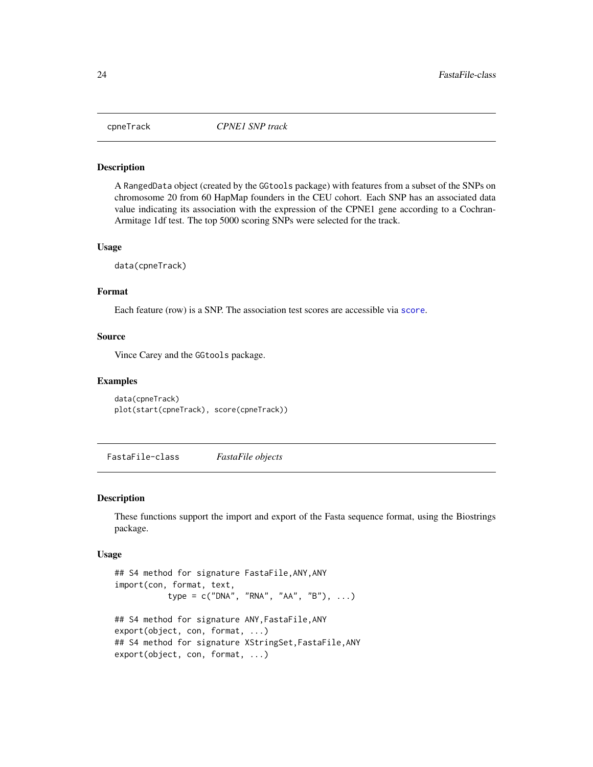<span id="page-23-0"></span>

#### **Description**

A RangedData object (created by the GGtools package) with features from a subset of the SNPs on chromosome 20 from 60 HapMap founders in the CEU cohort. Each SNP has an associated data value indicating its association with the expression of the CPNE1 gene according to a Cochran-Armitage 1df test. The top 5000 scoring SNPs were selected for the track.

#### Usage

data(cpneTrack)

# Format

Each feature (row) is a SNP. The association test scores are accessible via [score](#page-0-0).

# Source

Vince Carey and the GGtools package.

#### Examples

data(cpneTrack) plot(start(cpneTrack), score(cpneTrack))

FastaFile-class *FastaFile objects*

#### Description

These functions support the import and export of the Fasta sequence format, using the Biostrings package.

#### Usage

```
## S4 method for signature FastaFile,ANY,ANY
import(con, format, text,
           type = c("DNA", "RNA", "AA", "B"), ...)
## S4 method for signature ANY,FastaFile,ANY
export(object, con, format, ...)
## S4 method for signature XStringSet,FastaFile,ANY
export(object, con, format, ...)
```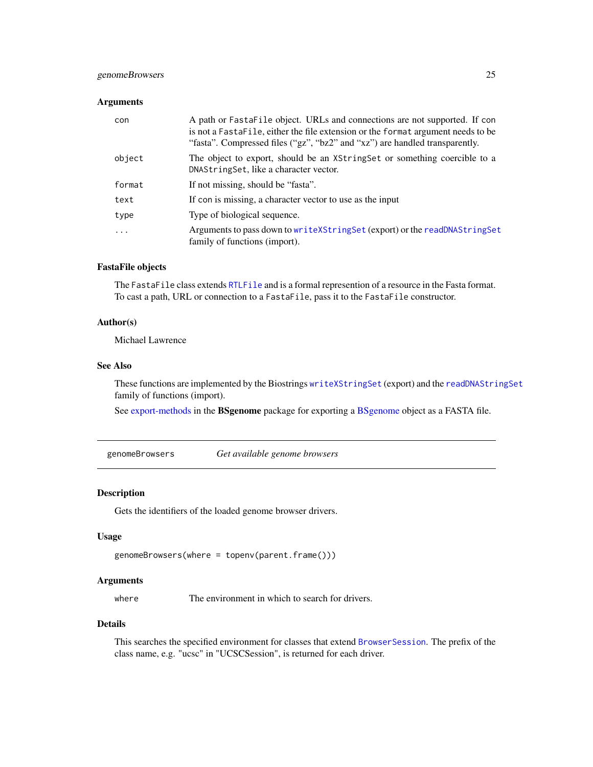# <span id="page-24-0"></span>genomeBrowsers 25

#### Arguments

| con      | A path or Fasta File object. URLs and connections are not supported. If con<br>is not a Fasta File, either the file extension or the format argument needs to be<br>"fasta". Compressed files ("gz", "bz2" and "xz") are handled transparently. |
|----------|-------------------------------------------------------------------------------------------------------------------------------------------------------------------------------------------------------------------------------------------------|
| object   | The object to export, should be an XString Set or something coercible to a<br>DNAStringSet, like a character vector.                                                                                                                            |
| format   | If not missing, should be "fasta".                                                                                                                                                                                                              |
| text     | If con is missing, a character vector to use as the input                                                                                                                                                                                       |
| type     | Type of biological sequence.                                                                                                                                                                                                                    |
| $\cdots$ | Arguments to pass down to write XString Set (export) or the read DNAString Set<br>family of functions (import).                                                                                                                                 |

# FastaFile objects

The FastaFile class extends [RTLFile](#page-41-1) and is a formal represention of a resource in the Fasta format. To cast a path, URL or connection to a FastaFile, pass it to the FastaFile constructor.

# Author(s)

Michael Lawrence

# See Also

These functions are implemented by the Biostrings [writeXStringSet](#page-0-0) (export) and the [readDNAStringSet](#page-0-0) family of functions (import).

See [export-methods](#page-0-0) in the BSgenome package for exporting a [BSgenome](#page-0-0) object as a FASTA file.

genomeBrowsers *Get available genome browsers*

#### Description

Gets the identifiers of the loaded genome browser drivers.

#### Usage

```
genomeBrowsers(where = topenv(parent.frame()))
```
# Arguments

where The environment in which to search for drivers.

# Details

This searches the specified environment for classes that extend [BrowserSession](#page-17-1). The prefix of the class name, e.g. "ucsc" in "UCSCSession", is returned for each driver.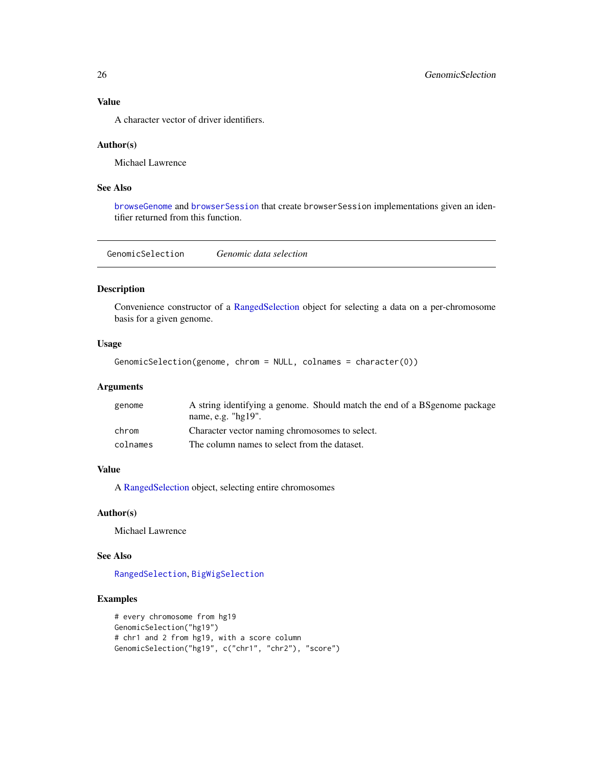A character vector of driver identifiers.

#### Author(s)

Michael Lawrence

# See Also

[browseGenome](#page-15-1) and [browserSession](#page-18-1) that create browserSession implementations given an identifier returned from this function.

<span id="page-25-1"></span>GenomicSelection *Genomic data selection*

# Description

Convenience constructor of a [RangedSelection](#page-0-0) object for selecting a data on a per-chromosome basis for a given genome.

# Usage

```
GenomicSelection(genome, chrom = NULL, colnames = character(0))
```
# Arguments

| genome   | A string identifying a genome. Should match the end of a BS genome package |
|----------|----------------------------------------------------------------------------|
|          | name, e.g. " $hg19"$ .                                                     |
| chrom    | Character vector naming chromosomes to select.                             |
| colnames | The column names to select from the dataset.                               |

# Value

A [RangedSelection](#page-0-0) object, selecting entire chromosomes

# Author(s)

Michael Lawrence

# See Also

[RangedSelection](#page-0-0), [BigWigSelection](#page-14-2)

# Examples

```
# every chromosome from hg19
GenomicSelection("hg19")
# chr1 and 2 from hg19, with a score column
GenomicSelection("hg19", c("chr1", "chr2"), "score")
```
<span id="page-25-0"></span>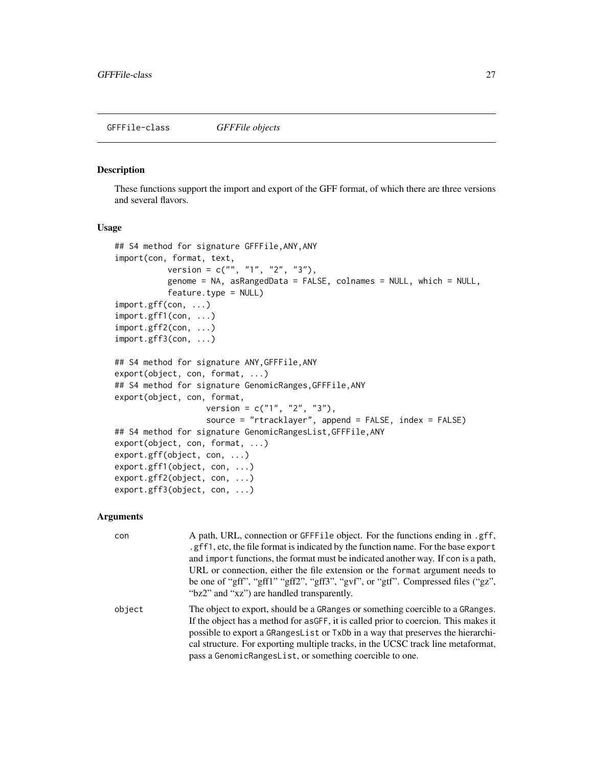# <span id="page-26-1"></span><span id="page-26-0"></span>Description

These functions support the import and export of the GFF format, of which there are three versions and several flavors.

# Usage

```
## S4 method for signature GFFFile,ANY,ANY
import(con, format, text,
           version = c("", "1", "2", "3"),
           genome = NA, asRangedData = FALSE, colnames = NULL, which = NULL,
           feature.type = NULL)
import.gff(con, ...)
import.gff1(con, ...)
import.gff2(con, ...)
import.gff3(con, ...)
## S4 method for signature ANY,GFFFile,ANY
export(object, con, format, ...)
## S4 method for signature GenomicRanges,GFFFile,ANY
export(object, con, format,
                   version = c("1", "2", "3"),
                   source = "rtracklayer", append = FALSE, index = FALSE)
## S4 method for signature GenomicRangesList,GFFFile,ANY
export(object, con, format, ...)
export.gff(object, con, ...)
export.gff1(object, con, ...)
export.gff2(object, con, ...)
export.gff3(object, con, ...)
```
# Arguments

| con    | A path, URL, connection or GFFFile object. For the functions ending in .gff,<br>get get a get a get a get a get a get a get a get a get a get a get a get a get a get a get a get a get a get a get a get a get a get a get a get a get a get a get a get a get a get a get a get a get a get a get a get a ge<br>and import functions, the format must be indicated another way. If con is a path,<br>URL or connection, either the file extension or the format argument needs to<br>be one of "gff", "gff1" "gff2", "gff3", "gvf", or "gtf". Compressed files ("gz",<br>"bz2" and "xz") are handled transparently. |
|--------|-----------------------------------------------------------------------------------------------------------------------------------------------------------------------------------------------------------------------------------------------------------------------------------------------------------------------------------------------------------------------------------------------------------------------------------------------------------------------------------------------------------------------------------------------------------------------------------------------------------------------|
| object | The object to export, should be a GRanges or something coercible to a GRanges.<br>If the object has a method for as GFF, it is called prior to coercion. This makes it<br>possible to export a GRange slat or TxDb in a way that preserves the hierarchi-<br>cal structure. For exporting multiple tracks, in the UCSC track line metaformat,<br>pass a GenomicRangesList, or something coercible to one.                                                                                                                                                                                                             |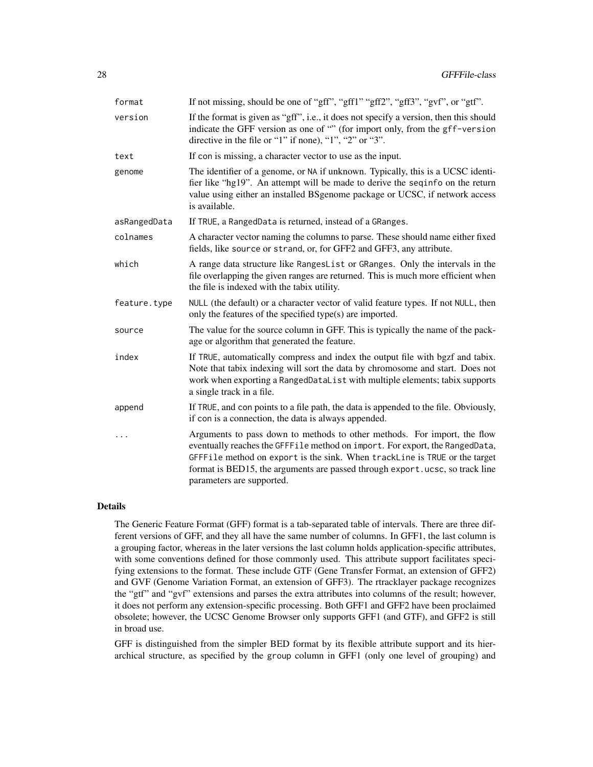| format       | If not missing, should be one of "gff", "gff1" "gff2", "gff3", "gvf", or "gtf".                                                                                                                                                                                                                                                                     |
|--------------|-----------------------------------------------------------------------------------------------------------------------------------------------------------------------------------------------------------------------------------------------------------------------------------------------------------------------------------------------------|
| version      | If the format is given as "gff", i.e., it does not specify a version, then this should<br>indicate the GFF version as one of "" (for import only, from the gff-version<br>directive in the file or "1" if none), "1", "2" or "3".                                                                                                                   |
| text         | If con is missing, a character vector to use as the input.                                                                                                                                                                                                                                                                                          |
| genome       | The identifier of a genome, or NA if unknown. Typically, this is a UCSC identi-<br>fier like "hg19". An attempt will be made to derive the seqinfo on the return<br>value using either an installed BSgenome package or UCSC, if network access<br>is available.                                                                                    |
| asRangedData | If TRUE, a RangedData is returned, instead of a GRanges.                                                                                                                                                                                                                                                                                            |
| colnames     | A character vector naming the columns to parse. These should name either fixed<br>fields, like source or strand, or, for GFF2 and GFF3, any attribute.                                                                                                                                                                                              |
| which        | A range data structure like RangesList or GRanges. Only the intervals in the<br>file overlapping the given ranges are returned. This is much more efficient when<br>the file is indexed with the tabix utility.                                                                                                                                     |
| feature.type | NULL (the default) or a character vector of valid feature types. If not NULL, then<br>only the features of the specified type(s) are imported.                                                                                                                                                                                                      |
| source       | The value for the source column in GFF. This is typically the name of the pack-<br>age or algorithm that generated the feature.                                                                                                                                                                                                                     |
| index        | If TRUE, automatically compress and index the output file with bgzf and tabix.<br>Note that tabix indexing will sort the data by chromosome and start. Does not<br>work when exporting a RangedDataList with multiple elements; tabix supports<br>a single track in a file.                                                                         |
| append       | If TRUE, and con points to a file path, the data is appended to the file. Obviously,<br>if con is a connection, the data is always appended.                                                                                                                                                                                                        |
| $\ddots$     | Arguments to pass down to methods to other methods. For import, the flow<br>eventually reaches the GFFFile method on import. For export, the RangedData,<br>GFFFile method on export is the sink. When trackLine is TRUE or the target<br>format is BED15, the arguments are passed through export.ucsc, so track line<br>parameters are supported. |

#### Details

The Generic Feature Format (GFF) format is a tab-separated table of intervals. There are three different versions of GFF, and they all have the same number of columns. In GFF1, the last column is a grouping factor, whereas in the later versions the last column holds application-specific attributes, with some conventions defined for those commonly used. This attribute support facilitates specifying extensions to the format. These include GTF (Gene Transfer Format, an extension of GFF2) and GVF (Genome Variation Format, an extension of GFF3). The rtracklayer package recognizes the "gtf" and "gvf" extensions and parses the extra attributes into columns of the result; however, it does not perform any extension-specific processing. Both GFF1 and GFF2 have been proclaimed obsolete; however, the UCSC Genome Browser only supports GFF1 (and GTF), and GFF2 is still in broad use.

GFF is distinguished from the simpler BED format by its flexible attribute support and its hierarchical structure, as specified by the group column in GFF1 (only one level of grouping) and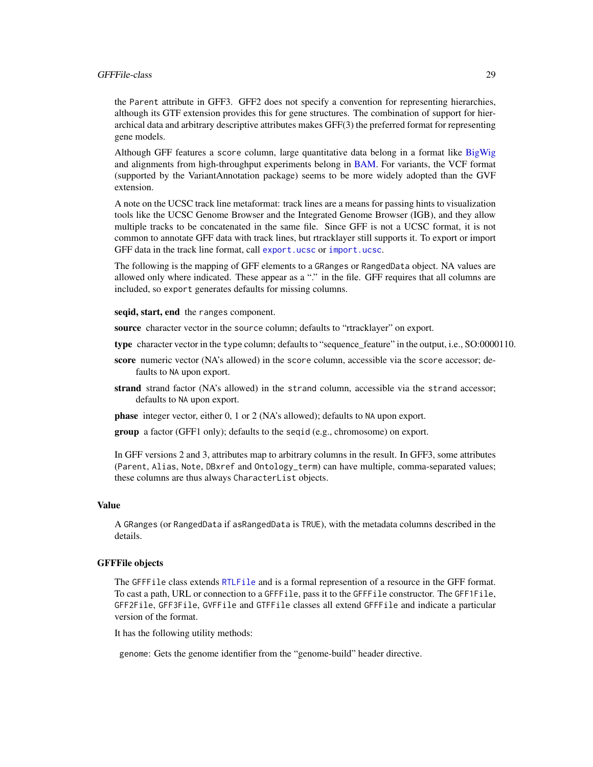#### GFFFile-class 29

the Parent attribute in GFF3. GFF2 does not specify a convention for representing hierarchies, although its GTF extension provides this for gene structures. The combination of support for hierarchical data and arbitrary descriptive attributes makes GFF(3) the preferred format for representing gene models.

Although GFF features a score column, large quantitative data belong in a format like [BigWig](#page-11-1) and alignments from high-throughput experiments belong in [BAM.](#page-0-0) For variants, the VCF format (supported by the VariantAnnotation package) seems to be more widely adopted than the GVF extension.

A note on the UCSC track line metaformat: track lines are a means for passing hints to visualization tools like the UCSC Genome Browser and the Integrated Genome Browser (IGB), and they allow multiple tracks to be concatenated in the same file. Since GFF is not a UCSC format, it is not common to annotate GFF data with track lines, but rtracklayer still supports it. To export or import GFF data in the track line format, call [export.ucsc](#page-50-1) or [import.ucsc](#page-50-1).

The following is the mapping of GFF elements to a GRanges or RangedData object. NA values are allowed only where indicated. These appear as a "." in the file. GFF requires that all columns are included, so export generates defaults for missing columns.

seqid, start, end the ranges component.

source character vector in the source column; defaults to "rtracklayer" on export.

- type character vector in the type column; defaults to "sequence\_feature" in the output, i.e., SO:0000110.
- score numeric vector (NA's allowed) in the score column, accessible via the score accessor; defaults to NA upon export.
- strand strand factor (NA's allowed) in the strand column, accessible via the strand accessor; defaults to NA upon export.
- phase integer vector, either 0, 1 or 2 (NA's allowed); defaults to NA upon export.

group a factor (GFF1 only); defaults to the seqid (e.g., chromosome) on export.

In GFF versions 2 and 3, attributes map to arbitrary columns in the result. In GFF3, some attributes (Parent, Alias, Note, DBxref and Ontology\_term) can have multiple, comma-separated values; these columns are thus always CharacterList objects.

#### Value

A GRanges (or RangedData if asRangedData is TRUE), with the metadata columns described in the details.

# GFFFile objects

The GFFFile class extends [RTLFile](#page-41-1) and is a formal represention of a resource in the GFF format. To cast a path, URL or connection to a GFFFile, pass it to the GFFFile constructor. The GFF1File, GFF2File, GFF3File, GVFFile and GTFFile classes all extend GFFFile and indicate a particular version of the format.

It has the following utility methods:

genome: Gets the genome identifier from the "genome-build" header directive.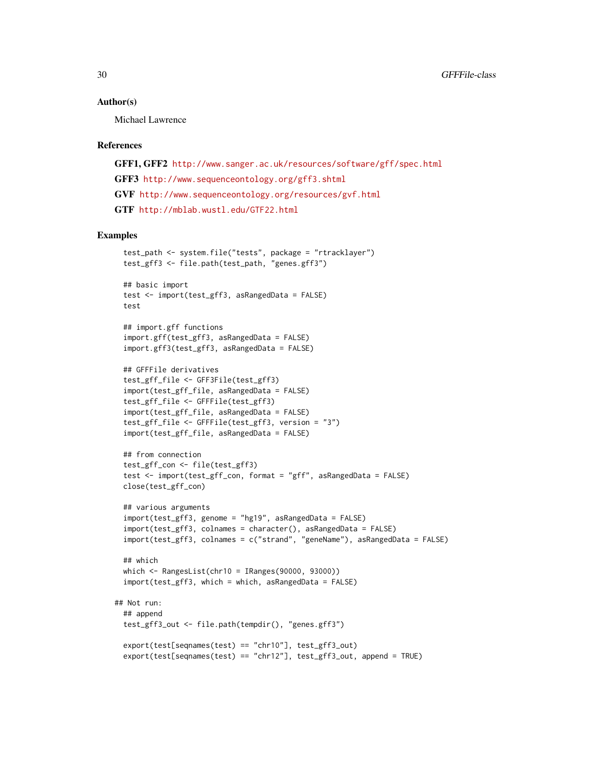#### Author(s)

Michael Lawrence

#### References

GFF1, GFF2 <http://www.sanger.ac.uk/resources/software/gff/spec.html> GFF3 <http://www.sequenceontology.org/gff3.shtml> GVF <http://www.sequenceontology.org/resources/gvf.html> GTF <http://mblab.wustl.edu/GTF22.html>

# Examples

```
test_path <- system.file("tests", package = "rtracklayer")
 test_gff3 <- file.path(test_path, "genes.gff3")
 ## basic import
 test <- import(test_gff3, asRangedData = FALSE)
 test
 ## import.gff functions
 import.gff(test_gff3, asRangedData = FALSE)
 import.gff3(test_gff3, asRangedData = FALSE)
 ## GFFFile derivatives
 test_gff_file <- GFF3File(test_gff3)
 import(test_gff_file, asRangedData = FALSE)
 test_gff_file <- GFFFile(test_gff3)
 import(test_gff_file, asRangedData = FALSE)
 test_gff_file <- GFFFile(test_gff3, version = "3")
 import(test_gff_file, asRangedData = FALSE)
 ## from connection
 test_gff_con <- file(test_gff3)
 test <- import(test_gff_con, format = "gff", asRangedData = FALSE)
 close(test_gff_con)
 ## various arguments
 import(test_gff3, genome = "hg19", asRangedData = FALSE)
 import(test_gff3, colnames = character(), asRangedData = FALSE)
 import(test_gff3, colnames = c("strand", "geneName"), asRangedData = FALSE)
 ## which
 which <- RangesList(chr10 = IRanges(90000, 93000))
 import(test_gff3, which = which, asRangedData = FALSE)
## Not run:
 ## append
 test_gff3_out <- file.path(tempdir(), "genes.gff3")
 export(test[seqnames(test) == "chr10"], test_gff3_out)
 export(test[seqnames(test) == "chr12"], test_gff3_out, append = TRUE)
```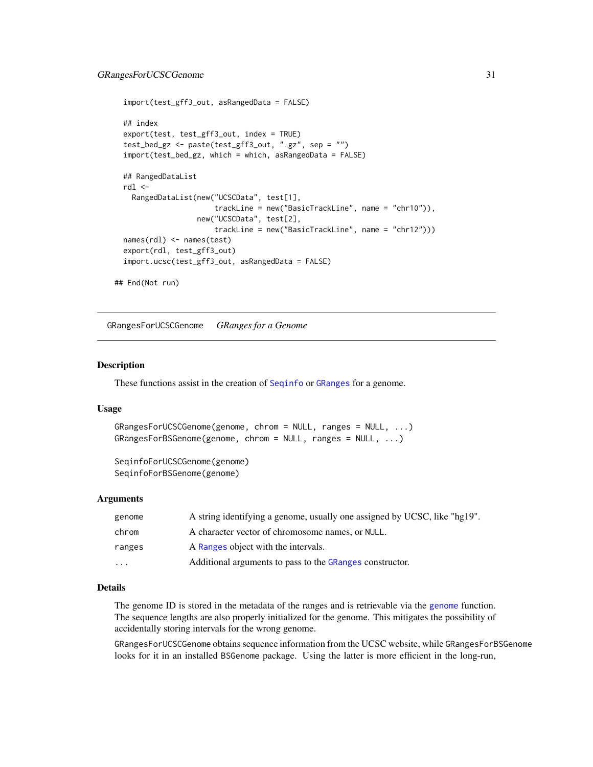```
import(test_gff3_out, asRangedData = FALSE)
## index
export(test, test_gff3_out, index = TRUE)
test_bed_gz <- paste(test_gff3_out, ".gz", sep = "")
import(test_bed_gz, which = which, asRangedData = FALSE)
## RangedDataList
rdl < -RangedDataList(new("UCSCData", test[1],
                     trackLine = new("BasicTrackLine", name = "chr10")),
                 new("UCSCData", test[2],
                     trackLine = new("BasicTrackLine", name = "chr12")))
names(rdl) <- names(test)
export(rdl, test_gff3_out)
import.ucsc(test_gff3_out, asRangedData = FALSE)
```
## End(Not run)

GRangesForUCSCGenome *GRanges for a Genome*

# **Description**

These functions assist in the creation of [Seqinfo](#page-0-0) or [GRanges](#page-0-0) for a genome.

#### Usage

```
GRangesForUCSCGenome(genome, chrom = NULL, ranges = NULL, ...)
GRangesForBSGenome(genome, chrom = NULL, ranges = NULL, ...)
```

```
SeqinfoForUCSCGenome(genome)
SeqinfoForBSGenome(genome)
```
#### Arguments

| genome                  | A string identifying a genome, usually one assigned by UCSC, like "hg19". |
|-------------------------|---------------------------------------------------------------------------|
| chrom                   | A character vector of chromosome names, or NULL.                          |
| ranges                  | A Ranges object with the intervals.                                       |
| $\cdot$ $\cdot$ $\cdot$ | Additional arguments to pass to the GRanges constructor.                  |

#### Details

The genome ID is stored in the metadata of the ranges and is retrievable via the [genome](#page-0-0) function. The sequence lengths are also properly initialized for the genome. This mitigates the possibility of accidentally storing intervals for the wrong genome.

GRangesForUCSCGenome obtains sequence information from the UCSC website, while GRangesForBSGenome looks for it in an installed BSGenome package. Using the latter is more efficient in the long-run,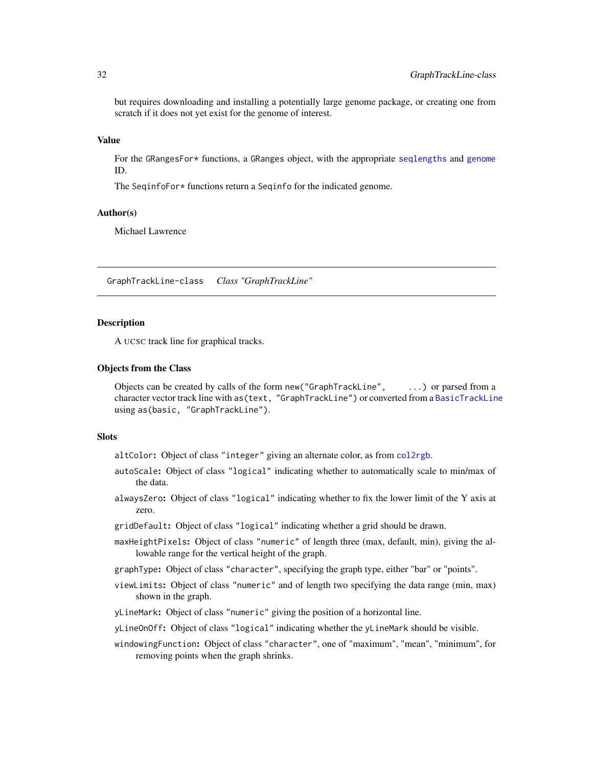<span id="page-31-0"></span>but requires downloading and installing a potentially large genome package, or creating one from scratch if it does not yet exist for the genome of interest.

#### Value

For the GRangesFor\* functions, a GRanges object, with the appropriate [seqlengths](#page-0-0) and [genome](#page-0-0) ID.

The SeqinfoFor\* functions return a Seqinfo for the indicated genome.

# Author(s)

Michael Lawrence

<span id="page-31-1"></span>GraphTrackLine-class *Class "GraphTrackLine"*

# Description

A UCSC track line for graphical tracks.

#### Objects from the Class

Objects can be created by calls of the form new("GraphTrackLine", ...) or parsed from a character vector track line with as(text, "GraphTrackLine") or converted from a [BasicTrackLine](#page-5-1) using as(basic, "GraphTrackLine").

# **Slots**

- altColor: Object of class "integer" giving an alternate color, as from [col2rgb](#page-0-0).
- autoScale: Object of class "logical" indicating whether to automatically scale to min/max of the data.
- alwaysZero: Object of class "logical" indicating whether to fix the lower limit of the Y axis at zero.
- gridDefault: Object of class "logical" indicating whether a grid should be drawn.
- maxHeightPixels: Object of class "numeric" of length three (max, default, min), giving the allowable range for the vertical height of the graph.
- graphType: Object of class "character", specifying the graph type, either "bar" or "points".
- viewLimits: Object of class "numeric" and of length two specifying the data range (min, max) shown in the graph.
- yLineMark: Object of class "numeric" giving the position of a horizontal line.
- yLineOnOff: Object of class "logical" indicating whether the yLineMark should be visible.
- windowingFunction: Object of class "character", one of "maximum", "mean", "minimum", for removing points when the graph shrinks.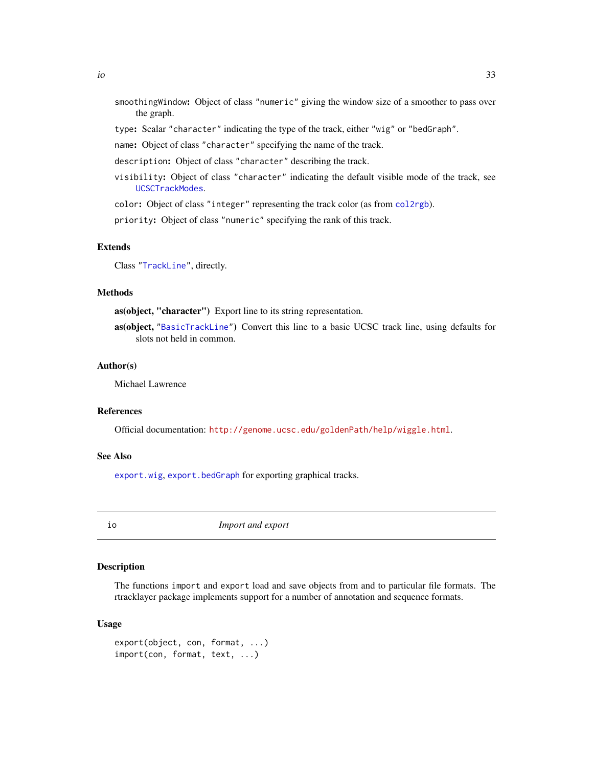<span id="page-32-0"></span>smoothingWindow: Object of class "numeric" giving the window size of a smoother to pass over the graph.

type: Scalar "character" indicating the type of the track, either "wig" or "bedGraph".

name: Object of class "character" specifying the name of the track.

description: Object of class "character" describing the track.

visibility: Object of class "character" indicating the default visible mode of the track, see [UCSCTrackModes](#page-58-1).

color: Object of class "integer" representing the track color (as from [col2rgb](#page-0-0)).

priority: Object of class "numeric" specifying the rank of this track.

#### Extends

Class ["TrackLine"](#page-45-1), directly.

# **Methods**

as(object, "character") Export line to its string representation.

as(object, ["BasicTrackLine"](#page-5-1)) Convert this line to a basic UCSC track line, using defaults for slots not held in common.

# Author(s)

Michael Lawrence

# References

Official documentation: <http://genome.ucsc.edu/goldenPath/help/wiggle.html>.

# See Also

[export.wig](#page-61-1), [export.bedGraph](#page-7-1) for exporting graphical tracks.

io *Import and export*

#### **Description**

The functions import and export load and save objects from and to particular file formats. The rtracklayer package implements support for a number of annotation and sequence formats.

#### Usage

```
export(object, con, format, ...)
import(con, format, text, ...)
```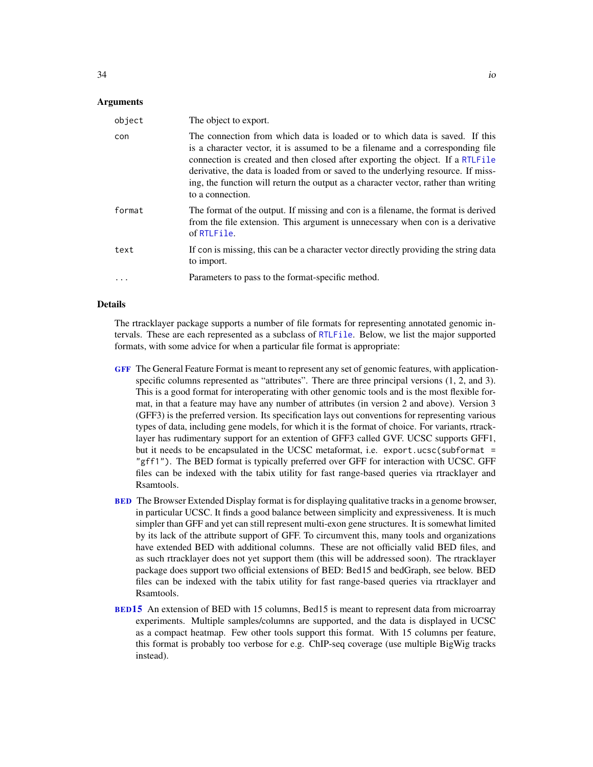#### Arguments

| object | The object to export.                                                                                                                                                                                                                                                                                                                                                                                                                           |
|--------|-------------------------------------------------------------------------------------------------------------------------------------------------------------------------------------------------------------------------------------------------------------------------------------------------------------------------------------------------------------------------------------------------------------------------------------------------|
| con    | The connection from which data is loaded or to which data is saved. If this<br>is a character vector, it is assumed to be a filename and a corresponding file<br>connection is created and then closed after exporting the object. If a RTLFile<br>derivative, the data is loaded from or saved to the underlying resource. If miss-<br>ing, the function will return the output as a character vector, rather than writing<br>to a connection. |
| format | The format of the output. If missing and con is a filename, the format is derived<br>from the file extension. This argument is unnecessary when con is a derivative<br>of RTLFile.                                                                                                                                                                                                                                                              |
| text   | If con is missing, this can be a character vector directly providing the string data<br>to import.                                                                                                                                                                                                                                                                                                                                              |
|        | Parameters to pass to the format-specific method.                                                                                                                                                                                                                                                                                                                                                                                               |

# Details

The rtracklayer package supports a number of file formats for representing annotated genomic intervals. These are each represented as a subclass of [RTLFile](#page-41-1). Below, we list the major supported formats, with some advice for when a particular file format is appropriate:

- [GFF](#page-0-0) The General Feature Format is meant to represent any set of genomic features, with applicationspecific columns represented as "attributes". There are three principal versions (1, 2, and 3). This is a good format for interoperating with other genomic tools and is the most flexible format, in that a feature may have any number of attributes (in version 2 and above). Version 3 (GFF3) is the preferred version. Its specification lays out conventions for representing various types of data, including gene models, for which it is the format of choice. For variants, rtracklayer has rudimentary support for an extention of GFF3 called GVF. UCSC supports GFF1, but it needs to be encapsulated in the UCSC metaformat, i.e. export.ucsc(subformat = "gff1"). The BED format is typically preferred over GFF for interaction with UCSC. GFF files can be indexed with the tabix utility for fast range-based queries via rtracklayer and Rsamtools.
- [BED](#page-0-0) The Browser Extended Display format is for displaying qualitative tracks in a genome browser, in particular UCSC. It finds a good balance between simplicity and expressiveness. It is much simpler than GFF and yet can still represent multi-exon gene structures. It is somewhat limited by its lack of the attribute support of GFF. To circumvent this, many tools and organizations have extended BED with additional columns. These are not officially valid BED files, and as such rtracklayer does not yet support them (this will be addressed soon). The rtracklayer package does support two official extensions of BED: Bed15 and bedGraph, see below. BED files can be indexed with the tabix utility for fast range-based queries via rtracklayer and Rsamtools.
- **[BED](#page-0-0)15** An extension of BED with 15 columns, Bed15 is meant to represent data from microarray experiments. Multiple samples/columns are supported, and the data is displayed in UCSC as a compact heatmap. Few other tools support this format. With 15 columns per feature, this format is probably too verbose for e.g. ChIP-seq coverage (use multiple BigWig tracks instead).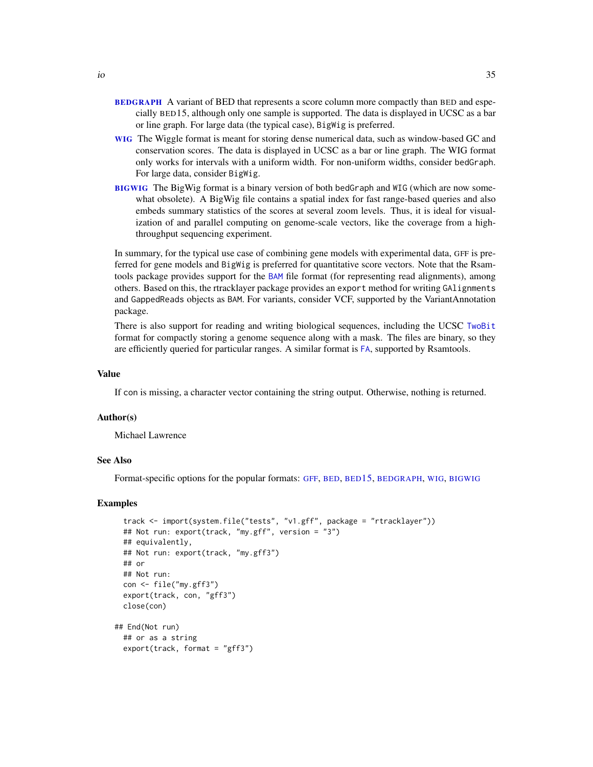- [BEDGRAPH](#page-0-0) A variant of BED that represents a score column more compactly than BED and especially BED15, although only one sample is supported. The data is displayed in UCSC as a bar or line graph. For large data (the typical case), BigWig is preferred.
- [WIG](#page-0-0) The Wiggle format is meant for storing dense numerical data, such as window-based GC and conservation scores. The data is displayed in UCSC as a bar or line graph. The WIG format only works for intervals with a uniform width. For non-uniform widths, consider bedGraph. For large data, consider BigWig.
- [BIGWIG](#page-0-0) The BigWig format is a binary version of both bedGraph and WIG (which are now somewhat obsolete). A BigWig file contains a spatial index for fast range-based queries and also embeds summary statistics of the scores at several zoom levels. Thus, it is ideal for visualization of and parallel computing on genome-scale vectors, like the coverage from a highthroughput sequencing experiment.

In summary, for the typical use case of combining gene models with experimental data, GFF is preferred for gene models and BigWig is preferred for quantitative score vectors. Note that the Rsamtools package provides support for the [BAM](#page-0-0) file format (for representing read alignments), among others. Based on this, the rtracklayer package provides an export method for writing GAlignments and GappedReads objects as BAM. For variants, consider VCF, supported by the VariantAnnotation package.

There is also support for reading and writing biological sequences, including the UCSC [TwoBit](#page-47-1) format for compactly storing a genome sequence along with a mask. The files are binary, so they are efficiently queried for particular ranges. A similar format is [FA](#page-0-0), supported by Rsamtools.

# Value

If con is missing, a character vector containing the string output. Otherwise, nothing is returned.

#### Author(s)

Michael Lawrence

# See Also

Format-specific options for the popular formats: [GFF](#page-0-0), [BED](#page-0-0), [BED](#page-0-0)15, [BEDGRAPH](#page-0-0), [WIG](#page-0-0), [BIGWIG](#page-0-0)

#### Examples

```
track <- import(system.file("tests", "v1.gff", package = "rtracklayer"))
 ## Not run: export(track, "my.gff", version = "3")
 ## equivalently,
 ## Not run: export(track, "my.gff3")
 ## or
 ## Not run:
 con <- file("my.gff3")
 export(track, con, "gff3")
 close(con)
## End(Not run)
 ## or as a string
 export(track, format = "gff3")
```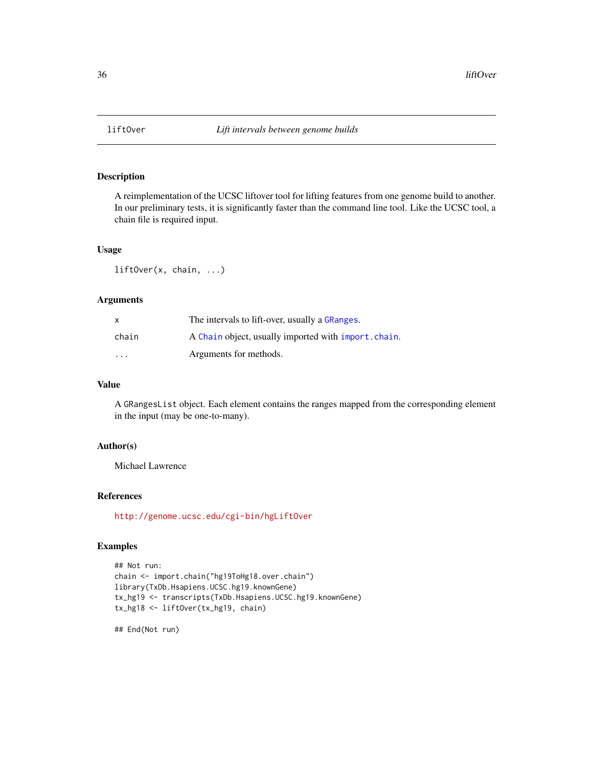<span id="page-35-1"></span><span id="page-35-0"></span>

# Description

A reimplementation of the UCSC liftover tool for lifting features from one genome build to another. In our preliminary tests, it is significantly faster than the command line tool. Like the UCSC tool, a chain file is required input.

# Usage

liftOver(x, chain, ...)

# Arguments

| X                    | The intervals to lift-over, usually a GRanges.       |
|----------------------|------------------------------------------------------|
| chain                | A Chain object, usually imported with import, chain. |
| $\ddot{\phantom{0}}$ | Arguments for methods.                               |

# Value

A GRangesList object. Each element contains the ranges mapped from the corresponding element in the input (may be one-to-many).

# Author(s)

Michael Lawrence

# References

<http://genome.ucsc.edu/cgi-bin/hgLiftOver>

# Examples

```
## Not run:
chain <- import.chain("hg19ToHg18.over.chain")
library(TxDb.Hsapiens.UCSC.hg19.knownGene)
tx_hg19 <- transcripts(TxDb.Hsapiens.UCSC.hg19.knownGene)
tx_hg18 <- liftOver(tx_hg19, chain)
```
## End(Not run)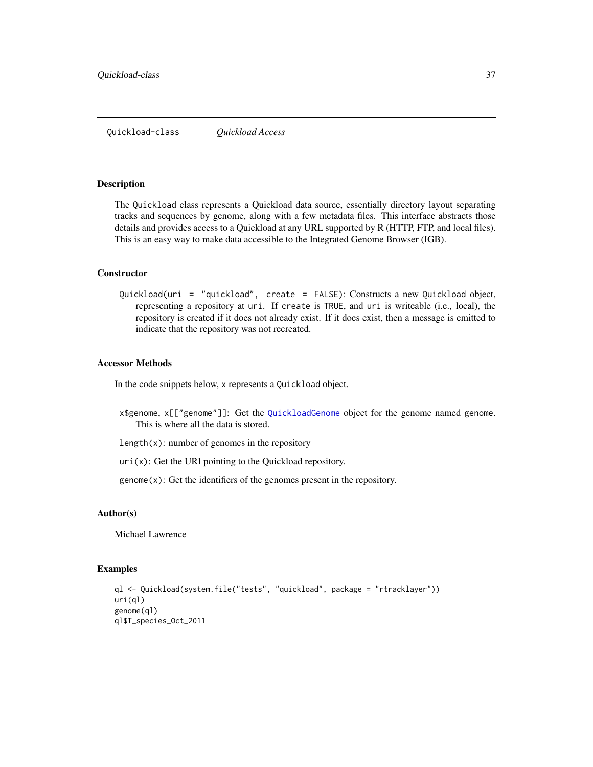# <span id="page-36-1"></span><span id="page-36-0"></span>Description

The Quickload class represents a Quickload data source, essentially directory layout separating tracks and sequences by genome, along with a few metadata files. This interface abstracts those details and provides access to a Quickload at any URL supported by R (HTTP, FTP, and local files). This is an easy way to make data accessible to the Integrated Genome Browser (IGB).

#### **Constructor**

Quickload(uri = "quickload", create = FALSE): Constructs a new Quickload object, representing a repository at uri. If create is TRUE, and uri is writeable (i.e., local), the repository is created if it does not already exist. If it does exist, then a message is emitted to indicate that the repository was not recreated.

# Accessor Methods

In the code snippets below, x represents a Quickload object.

- x\$genome, x[["genome"]]: Get the [QuickloadGenome](#page-37-0) object for the genome named genome. This is where all the data is stored.
- length $(x)$ : number of genomes in the repository

 $uri(x)$ : Get the URI pointing to the Quickload repository.

 $genome(x)$ : Get the identifiers of the genomes present in the repository.

# Author(s)

Michael Lawrence

#### Examples

```
ql <- Quickload(system.file("tests", "quickload", package = "rtracklayer"))
uri(ql)
genome(ql)
ql$T_species_Oct_2011
```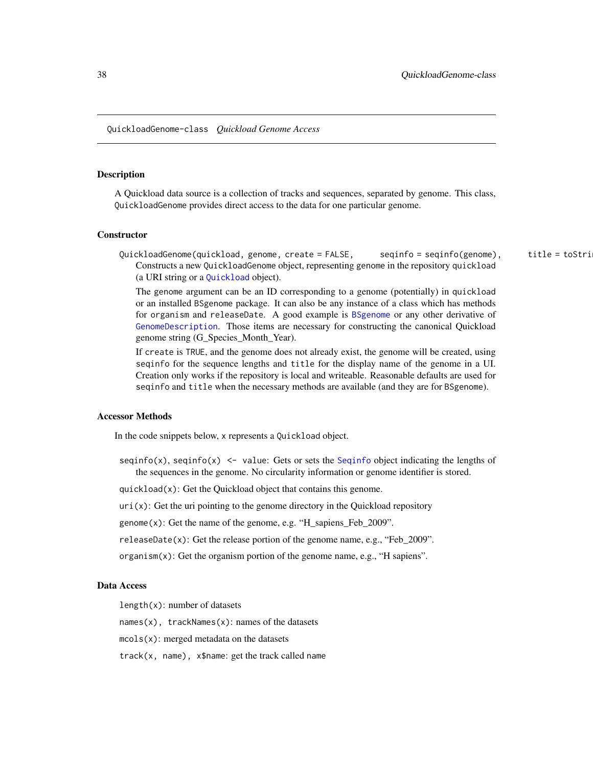<span id="page-37-1"></span><span id="page-37-0"></span>QuickloadGenome-class *Quickload Genome Access*

# **Description**

A Quickload data source is a collection of tracks and sequences, separated by genome. This class, QuickloadGenome provides direct access to the data for one particular genome.

#### **Constructor**

QuickloadGenome(quickload, genome, create = FALSE, seqinfo = seqinfo(genome), title = toStri Constructs a new QuickloadGenome object, representing genome in the repository quickload (a URI string or a [Quickload](#page-36-0) object).

The genome argument can be an ID corresponding to a genome (potentially) in quickload or an installed BSgenome package. It can also be any instance of a class which has methods for organism and releaseDate. A good example is [BSgenome](#page-0-0) or any other derivative of [GenomeDescription](#page-0-0). Those items are necessary for constructing the canonical Quickload genome string (G\_Species\_Month\_Year).

If create is TRUE, and the genome does not already exist, the genome will be created, using seqinfo for the sequence lengths and title for the display name of the genome in a UI. Creation only works if the repository is local and writeable. Reasonable defaults are used for seqinfo and title when the necessary methods are available (and they are for BSgenome).

#### Accessor Methods

In the code snippets below, x represents a Quickload object.

seqinfo(x), seqinfo(x)  $\leq$  value: Gets or sets the [Seqinfo](#page-0-0) object indicating the lengths of the sequences in the genome. No circularity information or genome identifier is stored.

quickload(x): Get the Quickload object that contains this genome.

 $uri(x)$ : Get the uri pointing to the genome directory in the Quickload repository

genome(x): Get the name of the genome, e.g. "H\_sapiens\_Feb\_2009".

releaseDate(x): Get the release portion of the genome name, e.g., "Feb  $2009$ ".

organism(x): Get the organism portion of the genome name, e.g., "H sapiens".

# Data Access

length(x): number of datasets

names(x), trackNames(x): names of the datasets

mcols(x): merged metadata on the datasets

track(x, name), x\$name: get the track called name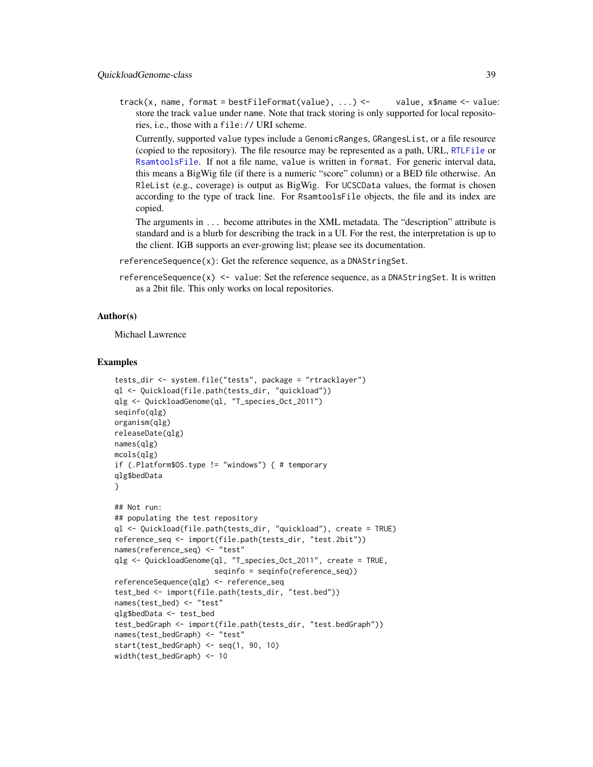track(x, name, format = bestFileFormat(value), ...) <- value, x\$name <- value: store the track value under name. Note that track storing is only supported for local repositories, i.e., those with a file:// URI scheme.

Currently, supported value types include a GenomicRanges, GRangesList, or a file resource (copied to the repository). The file resource may be represented as a path, URL, [RTLFile](#page-41-0) or [RsamtoolsFile](#page-0-0). If not a file name, value is written in format. For generic interval data, this means a BigWig file (if there is a numeric "score" column) or a BED file otherwise. An RleList (e.g., coverage) is output as BigWig. For UCSCData values, the format is chosen according to the type of track line. For RsamtoolsFile objects, the file and its index are copied.

The arguments in ... become attributes in the XML metadata. The "description" attribute is standard and is a blurb for describing the track in a UI. For the rest, the interpretation is up to the client. IGB supports an ever-growing list; please see its documentation.

- referenceSequence(x): Get the reference sequence, as a DNAStringSet.
- referenceSequence(x)  $\le$  value: Set the reference sequence, as a DNAStringSet. It is written as a 2bit file. This only works on local repositories.

#### Author(s)

Michael Lawrence

#### Examples

```
tests_dir <- system.file("tests", package = "rtracklayer")
ql <- Quickload(file.path(tests_dir, "quickload"))
qlg <- QuickloadGenome(ql, "T_species_Oct_2011")
seqinfo(qlg)
organism(qlg)
releaseDate(qlg)
names(qlg)
mcols(qlg)
if (.Platform$OS.type != "windows") { # temporary
qlg$bedData
}
## Not run:
## populating the test repository
ql <- Quickload(file.path(tests_dir, "quickload"), create = TRUE)
reference_seq <- import(file.path(tests_dir, "test.2bit"))
names(reference_seq) <- "test"
qlg <- QuickloadGenome(ql, "T_species_Oct_2011", create = TRUE,
                       seqinfo = seqinfo(reference_seq))
referenceSequence(qlg) <- reference_seq
test_bed <- import(file.path(tests_dir, "test.bed"))
names(test_bed) <- "test"
qlg$bedData <- test_bed
test_bedGraph <- import(file.path(tests_dir, "test.bedGraph"))
names(test_bedGraph) <- "test"
start(test_bedGraph) <- seq(1, 90, 10)
width(test_bedGraph) <- 10
```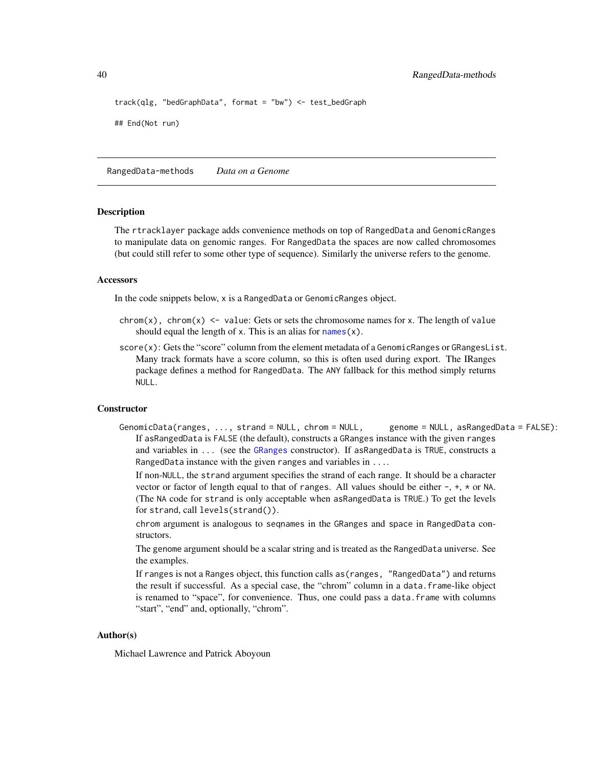```
track(qlg, "bedGraphData", format = "bw") <- test_bedGraph
## End(Not run)
```
RangedData-methods *Data on a Genome*

# **Description**

The rtracklayer package adds convenience methods on top of RangedData and GenomicRanges to manipulate data on genomic ranges. For RangedData the spaces are now called chromosomes (but could still refer to some other type of sequence). Similarly the universe refers to the genome.

#### **Accessors**

In the code snippets below, x is a RangedData or GenomicRanges object.

- chrom(x), chrom(x)  $\le$  value: Gets or sets the chromosome names for x. The length of value should equal the length of x. This is an alias for  $names(x)$  $names(x)$ .
- score(x): Gets the "score" column from the element metadata of a GenomicRanges or GRangesList. Many track formats have a score column, so this is often used during export. The IRanges package defines a method for RangedData. The ANY fallback for this method simply returns NULL.

# **Constructor**

GenomicData(ranges, ..., strand = NULL, chrom = NULL, genome = NULL, asRangedData = FALSE): If asRangedData is FALSE (the default), constructs a GRanges instance with the given ranges and variables in ... (see the [GRanges](#page-0-0) constructor). If asRangedData is TRUE, constructs a RangedData instance with the given ranges and variables in ....

If non-NULL, the strand argument specifies the strand of each range. It should be a character vector or factor of length equal to that of ranges. All values should be either -, +, \* or NA. (The NA code for strand is only acceptable when asRangedData is TRUE.) To get the levels for strand, call levels(strand()).

chrom argument is analogous to seqnames in the GRanges and space in RangedData constructors.

The genome argument should be a scalar string and is treated as the RangedData universe. See the examples.

If ranges is not a Ranges object, this function calls as(ranges, "RangedData") and returns the result if successful. As a special case, the "chrom" column in a data.frame-like object is renamed to "space", for convenience. Thus, one could pass a data.frame with columns "start", "end" and, optionally, "chrom".

# Author(s)

Michael Lawrence and Patrick Aboyoun

<span id="page-39-0"></span>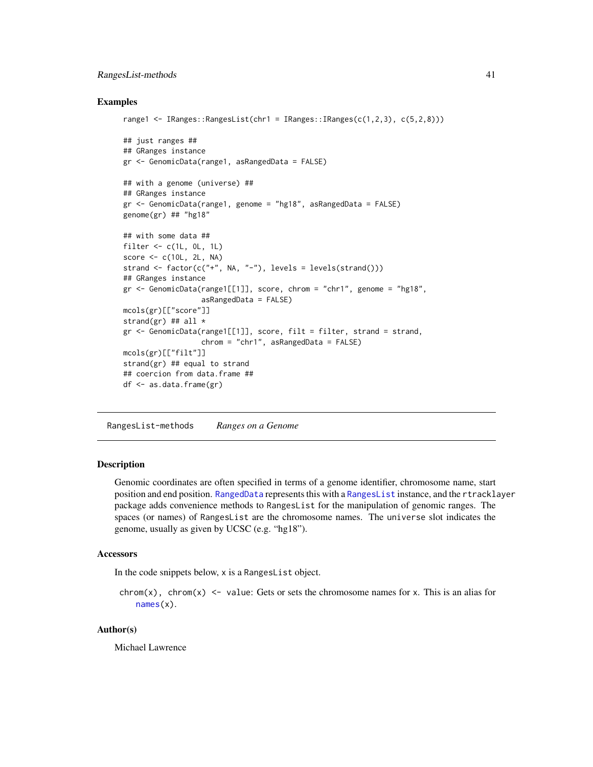# <span id="page-40-0"></span>RangesList-methods 41

# Examples

```
range1 <- IRanges::RangesList(chr1 = IRanges::IRanges(c(1,2,3), c(5,2,8)))
## just ranges ##
## GRanges instance
gr <- GenomicData(range1, asRangedData = FALSE)
## with a genome (universe) ##
## GRanges instance
gr <- GenomicData(range1, genome = "hg18", asRangedData = FALSE)
genome(gr) ## "hg18"
## with some data ##
filter \leq c(1L, 0L, 1L)
score <- c(10L, 2L, NA)
strand <- factor(c("+", NA, "-"), levels = levels(strand()))
## GRanges instance
gr <- GenomicData(range1[[1]], score, chrom = "chr1", genome = "hg18",
                  asRangedData = FALSE)
mcols(gr)[["score"]]
strand(gr) ## all *gr <- GenomicData(range1[[1]], score, filt = filter, strand = strand,
                  chrom = "chr1", asRangedData = FALSE)
mcols(gr)[["filt"]]
strand(gr) ## equal to strand
## coercion from data.frame ##
df <- as.data.frame(gr)
```
RangesList-methods *Ranges on a Genome*

# Description

Genomic coordinates are often specified in terms of a genome identifier, chromosome name, start position and end position. [RangedData](#page-0-0) represents this with a [RangesList](#page-0-0) instance, and the rtracklayer package adds convenience methods to RangesList for the manipulation of genomic ranges. The spaces (or names) of RangesList are the chromosome names. The universe slot indicates the genome, usually as given by UCSC (e.g. "hg18").

#### **Accessors**

In the code snippets below, x is a RangesList object.

chrom(x), chrom(x)  $\le$  value: Gets or sets the chromosome names for x. This is an alias for [names\(](#page-0-0)x).

# Author(s)

Michael Lawrence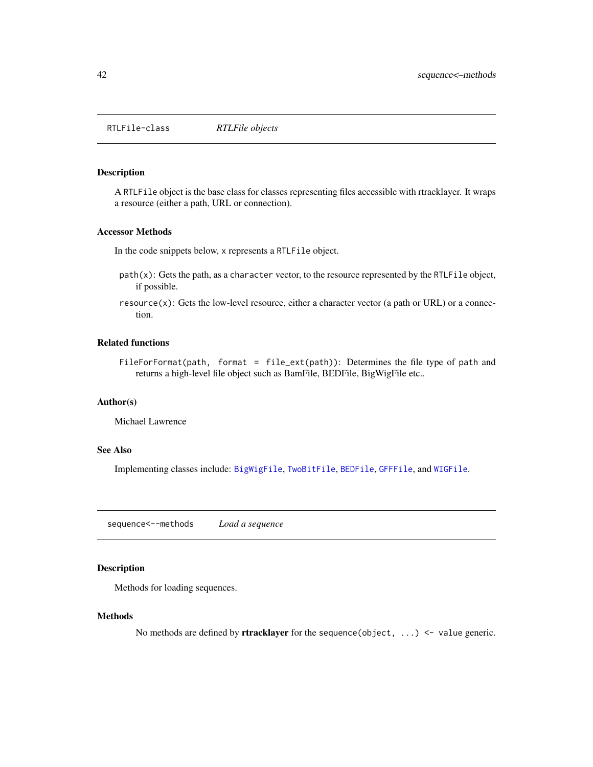<span id="page-41-1"></span><span id="page-41-0"></span>RTLFile-class *RTLFile objects*

# Description

A RTLFile object is the base class for classes representing files accessible with rtracklayer. It wraps a resource (either a path, URL or connection).

#### Accessor Methods

In the code snippets below, x represents a RTLFile object.

- $path(x)$ : Gets the path, as a character vector, to the resource represented by the RTLFile object, if possible.
- resource(x): Gets the low-level resource, either a character vector (a path or URL) or a connection.

# Related functions

FileForFormat(path, format = file\_ext(path)): Determines the file type of path and returns a high-level file object such as BamFile, BEDFile, BigWigFile etc..

# Author(s)

Michael Lawrence

#### See Also

Implementing classes include: [BigWigFile](#page-11-0), [TwoBitFile](#page-47-0), [BEDFile](#page-7-0), [GFFFile](#page-26-0), and [WIGFile](#page-61-0).

sequence<--methods *Load a sequence*

#### Description

Methods for loading sequences.

#### Methods

No methods are defined by **rtracklayer** for the sequence(object, ...) <- value generic.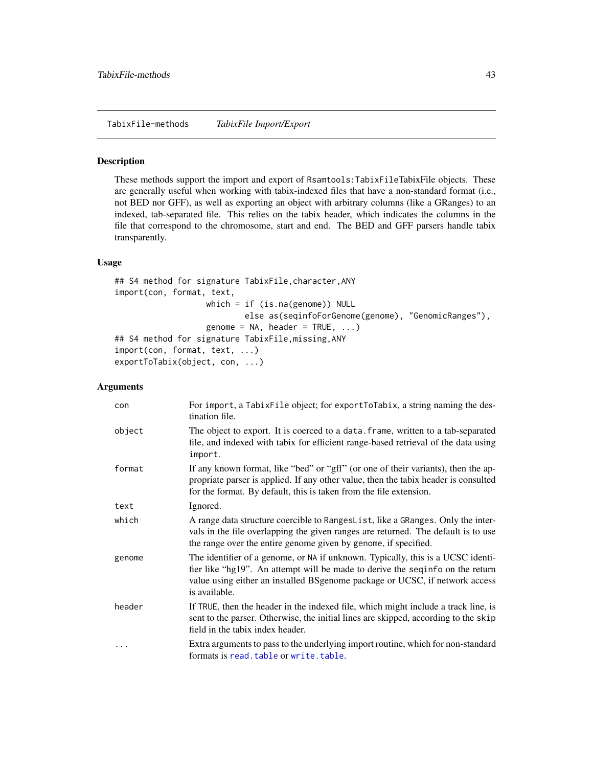<span id="page-42-0"></span>TabixFile-methods *TabixFile Import/Export*

#### Description

These methods support the import and export of Rsamtools:TabixFileTabixFile objects. These are generally useful when working with tabix-indexed files that have a non-standard format (i.e., not BED nor GFF), as well as exporting an object with arbitrary columns (like a GRanges) to an indexed, tab-separated file. This relies on the tabix header, which indicates the columns in the file that correspond to the chromosome, start and end. The BED and GFF parsers handle tabix transparently.

# Usage

```
## S4 method for signature TabixFile,character,ANY
import(con, format, text,
                   which = if (is.na(genome)) NULL
                           else as(seqinfoForGenome(genome), "GenomicRanges"),
                   genome = NA, header = TRUE, ...)
## S4 method for signature TabixFile,missing,ANY
import(con, format, text, ...)
exportToTabix(object, con, ...)
```
# Arguments

| con    | For import, a TabixFile object; for exportToTabix, a string naming the des-<br>tination file.                                                                                                                                                                    |
|--------|------------------------------------------------------------------------------------------------------------------------------------------------------------------------------------------------------------------------------------------------------------------|
| object | The object to export. It is coerced to a data. frame, written to a tab-separated<br>file, and indexed with tabix for efficient range-based retrieval of the data using<br>import.                                                                                |
| format | If any known format, like "bed" or "gff" (or one of their variants), then the ap-<br>propriate parser is applied. If any other value, then the tabix header is consulted<br>for the format. By default, this is taken from the file extension.                   |
| text   | Ignored.                                                                                                                                                                                                                                                         |
| which  | A range data structure coercible to RangesList, like a GRanges. Only the inter-<br>vals in the file overlapping the given ranges are returned. The default is to use<br>the range over the entire genome given by genome, if specified.                          |
| genome | The identifier of a genome, or NA if unknown. Typically, this is a UCSC identi-<br>fier like "hg19". An attempt will be made to derive the seqinfo on the return<br>value using either an installed BSgenome package or UCSC, if network access<br>is available. |
| header | If TRUE, then the header in the indexed file, which might include a track line, is<br>sent to the parser. Otherwise, the initial lines are skipped, according to the skip<br>field in the tabix index header.                                                    |
| .      | Extra arguments to pass to the underlying import routine, which for non-standard<br>formats is read, table or write, table.                                                                                                                                      |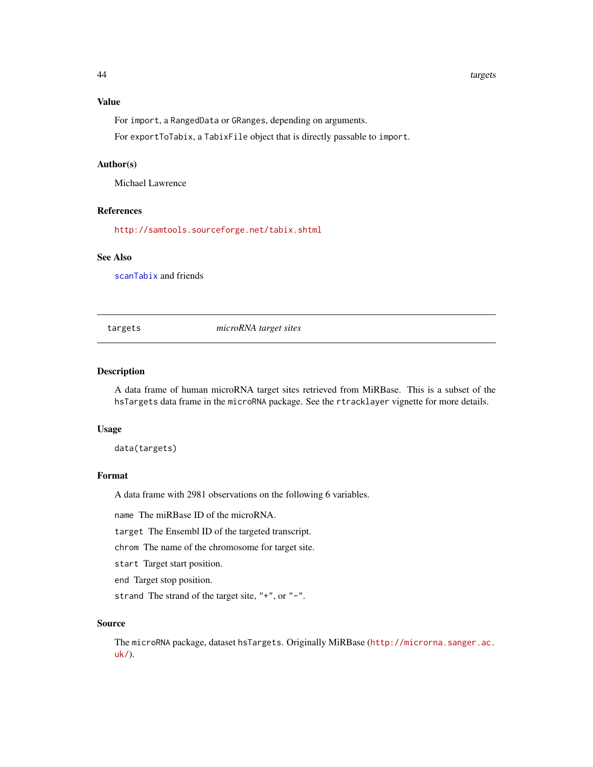# <span id="page-43-0"></span>Value

For import, a RangedData or GRanges, depending on arguments.

For exportToTabix, a TabixFile object that is directly passable to import.

# Author(s)

Michael Lawrence

# References

<http://samtools.sourceforge.net/tabix.shtml>

# See Also

[scanTabix](#page-0-0) and friends

targets *microRNA target sites*

#### Description

A data frame of human microRNA target sites retrieved from MiRBase. This is a subset of the hsTargets data frame in the microRNA package. See the rtracklayer vignette for more details.

# Usage

data(targets)

# Format

A data frame with 2981 observations on the following 6 variables.

name The miRBase ID of the microRNA.

target The Ensembl ID of the targeted transcript.

chrom The name of the chromosome for target site.

start Target start position.

end Target stop position.

strand The strand of the target site, "+", or "-".

#### Source

The microRNA package, dataset hsTargets. Originally MiRBase ([http://microrna.sanger.ac.](http://microrna.sanger.ac.uk/) [uk/](http://microrna.sanger.ac.uk/)).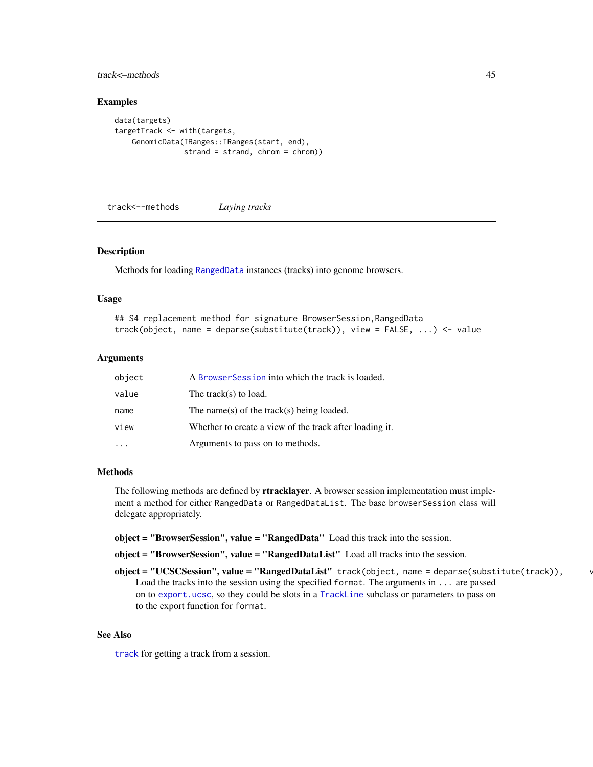# <span id="page-44-1"></span>track<–methods 45

# Examples

```
data(targets)
targetTrack <- with(targets,
    GenomicData(IRanges::IRanges(start, end),
                strand = strand, chrom = chrom))
```
track<--methods *Laying tracks*

# <span id="page-44-0"></span>Description

Methods for loading [RangedData](#page-0-0) instances (tracks) into genome browsers.

# Usage

```
## S4 replacement method for signature BrowserSession, RangedData
track(object, name = deparse(substitute(track)), view = FALSE, ...) <- value
```
# Arguments

| object | A Browser Session into which the track is loaded.       |
|--------|---------------------------------------------------------|
| value  | The track(s) to load.                                   |
| name   | The name(s) of the track(s) being loaded.               |
| view   | Whether to create a view of the track after loading it. |
|        | Arguments to pass on to methods.                        |

# Methods

The following methods are defined by **rtracklayer**. A browser session implementation must implement a method for either RangedData or RangedDataList. The base browserSession class will delegate appropriately.

```
object = "BrowserSession", value = "RangedData" Load this track into the session.
```

```
object = "BrowserSession", value = "RangedDataList" Load all tracks into the session.
```

```
object = "UCSCSession", value = "RangedDataList" track(object, name = deparse(substitute(track)),
    Load the tracks into the session using the specified format. The arguments in ... are passed
    on to export.ucsc, so they could be slots in a TrackLine subclass or parameters to pass on
    to the export function for format.
```
# See Also

[track](#page-55-0) for getting a track from a session.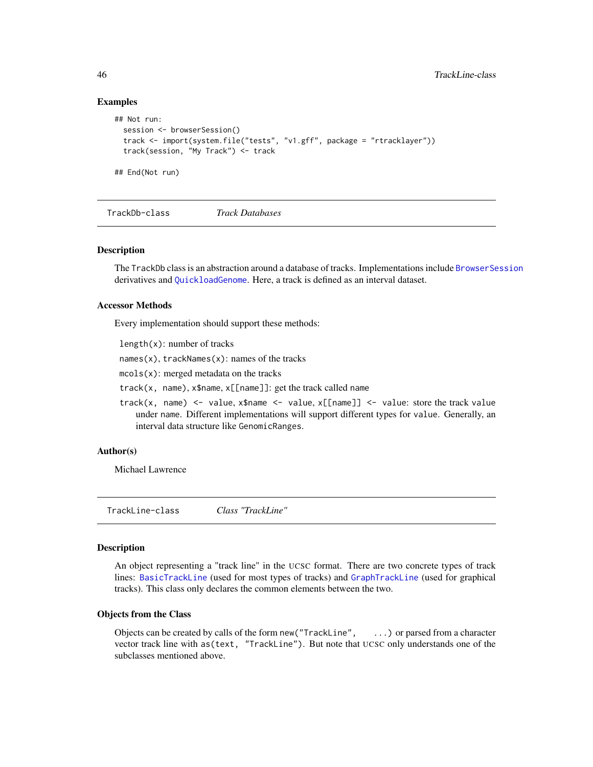# Examples

```
## Not run:
 session <- browserSession()
 track <- import(system.file("tests", "v1.gff", package = "rtracklayer"))
 track(session, "My Track") <- track
```
## End(Not run)

TrackDb-class *Track Databases*

#### Description

The TrackDb class is an abstraction around a database of tracks. Implementations include [BrowserSession](#page-17-0) derivatives and [QuickloadGenome](#page-37-0). Here, a track is defined as an interval dataset.

#### Accessor Methods

Every implementation should support these methods:

length(x): number of tracks

names(x), trackNames(x): names of the tracks

mcols(x): merged metadata on the tracks

track(x, name), x\$name, x[[name]]: get the track called name

track(x, name) <- value, x\$name <- value, x[[name]] <- value: store the track value under name. Different implementations will support different types for value. Generally, an interval data structure like GenomicRanges.

# Author(s)

Michael Lawrence

<span id="page-45-0"></span>TrackLine-class *Class "TrackLine"*

# **Description**

An object representing a "track line" in the UCSC format. There are two concrete types of track lines: [BasicTrackLine](#page-5-0) (used for most types of tracks) and [GraphTrackLine](#page-31-0) (used for graphical tracks). This class only declares the common elements between the two.

#### Objects from the Class

Objects can be created by calls of the form new("TrackLine", ...) or parsed from a character vector track line with as(text, "TrackLine"). But note that UCSC only understands one of the subclasses mentioned above.

<span id="page-45-1"></span>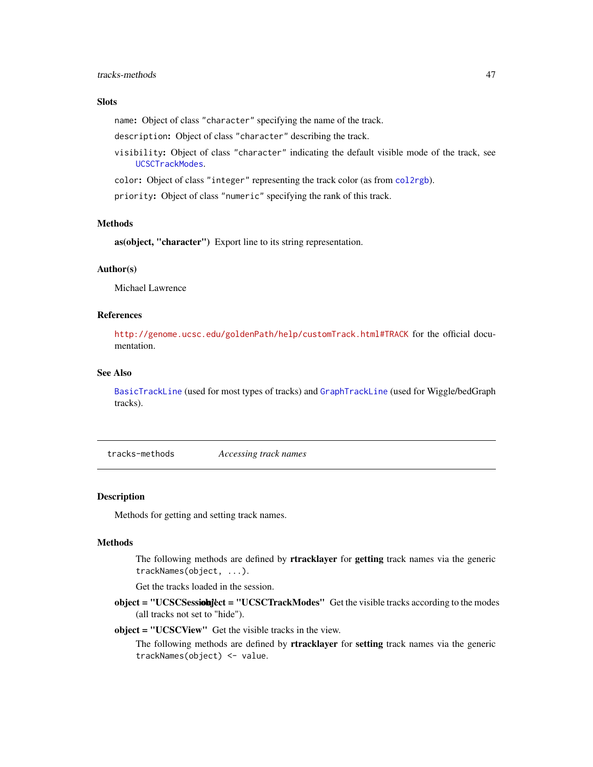# <span id="page-46-1"></span>tracks-methods 47

# **Slots**

name: Object of class "character" specifying the name of the track.

description: Object of class "character" describing the track.

visibility: Object of class "character" indicating the default visible mode of the track, see [UCSCTrackModes](#page-58-0).

color: Object of class "integer" representing the track color (as from [col2rgb](#page-0-0)).

priority: Object of class "numeric" specifying the rank of this track.

# **Methods**

as(object, "character") Export line to its string representation.

# Author(s)

Michael Lawrence

# References

<http://genome.ucsc.edu/goldenPath/help/customTrack.html#TRACK> for the official documentation.

# See Also

[BasicTrackLine](#page-5-0) (used for most types of tracks) and [GraphTrackLine](#page-31-0) (used for Wiggle/bedGraph tracks).

tracks-methods *Accessing track names*

# <span id="page-46-0"></span>**Description**

Methods for getting and setting track names.

# **Methods**

The following methods are defined by rtracklayer for getting track names via the generic trackNames(object, ...).

Get the tracks loaded in the session.

- object = "UCSCSession et = "UCSCTrackModes" Get the visible tracks according to the modes (all tracks not set to "hide").
- object = "UCSCView" Get the visible tracks in the view.

The following methods are defined by rtracklayer for setting track names via the generic trackNames(object) <- value.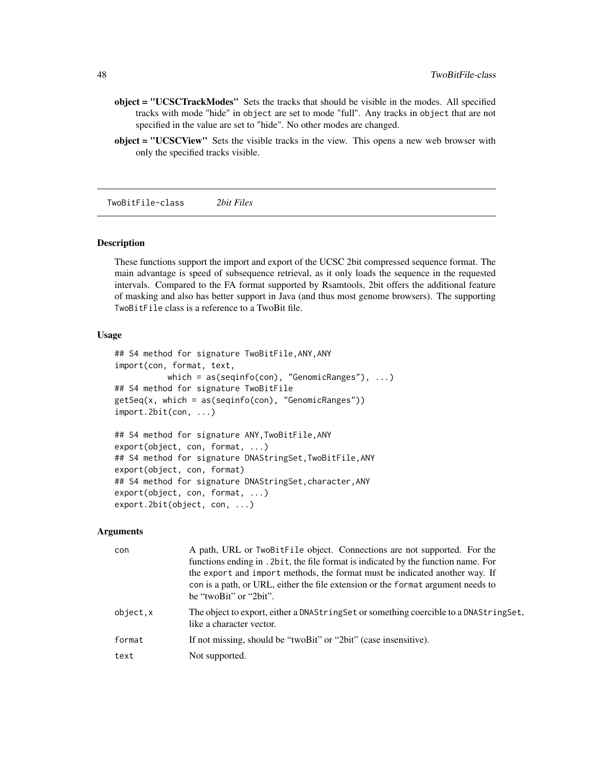- <span id="page-47-1"></span>object = "UCSCTrackModes" Sets the tracks that should be visible in the modes. All specified tracks with mode "hide" in object are set to mode "full". Any tracks in object that are not specified in the value are set to "hide". No other modes are changed.
- object = "UCSCView" Sets the visible tracks in the view. This opens a new web browser with only the specified tracks visible.

<span id="page-47-0"></span>TwoBitFile-class *2bit Files*

# **Description**

These functions support the import and export of the UCSC 2bit compressed sequence format. The main advantage is speed of subsequence retrieval, as it only loads the sequence in the requested intervals. Compared to the FA format supported by Rsamtools, 2bit offers the additional feature of masking and also has better support in Java (and thus most genome browsers). The supporting TwoBitFile class is a reference to a TwoBit file.

# Usage

```
## S4 method for signature TwoBitFile,ANY,ANY
import(con, format, text,
           which = as(seqinfo(con), "GenomicRanges"), ...)
## S4 method for signature TwoBitFile
getSeq(x, which = as(seqinfo(con), "GenomicRanges"))
import.2bit(con, ...)
## S4 method for signature ANY,TwoBitFile,ANY
export(object, con, format, ...)
## S4 method for signature DNAStringSet,TwoBitFile,ANY
export(object, con, format)
## S4 method for signature DNAStringSet,character,ANY
export(object, con, format, ...)
export.2bit(object, con, ...)
```
#### Arguments

| con      | A path, URL or TwoBitFile object. Connections are not supported. For the<br>functions ending in . 2bit, the file format is indicated by the function name. For<br>the export and import methods, the format must be indicated another way. If<br>con is a path, or URL, either the file extension or the format argument needs to<br>be "twoBit" or "2bit". |
|----------|-------------------------------------------------------------------------------------------------------------------------------------------------------------------------------------------------------------------------------------------------------------------------------------------------------------------------------------------------------------|
| object.x | The object to export, either a DNAString Set or something coercible to a DNAString Set,<br>like a character vector.                                                                                                                                                                                                                                         |
| format   | If not missing, should be "twoBit" or "2bit" (case insensitive).                                                                                                                                                                                                                                                                                            |
| text     | Not supported.                                                                                                                                                                                                                                                                                                                                              |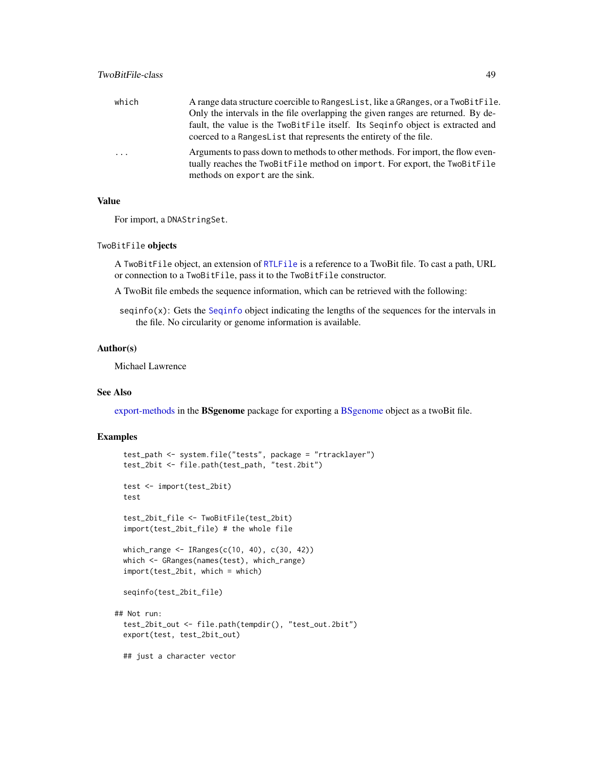| which    | A range data structure coercible to Ranges List, like a GRanges, or a Two Bit File.                                                                                                             |
|----------|-------------------------------------------------------------------------------------------------------------------------------------------------------------------------------------------------|
|          | Only the intervals in the file overlapping the given ranges are returned. By de-                                                                                                                |
|          | fault, the value is the TwoBitFile itself. Its Seqinfo object is extracted and                                                                                                                  |
|          | coerced to a Range slight that represents the entirety of the file.                                                                                                                             |
| $\cdots$ | Arguments to pass down to methods to other methods. For import, the flow even-<br>tually reaches the TwoBitFile method on import. For export, the TwoBitFile<br>methods on export are the sink. |

# Value

For import, a DNAStringSet.

#### TwoBitFile objects

A TwoBitFile object, an extension of [RTLFile](#page-41-0) is a reference to a TwoBit file. To cast a path, URL or connection to a TwoBitFile, pass it to the TwoBitFile constructor.

A TwoBit file embeds the sequence information, which can be retrieved with the following:

 $seqinfo(x)$ : Gets the Sequinfo object indicating the lengths of the sequences for the intervals in the file. No circularity or genome information is available.

#### Author(s)

Michael Lawrence

# See Also

[export-methods](#page-0-0) in the BSgenome package for exporting a [BSgenome](#page-0-0) object as a twoBit file.

# Examples

```
test_path <- system.file("tests", package = "rtracklayer")
 test_2bit <- file.path(test_path, "test.2bit")
 test <- import(test_2bit)
 test
 test_2bit_file <- TwoBitFile(test_2bit)
 import(test_2bit_file) # the whole file
 which_range <- IRanges(c(10, 40), c(30, 42))
 which <- GRanges(names(test), which_range)
 import(test_2bit, which = which)
 seqinfo(test_2bit_file)
## Not run:
 test_2bit_out <- file.path(tempdir(), "test_out.2bit")
 export(test, test_2bit_out)
 ## just a character vector
```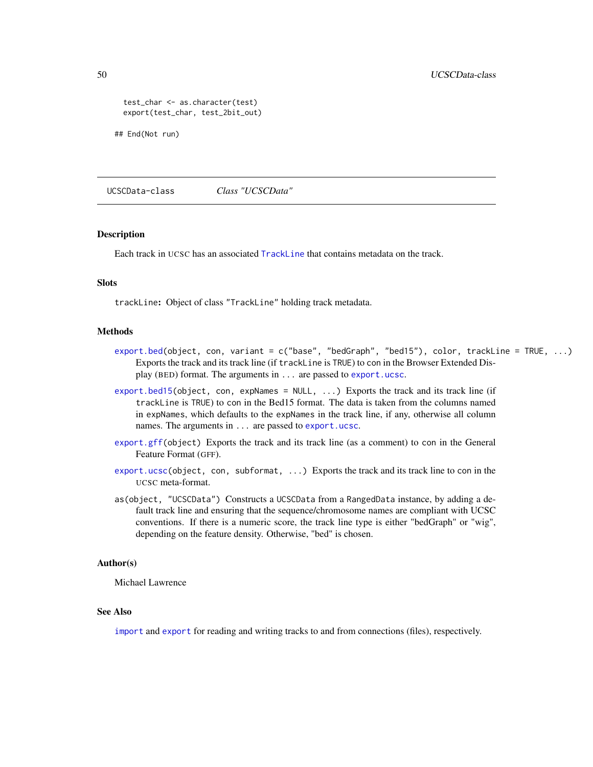```
test_char <- as.character(test)
export(test_char, test_2bit_out)
```
## End(Not run)

<span id="page-49-0"></span>UCSCData-class *Class "UCSCData"*

#### Description

Each track in UCSC has an associated [TrackLine](#page-45-0) that contains metadata on the track.

# **Slots**

trackLine: Object of class "TrackLine" holding track metadata.

#### Methods

- [export.bed\(](#page-7-1)object, con, variant = c("base", "bedGraph", "bed15"), color, trackLine = TRUE, ...) Exports the track and its track line (if trackLine is TRUE) to con in the Browser Extended Display (BED) format. The arguments in ... are passed to [export.ucsc](#page-50-0).
- [export.bed15\(](#page-7-1)object, con, expNames = NULL, ...) Exports the track and its track line (if trackLine is TRUE) to con in the Bed15 format. The data is taken from the columns named in expNames, which defaults to the expNames in the track line, if any, otherwise all column names. The arguments in ... are passed to [export.ucsc](#page-50-0).
- [export.gff\(](#page-26-1)object) Exports the track and its track line (as a comment) to con in the General Feature Format (GFF).
- [export.ucsc\(](#page-50-0)object, con, subformat, ...) Exports the track and its track line to con in the UCSC meta-format.
- as(object, "UCSCData") Constructs a UCSCData from a RangedData instance, by adding a default track line and ensuring that the sequence/chromosome names are compliant with UCSC conventions. If there is a numeric score, the track line type is either "bedGraph" or "wig", depending on the feature density. Otherwise, "bed" is chosen.

#### Author(s)

Michael Lawrence

# See Also

[import](#page-32-0) and [export](#page-32-0) for reading and writing tracks to and from connections (files), respectively.

<span id="page-49-1"></span>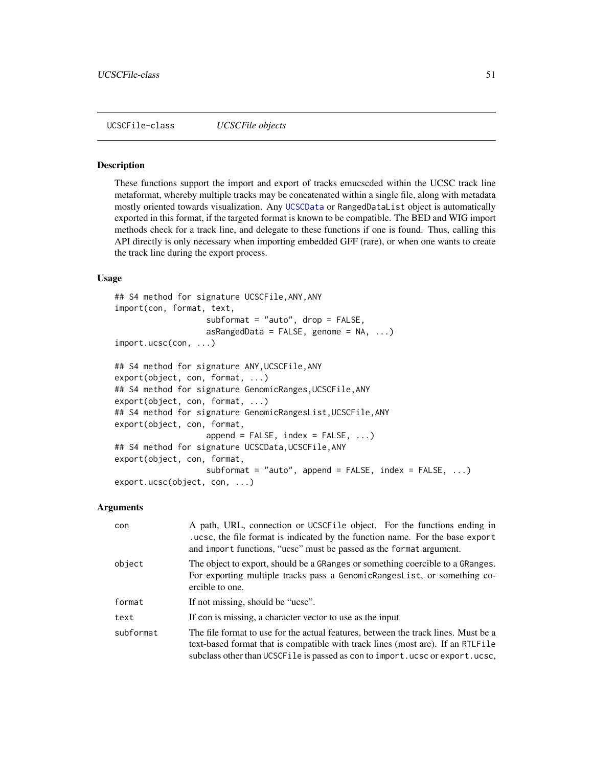<span id="page-50-1"></span>UCSCFile-class *UCSCFile objects*

#### <span id="page-50-0"></span>Description

These functions support the import and export of tracks emucscded within the UCSC track line metaformat, whereby multiple tracks may be concatenated within a single file, along with metadata mostly oriented towards visualization. Any [UCSCData](#page-49-0) or RangedDataList object is automatically exported in this format, if the targeted format is known to be compatible. The BED and WIG import methods check for a track line, and delegate to these functions if one is found. Thus, calling this API directly is only necessary when importing embedded GFF (rare), or when one wants to create the track line during the export process.

# Usage

```
## S4 method for signature UCSCFile,ANY,ANY
import(con, format, text,
                  subformat = "auto", drop = FALSE,
                   asRangedData = FALSE, genome = NA, ...)import.ucsc(con, ...)
## S4 method for signature ANY,UCSCFile,ANY
export(object, con, format, ...)
## S4 method for signature GenomicRanges,UCSCFile,ANY
export(object, con, format, ...)
## S4 method for signature GenomicRangesList,UCSCFile,ANY
export(object, con, format,
                   append = FALSE, index = FALSE, ...)## S4 method for signature UCSCData,UCSCFile,ANY
export(object, con, format,
                   subformat = "auto", append = FALSE, index = FALSE, ...)
export.ucsc(object, con, ...)
```
#### Arguments

| con       | A path, URL, connection or UCSCF <sub>1</sub> le object. For the functions ending in<br>ucsc, the file format is indicated by the function name. For the base export<br>and import functions, "ucsc" must be passed as the format argument.          |
|-----------|------------------------------------------------------------------------------------------------------------------------------------------------------------------------------------------------------------------------------------------------------|
| object    | The object to export, should be a GRanges or something coercible to a GRanges.<br>For exporting multiple tracks pass a GenomicRangesList, or something co-<br>ercible to one.                                                                        |
| format    | If not missing, should be "ucsc".                                                                                                                                                                                                                    |
| text      | If con is missing, a character vector to use as the input                                                                                                                                                                                            |
| subformat | The file format to use for the actual features, between the track lines. Must be a<br>text-based format that is compatible with track lines (most are). If an RTLFile<br>subclass other than UCSCFile is passed as conto import.ucsc or export.ucsc, |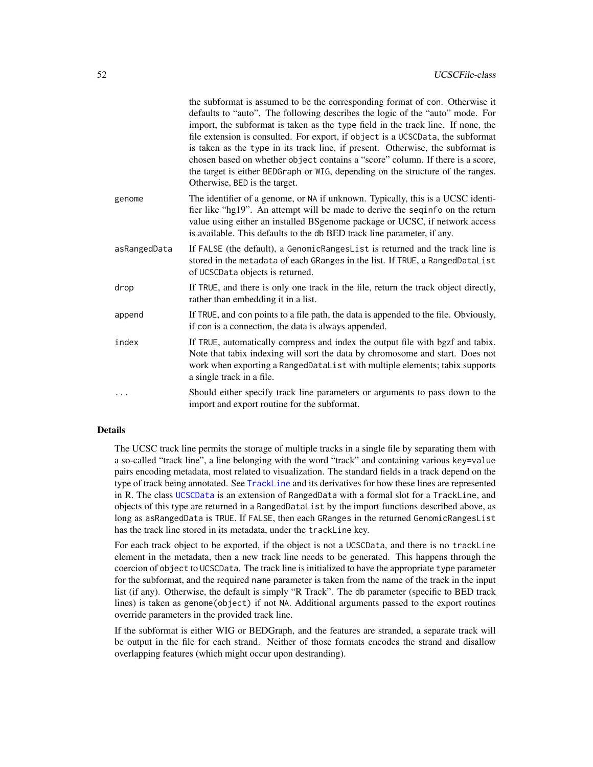|              | the subformat is assumed to be the corresponding format of con. Otherwise it<br>defaults to "auto". The following describes the logic of the "auto" mode. For<br>import, the subformat is taken as the type field in the track line. If none, the<br>file extension is consulted. For export, if object is a UCSCData, the subformat<br>is taken as the type in its track line, if present. Otherwise, the subformat is<br>chosen based on whether object contains a "score" column. If there is a score,<br>the target is either BEDGraph or WIG, depending on the structure of the ranges.<br>Otherwise, BED is the target. |
|--------------|-------------------------------------------------------------------------------------------------------------------------------------------------------------------------------------------------------------------------------------------------------------------------------------------------------------------------------------------------------------------------------------------------------------------------------------------------------------------------------------------------------------------------------------------------------------------------------------------------------------------------------|
| genome       | The identifier of a genome, or NA if unknown. Typically, this is a UCSC identi-<br>fier like "hg19". An attempt will be made to derive the seqinfo on the return<br>value using either an installed BSgenome package or UCSC, if network access<br>is available. This defaults to the db BED track line parameter, if any.                                                                                                                                                                                                                                                                                                    |
| asRangedData | If FALSE (the default), a GenomicRangesList is returned and the track line is<br>stored in the metadata of each GRanges in the list. If TRUE, a RangedDataList<br>of UCSCData objects is returned.                                                                                                                                                                                                                                                                                                                                                                                                                            |
| drop         | If TRUE, and there is only one track in the file, return the track object directly,<br>rather than embedding it in a list.                                                                                                                                                                                                                                                                                                                                                                                                                                                                                                    |
| append       | If TRUE, and con points to a file path, the data is appended to the file. Obviously,<br>if con is a connection, the data is always appended.                                                                                                                                                                                                                                                                                                                                                                                                                                                                                  |
| index        | If TRUE, automatically compress and index the output file with bgzf and tabix.<br>Note that tabix indexing will sort the data by chromosome and start. Does not<br>work when exporting a RangedDataList with multiple elements; tabix supports<br>a single track in a file.                                                                                                                                                                                                                                                                                                                                                   |
| .            | Should either specify track line parameters or arguments to pass down to the<br>import and export routine for the subformat.                                                                                                                                                                                                                                                                                                                                                                                                                                                                                                  |

# Details

The UCSC track line permits the storage of multiple tracks in a single file by separating them with a so-called "track line", a line belonging with the word "track" and containing various key=value pairs encoding metadata, most related to visualization. The standard fields in a track depend on the type of track being annotated. See [TrackLine](#page-45-0) and its derivatives for how these lines are represented in R. The class [UCSCData](#page-49-0) is an extension of RangedData with a formal slot for a TrackLine, and objects of this type are returned in a RangedDataList by the import functions described above, as long as asRangedData is TRUE. If FALSE, then each GRanges in the returned GenomicRangesList has the track line stored in its metadata, under the trackLine key.

For each track object to be exported, if the object is not a UCSCData, and there is no trackLine element in the metadata, then a new track line needs to be generated. This happens through the coercion of object to UCSCData. The track line is initialized to have the appropriate type parameter for the subformat, and the required name parameter is taken from the name of the track in the input list (if any). Otherwise, the default is simply "R Track". The db parameter (specific to BED track lines) is taken as genome(object) if not NA. Additional arguments passed to the export routines override parameters in the provided track line.

If the subformat is either WIG or BEDGraph, and the features are stranded, a separate track will be output in the file for each strand. Neither of those formats encodes the strand and disallow overlapping features (which might occur upon destranding).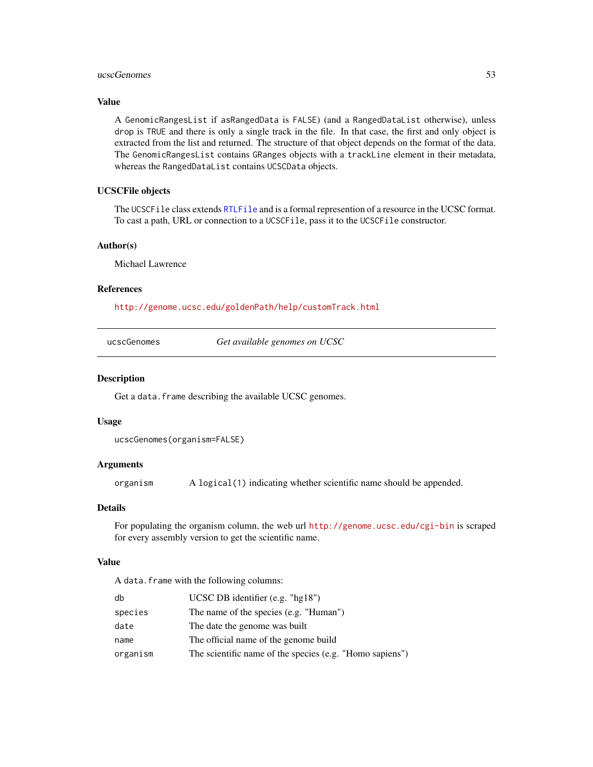# <span id="page-52-0"></span>ucscGenomes 53

# Value

A GenomicRangesList if asRangedData is FALSE) (and a RangedDataList otherwise), unless drop is TRUE and there is only a single track in the file. In that case, the first and only object is extracted from the list and returned. The structure of that object depends on the format of the data. The GenomicRangesList contains GRanges objects with a trackLine element in their metadata, whereas the RangedDataList contains UCSCData objects.

# UCSCFile objects

The UCSCFile class extends [RTLFile](#page-41-0) and is a formal represention of a resource in the UCSC format. To cast a path, URL or connection to a UCSCFile, pass it to the UCSCFile constructor.

# Author(s)

Michael Lawrence

#### References

<http://genome.ucsc.edu/goldenPath/help/customTrack.html>

ucscGenomes *Get available genomes on UCSC*

# Description

Get a data. frame describing the available UCSC genomes.

#### Usage

```
ucscGenomes(organism=FALSE)
```
# Arguments

organism A logical(1) indicating whether scientific name should be appended.

# Details

For populating the organism column, the web url <http://genome.ucsc.edu/cgi-bin> is scraped for every assembly version to get the scientific name.

# Value

A data.frame with the following columns:

| db       | UCSC DB identifier (e.g. $"hg18"$ )                      |
|----------|----------------------------------------------------------|
| species  | The name of the species (e.g. "Human")                   |
| date     | The date the genome was built                            |
| name     | The official name of the genome build                    |
| organism | The scientific name of the species (e.g. "Homo sapiens") |
|          |                                                          |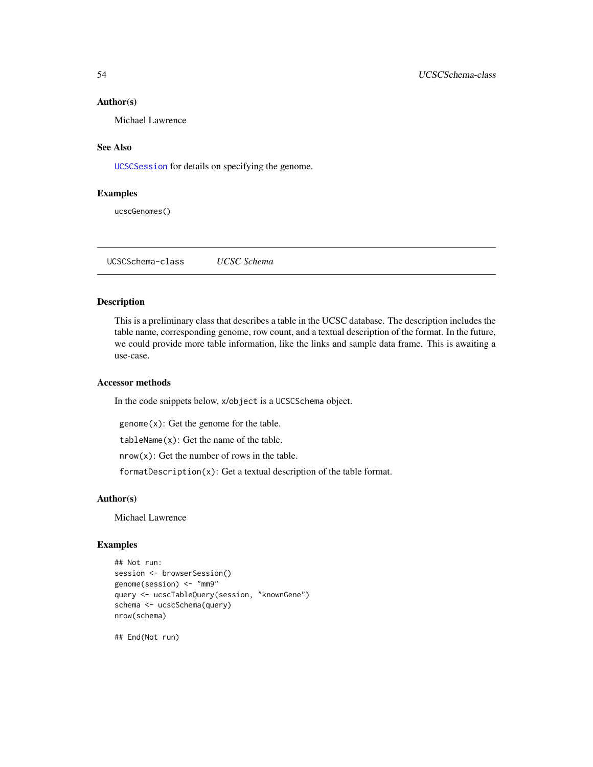# Author(s)

Michael Lawrence

# See Also

[UCSCSession](#page-54-0) for details on specifying the genome.

#### Examples

ucscGenomes()

<span id="page-53-0"></span>UCSCSchema-class *UCSC Schema*

# Description

This is a preliminary class that describes a table in the UCSC database. The description includes the table name, corresponding genome, row count, and a textual description of the format. In the future, we could provide more table information, like the links and sample data frame. This is awaiting a use-case.

# Accessor methods

In the code snippets below, x/object is a UCSCSchema object.

 $genome(x)$ : Get the genome for the table.

tableName(x): Get the name of the table.

 $nrow(x)$ : Get the number of rows in the table.

formatDescription(x): Get a textual description of the table format.

#### Author(s)

Michael Lawrence

#### Examples

```
## Not run:
session <- browserSession()
genome(session) <- "mm9"
query <- ucscTableQuery(session, "knownGene")
schema <- ucscSchema(query)
nrow(schema)
```
## End(Not run)

<span id="page-53-1"></span>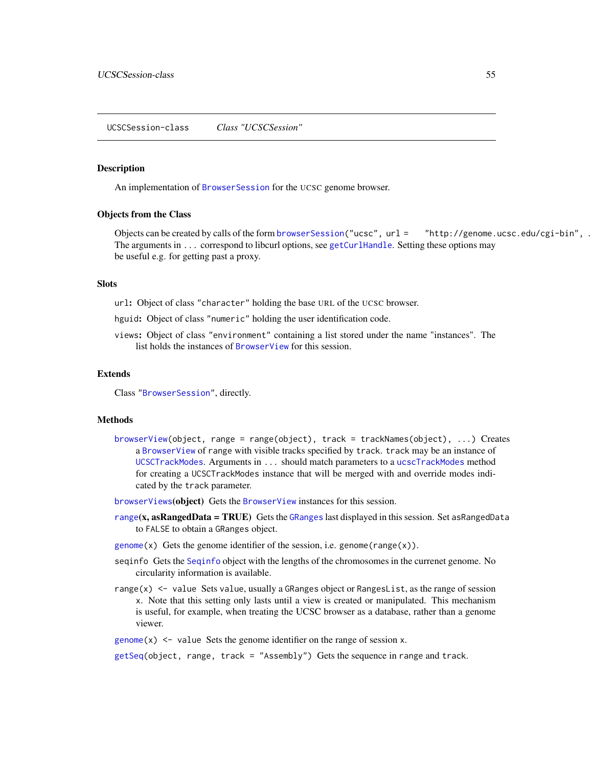#### <span id="page-54-1"></span><span id="page-54-0"></span>Description

An implementation of [BrowserSession](#page-17-0) for the UCSC genome browser.

# Objects from the Class

Objects can be created by calls of the form [browserSession\(](#page-18-0)"ucsc", url = "http://genome.ucsc.edu/cgi-bin", . The arguments in . . . correspond to libcurl options, see [getCurlHandle](#page-0-0). Setting these options may be useful e.g. for getting past a proxy.

#### **Slots**

url: Object of class "character" holding the base URL of the UCSC browser.

hguid: Object of class "numeric" holding the user identification code.

views: Object of class "environment" containing a list stored under the name "instances". The list holds the instances of [BrowserView](#page-19-0) for this session.

# Extends

Class ["BrowserSession"](#page-17-0), directly.

# Methods

- [browserView\(](#page-20-0)object, range = range(object), track = trackNames(object), ...) Creates a [BrowserView](#page-19-0) of range with visible tracks specified by track. track may be an instance of [UCSCTrackModes](#page-58-0). Arguments in ... should match parameters to a [ucscTrackModes](#page-59-0) method for creating a UCSCTrackModes instance that will be merged with and override modes indicated by the track parameter.
- [browserViews](#page-21-0)(object) Gets the [BrowserView](#page-19-0) instances for this session.
- $range(x, asRangeData = TRUE)$  $range(x, asRangeData = TRUE)$  Gets the [GRanges](#page-0-0) last displayed in this session. Set asRangedData to FALSE to obtain a GRanges object.
- [genome\(](#page-0-0)x) Gets the genome identifier of the session, i.e. genome(range(x)).
- seqinfo Gets the [Seqinfo](#page-0-0) object with the lengths of the chromosomes in the currenet genome. No circularity information is available.
- range(x)  $\le$  value Sets value, usually a GRanges object or RangesList, as the range of session x. Note that this setting only lasts until a view is created or manipulated. This mechanism is useful, for example, when treating the UCSC browser as a database, rather than a genome viewer.
- [genome\(](#page-0-0)x)  $\le$  value Sets the genome identifier on the range of session x.

[getSeq\(](#page-0-0)object, range, track = "Assembly") Gets the sequence in range and track.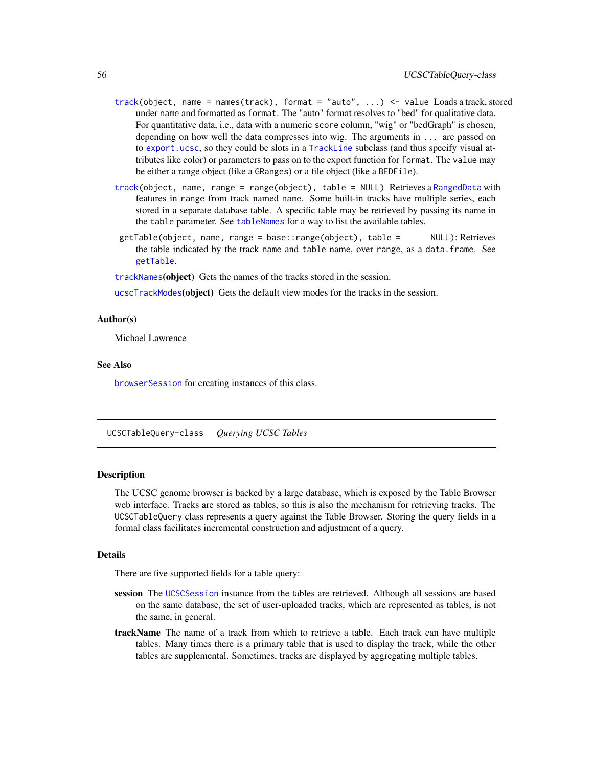- <span id="page-55-1"></span>[track\(](#page-44-0)object, name = names(track), format = "auto", ...) <- value Loads a track, stored under name and formatted as format. The "auto" format resolves to "bed" for qualitative data. For quantitative data, i.e., data with a numeric score column, "wig" or "bedGraph" is chosen, depending on how well the data compresses into wig. The arguments in ... are passed on to [export.ucsc](#page-50-0), so they could be slots in a [TrackLine](#page-45-0) subclass (and thus specify visual attributes like color) or parameters to pass on to the export function for format. The value may be either a range object (like a GRanges) or a file object (like a BEDFile).
- [track\(](#page-55-0)object, name, range = range(object), table = NULL) Retrieves a [RangedData](#page-0-0) with features in range from track named name. Some built-in tracks have multiple series, each stored in a separate database table. A specific table may be retrieved by passing its name in the table parameter. See [tableNames](#page-55-0) for a way to list the available tables.
- getTable(object, name, range = base::range(object), table = NULL): Retrieves the table indicated by the track name and table name, over range, as a data.frame. See [getTable](#page-55-0).

[trackNames](#page-46-0)(object) Gets the names of the tracks stored in the session.

[ucscTrackModes](#page-59-0)(object) Gets the default view modes for the tracks in the session.

# Author(s)

Michael Lawrence

#### See Also

[browserSession](#page-18-0) for creating instances of this class.

UCSCTableQuery-class *Querying UCSC Tables*

# <span id="page-55-0"></span>Description

The UCSC genome browser is backed by a large database, which is exposed by the Table Browser web interface. Tracks are stored as tables, so this is also the mechanism for retrieving tracks. The UCSCTableQuery class represents a query against the Table Browser. Storing the query fields in a formal class facilitates incremental construction and adjustment of a query.

#### Details

There are five supported fields for a table query:

- session The [UCSCSession](#page-54-0) instance from the tables are retrieved. Although all sessions are based on the same database, the set of user-uploaded tracks, which are represented as tables, is not the same, in general.
- trackName The name of a track from which to retrieve a table. Each track can have multiple tables. Many times there is a primary table that is used to display the track, while the other tables are supplemental. Sometimes, tracks are displayed by aggregating multiple tables.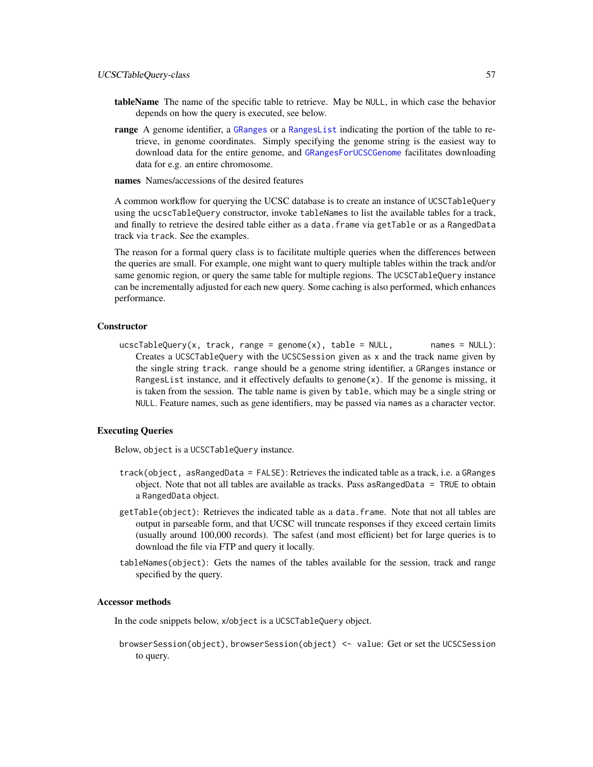- tableName The name of the specific table to retrieve. May be NULL, in which case the behavior depends on how the query is executed, see below.
- range A genome identifier, a [GRanges](#page-0-0) or a [RangesList](#page-0-0) indicating the portion of the table to retrieve, in genome coordinates. Simply specifying the genome string is the easiest way to download data for the entire genome, and [GRangesForUCSCGenome](#page-30-0) facilitates downloading data for e.g. an entire chromosome.

names Names/accessions of the desired features

A common workflow for querying the UCSC database is to create an instance of UCSCTableQuery using the ucscTableQuery constructor, invoke tableNames to list the available tables for a track, and finally to retrieve the desired table either as a data.frame via getTable or as a RangedData track via track. See the examples.

The reason for a formal query class is to facilitate multiple queries when the differences between the queries are small. For example, one might want to query multiple tables within the track and/or same genomic region, or query the same table for multiple regions. The UCSCTableQuery instance can be incrementally adjusted for each new query. Some caching is also performed, which enhances performance.

# **Constructor**

 $uscTableQuery(x, track, range = genome(x), table = NULL, names = NULL):$ Creates a UCSCTableQuery with the UCSCSession given as x and the track name given by the single string track. range should be a genome string identifier, a GRanges instance or RangesList instance, and it effectively defaults to genome $(x)$ . If the genome is missing, it is taken from the session. The table name is given by table, which may be a single string or NULL. Feature names, such as gene identifiers, may be passed via names as a character vector.

# Executing Queries

Below, object is a UCSCTableQuery instance.

- track(object, asRangedData = FALSE): Retrieves the indicated table as a track, i.e. a GRanges object. Note that not all tables are available as tracks. Pass asRangedData = TRUE to obtain a RangedData object.
- getTable(object): Retrieves the indicated table as a data.frame. Note that not all tables are output in parseable form, and that UCSC will truncate responses if they exceed certain limits (usually around 100,000 records). The safest (and most efficient) bet for large queries is to download the file via FTP and query it locally.
- tableNames(object): Gets the names of the tables available for the session, track and range specified by the query.

# Accessor methods

In the code snippets below, x/object is a UCSCTableQuery object.

browserSession(object), browserSession(object) <- value: Get or set the UCSCSession to query.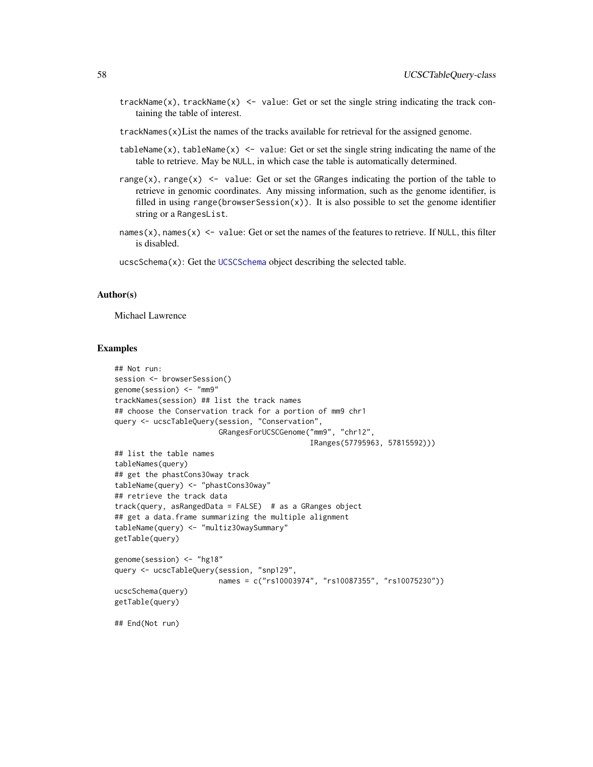- $trackName(x), trackName(x) < -$  value: Get or set the single string indicating the track containing the table of interest.
- $trackNames(x)List$  the names of the tracks available for retrieval for the assigned genome.
- tableName(x), tableName(x)  $\leq$  value: Get or set the single string indicating the name of the table to retrieve. May be NULL, in which case the table is automatically determined.
- range(x), range(x)  $\le$  value: Get or set the GRanges indicating the portion of the table to retrieve in genomic coordinates. Any missing information, such as the genome identifier, is filled in using range(browserSession(x)). It is also possible to set the genome identifier string or a RangesList.
- names(x), names(x)  $\le$  value: Get or set the names of the features to retrieve. If NULL, this filter is disabled.
- ucscSchema(x): Get the [UCSCSchema](#page-53-0) object describing the selected table.

# Author(s)

Michael Lawrence

#### Examples

```
## Not run:
session <- browserSession()
genome(session) <- "mm9"
trackNames(session) ## list the track names
## choose the Conservation track for a portion of mm9 chr1
query <- ucscTableQuery(session, "Conservation",
                        GRangesForUCSCGenome("mm9", "chr12",
                                             IRanges(57795963, 57815592)))
## list the table names
tableNames(query)
## get the phastCons30way track
tableName(query) <- "phastCons30way"
## retrieve the track data
track(query, asRangedData = FALSE) # as a GRanges object
## get a data.frame summarizing the multiple alignment
tableName(query) <- "multiz30waySummary"
getTable(query)
genome(session) <- "hg18"
query <- ucscTableQuery(session, "snp129",
                        names = c("rs10003974", "rs10087355", "rs10075230"))
ucscSchema(query)
getTable(query)
## End(Not run)
```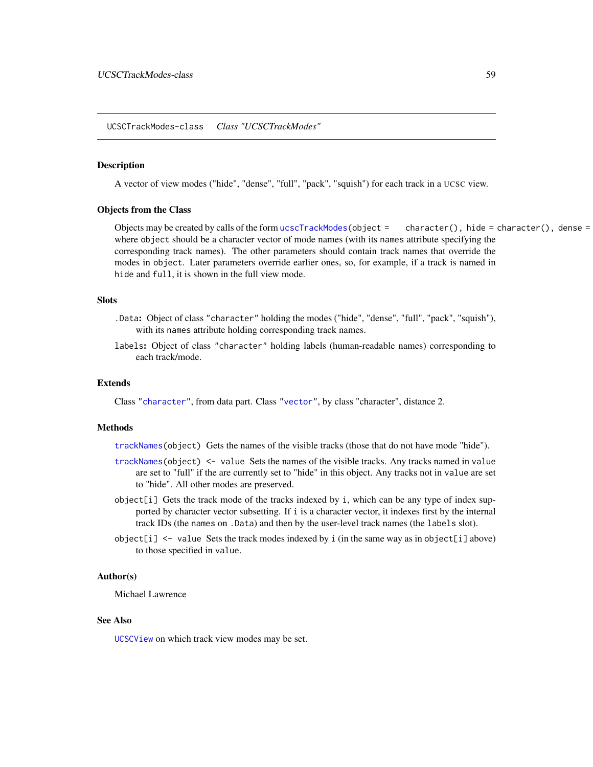<span id="page-58-1"></span><span id="page-58-0"></span>UCSCTrackModes-class *Class "UCSCTrackModes"*

# Description

A vector of view modes ("hide", "dense", "full", "pack", "squish") for each track in a UCSC view.

# Objects from the Class

Objects may be created by calls of the form [ucscTrackModes\(](#page-59-0)object = character(), hide = character(), dense = where object should be a character vector of mode names (with its names attribute specifying the corresponding track names). The other parameters should contain track names that override the modes in object. Later parameters override earlier ones, so, for example, if a track is named in hide and full, it is shown in the full view mode.

# **Slots**

- .Data: Object of class "character" holding the modes ("hide", "dense", "full", "pack", "squish"), with its names attribute holding corresponding track names.
- labels: Object of class "character" holding labels (human-readable names) corresponding to each track/mode.

# Extends

Class ["character"](#page-0-0), from data part. Class ["vector"](#page-0-0), by class "character", distance 2.

# Methods

[trackNames\(](#page-46-0)object) Gets the names of the visible tracks (those that do not have mode "hide").

- [trackNames\(](#page-46-0)object) <- value Sets the names of the visible tracks. Any tracks named in value are set to "full" if the are currently set to "hide" in this object. Any tracks not in value are set to "hide". All other modes are preserved.
- $object[i]$  Gets the track mode of the tracks indexed by i, which can be any type of index supported by character vector subsetting. If i is a character vector, it indexes first by the internal track IDs (the names on .Data) and then by the user-level track names (the labels slot).
- object[i]  $\le$  value Sets the track modes indexed by i (in the same way as in object[i] above) to those specified in value.

# Author(s)

Michael Lawrence

# See Also

[UCSCView](#page-60-0) on which track view modes may be set.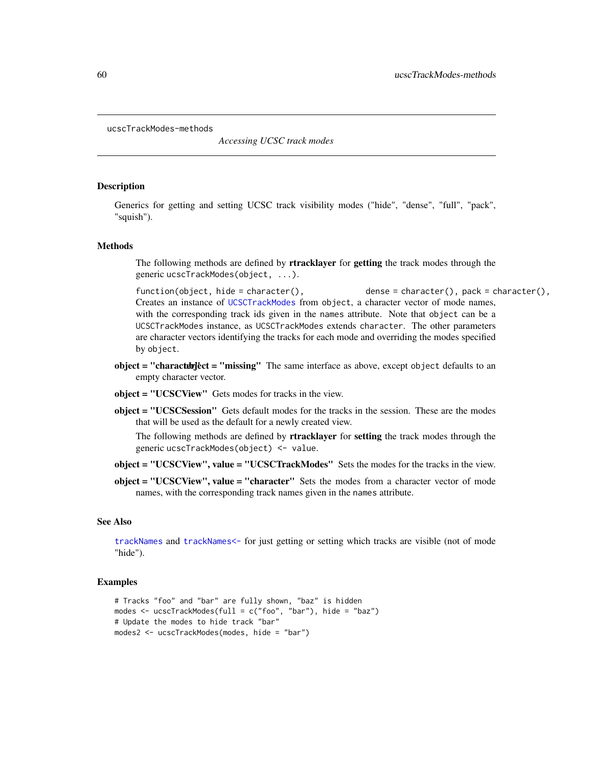<span id="page-59-1"></span>ucscTrackModes-methods

*Accessing UCSC track modes*

# <span id="page-59-0"></span>Description

Generics for getting and setting UCSC track visibility modes ("hide", "dense", "full", "pack", "squish").

# **Methods**

The following methods are defined by **rtracklayer** for **getting** the track modes through the generic ucscTrackModes(object, ...).

 $function(object, hide = character(),$  dense = character(), pack = character(), Creates an instance of [UCSCTrackModes](#page-58-0) from object, a character vector of mode names, with the corresponding track ids given in the names attribute. Note that object can be a UCSCTrackModes instance, as UCSCTrackModes extends character. The other parameters are character vectors identifying the tracks for each mode and overriding the modes specified by object.

**object = "characturizetict"** (The same interface as above, except object defaults to an empty character vector.

object = "UCSCView" Gets modes for tracks in the view.

object = "UCSCSession" Gets default modes for the tracks in the session. These are the modes that will be used as the default for a newly created view.

The following methods are defined by rtracklayer for setting the track modes through the generic ucscTrackModes(object) <- value.

- object = "UCSCView", value = "UCSCTrackModes" Sets the modes for the tracks in the view.
- $object = "UCSCView", value = "character" Sets the modes from a character vector of mode$ names, with the corresponding track names given in the names attribute.

# See Also

[trackNames](#page-46-0) and [trackNames<-](#page-46-0) for just getting or setting which tracks are visible (not of mode "hide").

# Examples

```
# Tracks "foo" and "bar" are fully shown, "baz" is hidden
modes <- ucscTrackModes(full = c("foo", "bar"), hide = "baz")
# Update the modes to hide track "bar"
modes2 <- ucscTrackModes(modes, hide = "bar")
```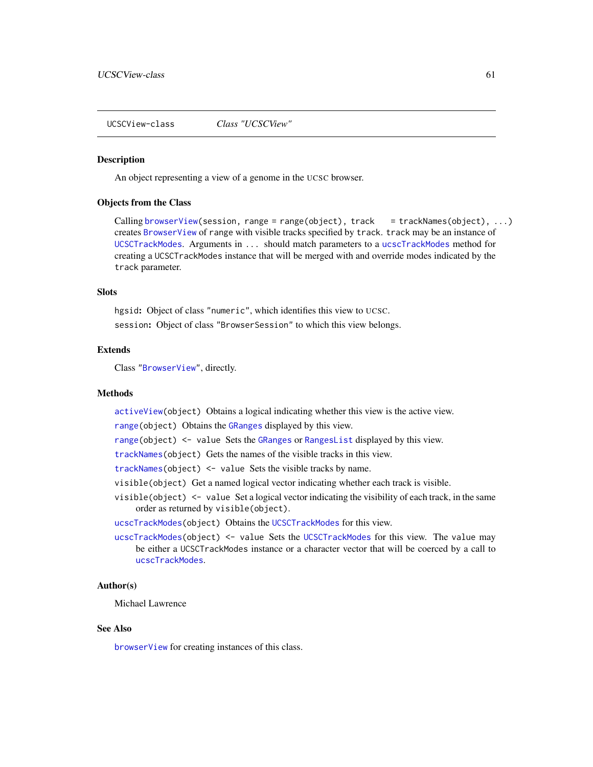<span id="page-60-1"></span><span id="page-60-0"></span>UCSCView-class *Class "UCSCView"*

# Description

An object representing a view of a genome in the UCSC browser.

#### Objects from the Class

Calling [browserView\(](#page-20-0)session, range = range(object), track = trackNames(object), ...) creates [BrowserView](#page-19-0) of range with visible tracks specified by track. track may be an instance of [UCSCTrackModes](#page-58-0). Arguments in ... should match parameters to a [ucscTrackModes](#page-59-0) method for creating a UCSCTrackModes instance that will be merged with and override modes indicated by the track parameter.

# **Slots**

hgsid: Object of class "numeric", which identifies this view to UCSC. session: Object of class "BrowserSession" to which this view belongs.

# Extends

Class ["BrowserView"](#page-19-0), directly.

# Methods

[activeView\(](#page-2-0)object) Obtains a logical indicating whether this view is the active view.

[range\(](#page-0-0)object) Obtains the [GRanges](#page-0-0) displayed by this view.

[range\(](#page-0-0)object) <- value Sets the [GRanges](#page-0-0) or [RangesList](#page-0-0) displayed by this view.

[trackNames\(](#page-46-0)object) Gets the names of the visible tracks in this view.

[trackNames\(](#page-46-0)object) <- value Sets the visible tracks by name.

- visible(object) Get a named logical vector indicating whether each track is visible.
- visible(object) <- value Set a logical vector indicating the visibility of each track, in the same order as returned by visible(object).
- [ucscTrackModes\(](#page-59-0)object) Obtains the [UCSCTrackModes](#page-58-0) for this view.
- [ucscTrackModes\(](#page-59-0)object) <- value Sets the [UCSCTrackModes](#page-58-0) for this view. The value may be either a UCSCTrackModes instance or a character vector that will be coerced by a call to [ucscTrackModes](#page-59-0).

# Author(s)

Michael Lawrence

# See Also

[browserView](#page-20-0) for creating instances of this class.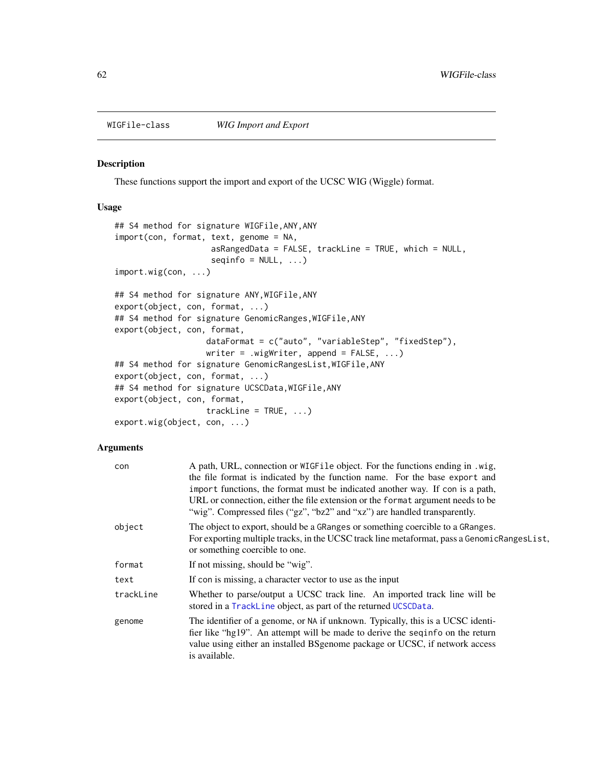<span id="page-61-1"></span><span id="page-61-0"></span>

#### Description

These functions support the import and export of the UCSC WIG (Wiggle) format.

# Usage

```
## S4 method for signature WIGFile,ANY,ANY
import(con, format, text, genome = NA,
                    asRangedData = FALSE, trackLine = TRUE, which = NULL,
                    seqinfo = NULL, ...)import.wig(con, ...)
## S4 method for signature ANY, WIGFile, ANY
export(object, con, format, ...)
## S4 method for signature GenomicRanges, WIGFile, ANY
export(object, con, format,
                   dataFormat = c("auto", "variableStep", "fixedStep"),
                   writer = .wigWriter, append = FALSE, ...)
## S4 method for signature GenomicRangesList,WIGFile,ANY
export(object, con, format, ...)
## S4 method for signature UCSCData, WIGFile, ANY
export(object, con, format,
                   trackLine = TRUE, ...export.wig(object, con, ...)
```
# Arguments

| con       | A path, URL, connection or WIGFile object. For the functions ending in .wig,<br>the file format is indicated by the function name. For the base export and<br>import functions, the format must be indicated another way. If con is a path,<br>URL or connection, either the file extension or the format argument needs to be<br>"wig". Compressed files ("gz", "bz2" and "xz") are handled transparently. |
|-----------|-------------------------------------------------------------------------------------------------------------------------------------------------------------------------------------------------------------------------------------------------------------------------------------------------------------------------------------------------------------------------------------------------------------|
| object    | The object to export, should be a GRanges or something coercible to a GRanges.<br>For exporting multiple tracks, in the UCSC track line metaformat, pass a GenomicRangesList,<br>or something coercible to one.                                                                                                                                                                                             |
| format    | If not missing, should be "wig".                                                                                                                                                                                                                                                                                                                                                                            |
| text      | If con is missing, a character vector to use as the input                                                                                                                                                                                                                                                                                                                                                   |
| trackLine | Whether to parse/output a UCSC track line. An imported track line will be<br>stored in a TrackLine object, as part of the returned UCSCData.                                                                                                                                                                                                                                                                |
| genome    | The identifier of a genome, or NA if unknown. Typically, this is a UCSC identi-<br>fier like "hg19". An attempt will be made to derive the sequation on the return<br>value using either an installed BSgenome package or UCSC, if network access<br>is available.                                                                                                                                          |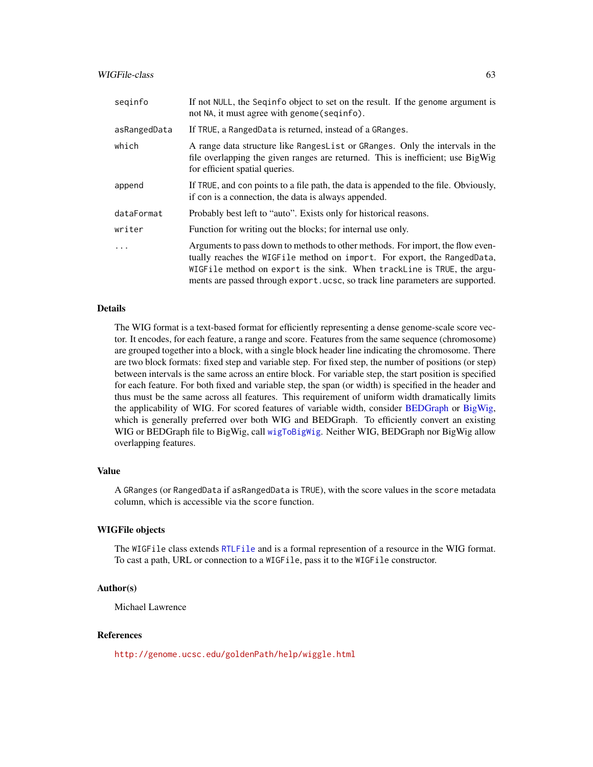| seginfo      | If not NULL, the Sequator object to set on the result. If the genome argument is<br>not NA, it must agree with genome (seqinfo).                                                                                                                                                                                       |
|--------------|------------------------------------------------------------------------------------------------------------------------------------------------------------------------------------------------------------------------------------------------------------------------------------------------------------------------|
| asRangedData | If TRUE, a RangedData is returned, instead of a GRanges.                                                                                                                                                                                                                                                               |
| which        | A range data structure like Ranges List or GRanges. Only the intervals in the<br>file overlapping the given ranges are returned. This is inefficient; use BigWig<br>for efficient spatial queries.                                                                                                                     |
| append       | If TRUE, and con points to a file path, the data is appended to the file. Obviously,<br>if con is a connection, the data is always appended.                                                                                                                                                                           |
| dataFormat   | Probably best left to "auto". Exists only for historical reasons.                                                                                                                                                                                                                                                      |
| writer       | Function for writing out the blocks; for internal use only.                                                                                                                                                                                                                                                            |
| $\cdot$      | Arguments to pass down to methods to other methods. For import, the flow even-<br>tually reaches the WIGFile method on import. For export, the RangedData,<br>WIGFile method on export is the sink. When trackLine is TRUE, the argu-<br>ments are passed through export.ucsc, so track line parameters are supported. |

#### Details

The WIG format is a text-based format for efficiently representing a dense genome-scale score vector. It encodes, for each feature, a range and score. Features from the same sequence (chromosome) are grouped together into a block, with a single block header line indicating the chromosome. There are two block formats: fixed step and variable step. For fixed step, the number of positions (or step) between intervals is the same across an entire block. For variable step, the start position is specified for each feature. For both fixed and variable step, the span (or width) is specified in the header and thus must be the same across all features. This requirement of uniform width dramatically limits the applicability of WIG. For scored features of variable width, consider [BEDGraph](#page-7-1) or [BigWig,](#page-11-1) which is generally preferred over both WIG and BEDGraph. To efficiently convert an existing WIG or BEDGraph file to BigWig, call [wigToBigWig](#page-64-0). Neither WIG, BEDGraph nor BigWig allow overlapping features.

# Value

A GRanges (or RangedData if asRangedData is TRUE), with the score values in the score metadata column, which is accessible via the score function.

# WIGFile objects

The WIGFile class extends [RTLFile](#page-41-0) and is a formal represention of a resource in the WIG format. To cast a path, URL or connection to a WIGFile, pass it to the WIGFile constructor.

# Author(s)

Michael Lawrence

# References

<http://genome.ucsc.edu/goldenPath/help/wiggle.html>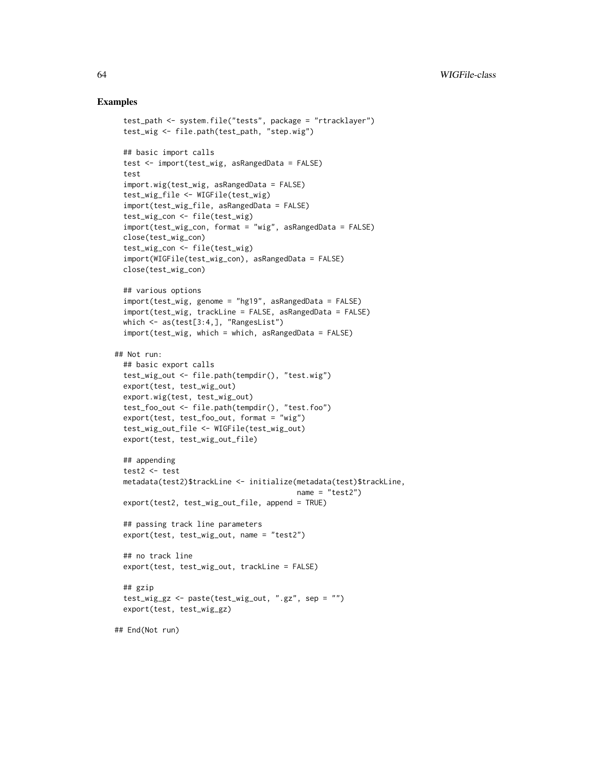# Examples

```
test_path <- system.file("tests", package = "rtracklayer")
 test_wig <- file.path(test_path, "step.wig")
 ## basic import calls
 test <- import(test_wig, asRangedData = FALSE)
 test
 import.wig(test_wig, asRangedData = FALSE)
 test_wig_file <- WIGFile(test_wig)
 import(test_wig_file, asRangedData = FALSE)
 test_wig_con <- file(test_wig)
 import(test_wig_con, format = "wig", asRangedData = FALSE)
 close(test_wig_con)
 test_wig_con <- file(test_wig)
 import(WIGFile(test_wig_con), asRangedData = FALSE)
 close(test_wig_con)
 ## various options
 import(test_wig, genome = "hg19", asRangedData = FALSE)
 import(test_wig, trackLine = FALSE, asRangedData = FALSE)
 which <- as(test[3:4,], "RangesList")
 import(test_wig, which = which, asRangedData = FALSE)
## Not run:
 ## basic export calls
 test_wig_out <- file.path(tempdir(), "test.wig")
 export(test, test_wig_out)
 export.wig(test, test_wig_out)
 test_foo_out <- file.path(tempdir(), "test.foo")
 export(test, test_foo_out, format = "wig")
 test_wig_out_file <- WIGFile(test_wig_out)
 export(test, test_wig_out_file)
 ## appending
 test2 <- test
 metadata(test2)$trackLine <- initialize(metadata(test)$trackLine,
                                          name = "test2")
 export(test2, test_wig_out_file, append = TRUE)
 ## passing track line parameters
 export(test, test_wig_out, name = "test2")
 ## no track line
 export(test, test_wig_out, trackLine = FALSE)
 ## gzip
 test_wig_gz <- paste(test_wig_out, ".gz", sep = "")
 export(test, test_wig_gz)
## End(Not run)
```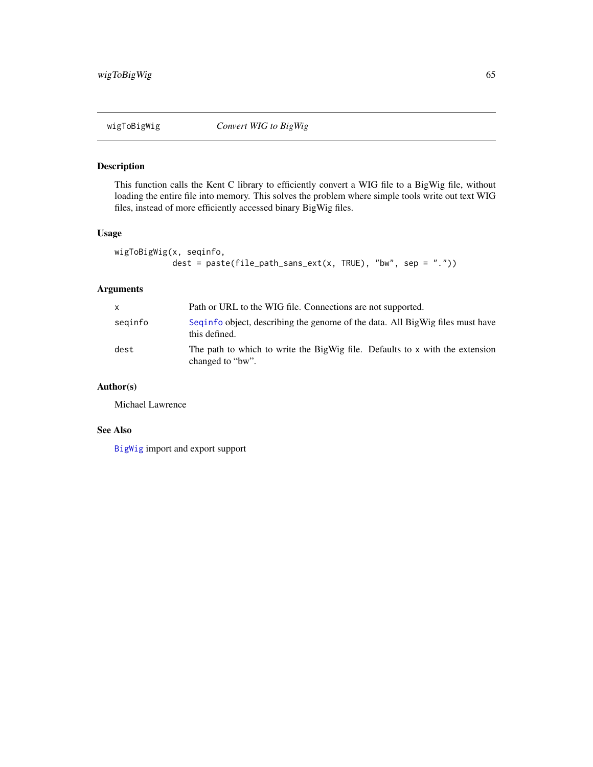<span id="page-64-0"></span>

# Description

This function calls the Kent C library to efficiently convert a WIG file to a BigWig file, without loading the entire file into memory. This solves the problem where simple tools write out text WIG files, instead of more efficiently accessed binary BigWig files.

# Usage

```
wigToBigWig(x, seqinfo,
            dest = paste(file_path_sans_ext(x, TRUE), "bw", sep = "."))
```
# Arguments

| X       | Path or URL to the WIG file. Connections are not supported.                                      |
|---------|--------------------------------------------------------------------------------------------------|
| seginfo | Sequal of the data. All BigWig files must have<br>this defined.                                  |
| dest    | The path to which to write the BigWig file. Defaults to x with the extension<br>changed to "bw". |

# Author(s)

Michael Lawrence

# See Also

[BigWig](#page-11-1) import and export support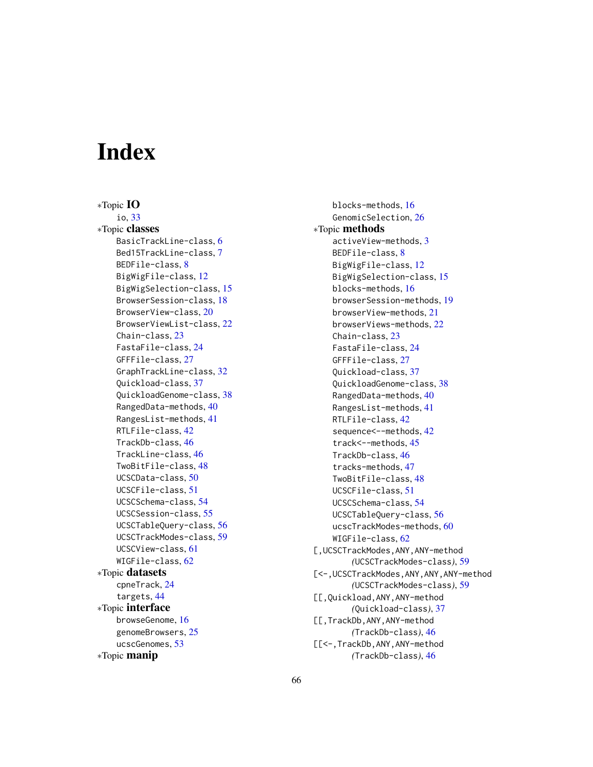# **Index**

∗Topic IO io, [33](#page-32-1) ∗Topic classes BasicTrackLine-class, [6](#page-5-1) Bed15TrackLine-class, [7](#page-6-0) BEDFile-class, [8](#page-7-2) BigWigFile-class, [12](#page-11-2) BigWigSelection-class, [15](#page-14-0) BrowserSession-class, [18](#page-17-1) BrowserView-class, [20](#page-19-1) BrowserViewList-class, [22](#page-21-1) Chain-class, [23](#page-22-0) FastaFile-class, [24](#page-23-0) GFFFile-class, [27](#page-26-2) GraphTrackLine-class, [32](#page-31-1) Quickload-class, [37](#page-36-1) QuickloadGenome-class, [38](#page-37-1) RangedData-methods, [40](#page-39-0) RangesList-methods, [41](#page-40-0) RTLFile-class, [42](#page-41-1) TrackDb-class, [46](#page-45-1) TrackLine-class, [46](#page-45-1) TwoBitFile-class, [48](#page-47-1) UCSCData-class, [50](#page-49-1) UCSCFile-class, [51](#page-50-1) UCSCSchema-class, [54](#page-53-1) UCSCSession-class, [55](#page-54-1) UCSCTableQuery-class, [56](#page-55-1) UCSCTrackModes-class, [59](#page-58-1) UCSCView-class, [61](#page-60-1) WIGFile-class, [62](#page-61-1) ∗Topic datasets cpneTrack, [24](#page-23-0) targets, [44](#page-43-0) ∗Topic interface browseGenome, [16](#page-15-0) genomeBrowsers, [25](#page-24-0) ucscGenomes, [53](#page-52-0) ∗Topic manip

blocks-methods, [16](#page-15-0) GenomicSelection, [26](#page-25-0) ∗Topic methods activeView-methods, [3](#page-2-1) BEDFile-class, [8](#page-7-2) BigWigFile-class, [12](#page-11-2) BigWigSelection-class, [15](#page-14-0) blocks-methods, [16](#page-15-0) browserSession-methods, [19](#page-18-1) browserView-methods, [21](#page-20-1) browserViews-methods, [22](#page-21-1) Chain-class, [23](#page-22-0) FastaFile-class, [24](#page-23-0) GFFFile-class, [27](#page-26-2) Quickload-class, [37](#page-36-1) QuickloadGenome-class, [38](#page-37-1) RangedData-methods, [40](#page-39-0) RangesList-methods, [41](#page-40-0) RTLFile-class, [42](#page-41-1) sequence<--methods, [42](#page-41-1) track<--methods, [45](#page-44-1) TrackDb-class, [46](#page-45-1) tracks-methods, [47](#page-46-1) TwoBitFile-class, [48](#page-47-1) UCSCFile-class, [51](#page-50-1) UCSCSchema-class, [54](#page-53-1) UCSCTableQuery-class, [56](#page-55-1) ucscTrackModes-methods, [60](#page-59-1) WIGFile-class, [62](#page-61-1) [,UCSCTrackModes,ANY,ANY-method *(*UCSCTrackModes-class*)*, [59](#page-58-1) [<-,UCSCTrackModes,ANY,ANY,ANY-method *(*UCSCTrackModes-class*)*, [59](#page-58-1) [[,Quickload,ANY,ANY-method *(*Quickload-class*)*, [37](#page-36-1) [[,TrackDb,ANY,ANY-method *(*TrackDb-class*)*, [46](#page-45-1) [[<-,TrackDb,ANY,ANY-method *(*TrackDb-class*)*, [46](#page-45-1)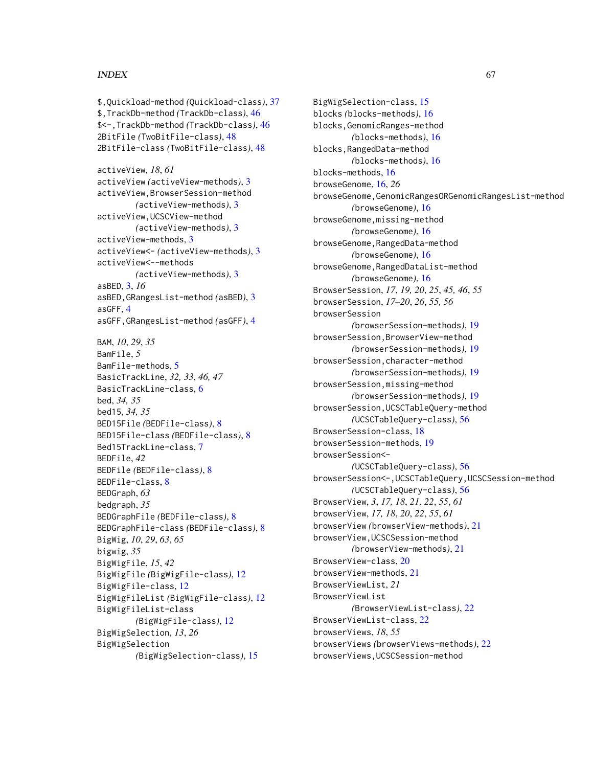# INDEX  $67$

\$,Quickload-method *(*Quickload-class*)*, [37](#page-36-1) \$,TrackDb-method *(*TrackDb-class*)*, [46](#page-45-1) \$<-,TrackDb-method *(*TrackDb-class*)*, [46](#page-45-1) 2BitFile *(*TwoBitFile-class*)*, [48](#page-47-1) 2BitFile-class *(*TwoBitFile-class*)*, [48](#page-47-1) activeView, *18*, *61* activeView *(*activeView-methods*)*, [3](#page-2-1) activeView,BrowserSession-method *(*activeView-methods*)*, [3](#page-2-1) activeView,UCSCView-method *(*activeView-methods*)*, [3](#page-2-1) activeView-methods, [3](#page-2-1) activeView<- *(*activeView-methods*)*, [3](#page-2-1) activeView<--methods *(*activeView-methods*)*, [3](#page-2-1) asBED, [3,](#page-2-1) *16* asBED,GRangesList-method *(*asBED*)*, [3](#page-2-1) asGFF, [4](#page-3-0) asGFF,GRangesList-method *(*asGFF*)*, [4](#page-3-0) BAM, *10*, *29*, *35* BamFile, *5* BamFile-methods, [5](#page-4-0) BasicTrackLine, *32, 33*, *46, 47* BasicTrackLine-class, [6](#page-5-1) bed, *34, 35* bed15, *34, 35* BED15File *(*BEDFile-class*)*, [8](#page-7-2) BED15File-class *(*BEDFile-class*)*, [8](#page-7-2) Bed15TrackLine-class, [7](#page-6-0) BEDFile, *42* BEDFile *(*BEDFile-class*)*, [8](#page-7-2) BEDFile-class, [8](#page-7-2) BEDGraph, *63* bedgraph, *35* BEDGraphFile *(*BEDFile-class*)*, [8](#page-7-2) BEDGraphFile-class *(*BEDFile-class*)*, [8](#page-7-2) BigWig, *10*, *29*, *63*, *65* bigwig, *35* BigWigFile, *15*, *42* BigWigFile *(*BigWigFile-class*)*, [12](#page-11-2) BigWigFile-class, [12](#page-11-2) BigWigFileList *(*BigWigFile-class*)*, [12](#page-11-2) BigWigFileList-class *(*BigWigFile-class*)*, [12](#page-11-2) BigWigSelection, *13*, *26* BigWigSelection *(*BigWigSelection-class*)*, [15](#page-14-0)

BigWigSelection-class, [15](#page-14-0) blocks *(*blocks-methods*)*, [16](#page-15-0) blocks,GenomicRanges-method *(*blocks-methods*)*, [16](#page-15-0) blocks,RangedData-method *(*blocks-methods*)*, [16](#page-15-0) blocks-methods, [16](#page-15-0) browseGenome, [16,](#page-15-0) *26* browseGenome,GenomicRangesORGenomicRangesList-method *(*browseGenome*)*, [16](#page-15-0) browseGenome,missing-method *(*browseGenome*)*, [16](#page-15-0) browseGenome, RangedData-method *(*browseGenome*)*, [16](#page-15-0) browseGenome,RangedDataList-method *(*browseGenome*)*, [16](#page-15-0) BrowserSession, *17*, *19, 20*, *25*, *45, 46*, *55* browserSession, *17–20*, *26*, *55, 56* browserSession *(*browserSession-methods*)*, [19](#page-18-1) browserSession,BrowserView-method *(*browserSession-methods*)*, [19](#page-18-1) browserSession,character-method *(*browserSession-methods*)*, [19](#page-18-1) browserSession,missing-method *(*browserSession-methods*)*, [19](#page-18-1) browserSession,UCSCTableQuery-method *(*UCSCTableQuery-class*)*, [56](#page-55-1) BrowserSession-class, [18](#page-17-1) browserSession-methods, [19](#page-18-1) browserSession<- *(*UCSCTableQuery-class*)*, [56](#page-55-1) browserSession<-,UCSCTableQuery,UCSCSession-method *(*UCSCTableQuery-class*)*, [56](#page-55-1) BrowserView, *3*, *17, 18*, *21, 22*, *55*, *61* browserView, *17, 18*, *20*, *22*, *55*, *61* browserView *(*browserView-methods*)*, [21](#page-20-1) browserView,UCSCSession-method *(*browserView-methods*)*, [21](#page-20-1) BrowserView-class, [20](#page-19-1) browserView-methods, [21](#page-20-1) BrowserViewList, *21* BrowserViewList *(*BrowserViewList-class*)*, [22](#page-21-1) BrowserViewList-class, [22](#page-21-1) browserViews, *18*, *55* browserViews *(*browserViews-methods*)*, [22](#page-21-1) browserViews,UCSCSession-method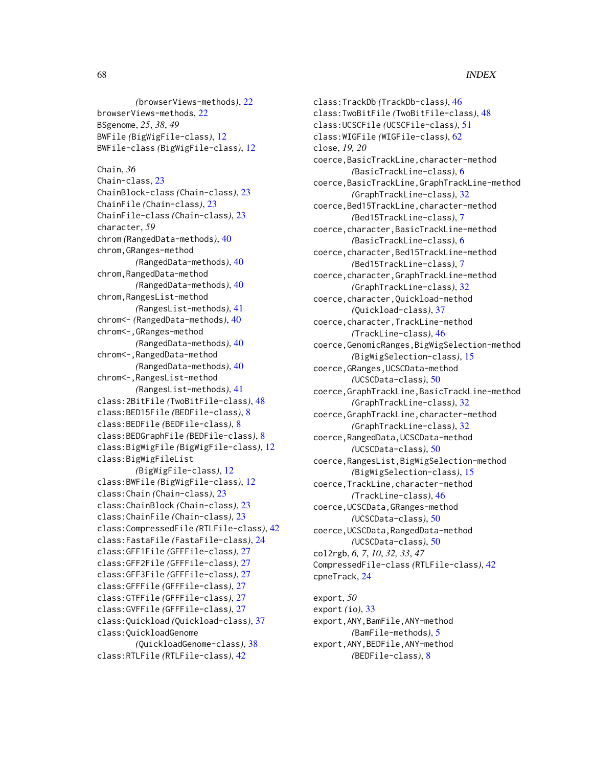```
(browserViews-methods), 22
browserViews-methods, 22
BSgenome, 25, 38, 49
BWFile (BigWigFile-class), 12
BWFile-class (BigWigFile-class), 12
Chain, 36
Chain-class, 23
ChainBlock-class (Chain-class), 23
ChainFile (Chain-class), 23
ChainFile-class (Chain-class), 23
character, 59
chrom (RangedData-methods), 40
chrom,GRanges-method
        (RangedData-methods), 40
chrom,RangedData-method
        (RangedData-methods), 40
chrom,RangesList-method
        (RangesList-methods), 41
chrom<- (RangedData-methods), 40
chrom<-,GRanges-method
        (RangedData-methods), 40
chrom <-, RangedData-method
        (RangedData-methods), 40
chrom<-,RangesList-method
        (RangesList-methods), 41
class:2BitFile (TwoBitFile-class), 48
class:BED15File (BEDFile-class), 8
class:BEDFile (BEDFile-class), 8
class:BEDGraphFile (BEDFile-class), 8
class:BigWigFile (BigWigFile-class), 12
class:BigWigFileList
        (BigWigFile-class), 12
class:BWFile (BigWigFile-class), 12
class:Chain (Chain-class), 23
class:ChainBlock (Chain-class), 23
class:ChainFile (Chain-class), 23
class:CompressedFile (RTLFile-class), 42
class:FastaFile (FastaFile-class), 24
class:GFF1File (GFFFile-class), 27
class:GFF2File (GFFFile-class), 27
class:GFF3File (GFFFile-class), 27
class:GFFFile (GFFFile-class), 27
class:GTFFile (GFFFile-class), 27
class:GVFFile (GFFFile-class), 27
class:Quickload (Quickload-class), 37
class:QuickloadGenome
        (QuickloadGenome-class), 38
class:RTLFile (RTLFile-class), 42
```

```
class:TrackDb (TrackDb-class), 46
class:TwoBitFile (TwoBitFile-class), 48
class:UCSCFile (UCSCFile-class), 51
class:WIGFile (WIGFile-class), 62
close, 19, 20
coerce,BasicTrackLine,character-method
        (BasicTrackLine-class), 6
coerce,BasicTrackLine,GraphTrackLine-method
        (GraphTrackLine-class), 32
coerce,Bed15TrackLine,character-method
        (Bed15TrackLine-class), 7
coerce, character, BasicTrackLine-method
        (BasicTrackLine-class), 6
coerce,character,Bed15TrackLine-method
        (Bed15TrackLine-class), 7
coerce,character,GraphTrackLine-method
        (GraphTrackLine-class), 32
coerce,character,Quickload-method
        (Quickload-class), 37
coerce,character,TrackLine-method
        (TrackLine-class), 46
coerce,GenomicRanges,BigWigSelection-method
        (BigWigSelection-class), 15
coerce,GRanges,UCSCData-method
        (UCSCData-class), 50
coerce,GraphTrackLine,BasicTrackLine-method
        (GraphTrackLine-class), 32
coerce,GraphTrackLine,character-method
        (GraphTrackLine-class), 32
coerce,RangedData,UCSCData-method
        (UCSCData-class), 50
coerce,RangesList,BigWigSelection-method
        (BigWigSelection-class), 15
coerce,TrackLine,character-method
        (TrackLine-class), 46
coerce,UCSCData,GRanges-method
        (UCSCData-class), 50
coerce,UCSCData,RangedData-method
        (UCSCData-class), 50
col2rgb, 6, 7, 10, 32, 33, 47
CompressedFile-class (RTLFile-class), 42
cpneTrack, 24
```
export, *50* export *(*io*)*, [33](#page-32-1) export,ANY,BamFile,ANY-method *(*BamFile-methods*)*, [5](#page-4-0) export,ANY,BEDFile,ANY-method *(*BEDFile-class*)*, [8](#page-7-2)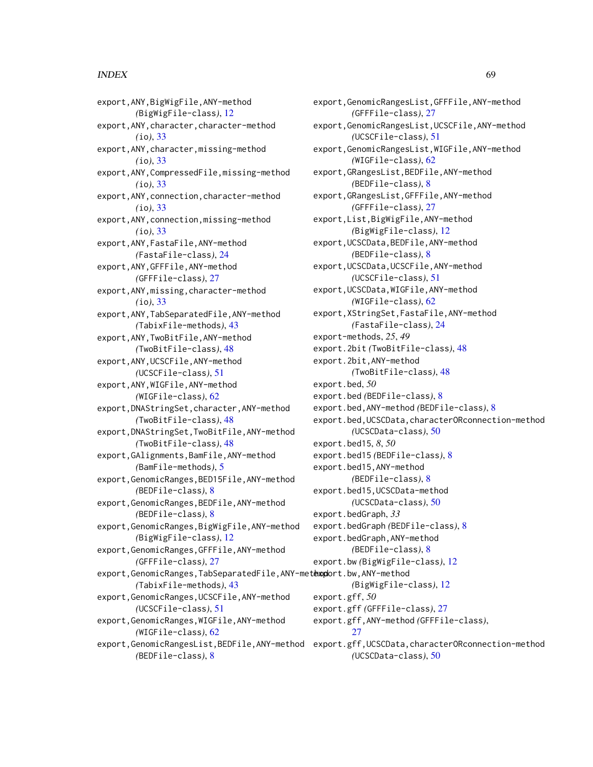# INDEX  $\sim$  69

export,ANY,BigWigFile,ANY-method *(*BigWigFile-class*)*, [12](#page-11-2) export,ANY,character,character-method *(*io*)*, [33](#page-32-1) export,ANY,character,missing-method *(*io*)*, [33](#page-32-1) export,ANY,CompressedFile,missing-method *(*io*)*, [33](#page-32-1) export,ANY,connection,character-method *(*io*)*, [33](#page-32-1) export,ANY,connection,missing-method *(*io*)*, [33](#page-32-1) export,ANY,FastaFile,ANY-method *(*FastaFile-class*)*, [24](#page-23-0) export,ANY,GFFFile,ANY-method *(*GFFFile-class*)*, [27](#page-26-2) export,ANY,missing,character-method *(*io*)*, [33](#page-32-1) export,ANY,TabSeparatedFile,ANY-method *(*TabixFile-methods*)*, [43](#page-42-0) export,ANY,TwoBitFile,ANY-method *(*TwoBitFile-class*)*, [48](#page-47-1) export,ANY,UCSCFile,ANY-method *(*UCSCFile-class*)*, [51](#page-50-1) export,ANY,WIGFile,ANY-method *(*WIGFile-class*)*, [62](#page-61-1) export,DNAStringSet,character,ANY-method *(*TwoBitFile-class*)*, [48](#page-47-1) export,DNAStringSet,TwoBitFile,ANY-method *(*TwoBitFile-class*)*, [48](#page-47-1) export,GAlignments,BamFile,ANY-method *(*BamFile-methods*)*, [5](#page-4-0) export,GenomicRanges,BED15File,ANY-method *(*BEDFile-class*)*, [8](#page-7-2) export,GenomicRanges,BEDFile,ANY-method *(*BEDFile-class*)*, [8](#page-7-2) export,GenomicRanges,BigWigFile,ANY-method *(*BigWigFile-class*)*, [12](#page-11-2) export,GenomicRanges,GFFFile,ANY-method *(*GFFFile-class*)*, [27](#page-26-2) export,GenomicRanges,TabSeparatedFile,ANY-metexpoort.bw,ANY-method *(*TabixFile-methods*)*, [43](#page-42-0) export,GenomicRanges,UCSCFile,ANY-method *(*UCSCFile-class*)*, [51](#page-50-1) export,GenomicRanges,WIGFile,ANY-method *(*WIGFile-class*)*, [62](#page-61-1) *(*BEDFile-class*)*, [8](#page-7-2)

export,GenomicRangesList,BEDFile,ANY-method export.gff,UCSCData,characterORconnection-method export,GenomicRangesList,GFFFile,ANY-method *(*GFFFile-class*)*, [27](#page-26-2) export,GenomicRangesList,UCSCFile,ANY-method *(*UCSCFile-class*)*, [51](#page-50-1) export,GenomicRangesList,WIGFile,ANY-method *(*WIGFile-class*)*, [62](#page-61-1) export,GRangesList,BEDFile,ANY-method *(*BEDFile-class*)*, [8](#page-7-2) export,GRangesList,GFFFile,ANY-method *(*GFFFile-class*)*, [27](#page-26-2) export,List,BigWigFile,ANY-method *(*BigWigFile-class*)*, [12](#page-11-2) export,UCSCData,BEDFile,ANY-method *(*BEDFile-class*)*, [8](#page-7-2) export,UCSCData,UCSCFile,ANY-method *(*UCSCFile-class*)*, [51](#page-50-1) export,UCSCData,WIGFile,ANY-method *(*WIGFile-class*)*, [62](#page-61-1) export,XStringSet,FastaFile,ANY-method *(*FastaFile-class*)*, [24](#page-23-0) export-methods, *25*, *49* export.2bit *(*TwoBitFile-class*)*, [48](#page-47-1) export.2bit,ANY-method *(*TwoBitFile-class*)*, [48](#page-47-1) export.bed, *50* export.bed *(*BEDFile-class*)*, [8](#page-7-2) export.bed,ANY-method *(*BEDFile-class*)*, [8](#page-7-2) export.bed,UCSCData,characterORconnection-method *(*UCSCData-class*)*, [50](#page-49-1) export.bed15, *8*, *50* export.bed15 *(*BEDFile-class*)*, [8](#page-7-2) export.bed15,ANY-method *(*BEDFile-class*)*, [8](#page-7-2) export.bed15,UCSCData-method *(*UCSCData-class*)*, [50](#page-49-1) export.bedGraph, *33* export.bedGraph *(*BEDFile-class*)*, [8](#page-7-2) export.bedGraph,ANY-method *(*BEDFile-class*)*, [8](#page-7-2) export.bw *(*BigWigFile-class*)*, [12](#page-11-2) *(*BigWigFile-class*)*, [12](#page-11-2) export.gff, *50* export.gff *(*GFFFile-class*)*, [27](#page-26-2) export.gff,ANY-method *(*GFFFile-class*)*, [27](#page-26-2) *(*UCSCData-class*)*, [50](#page-49-1)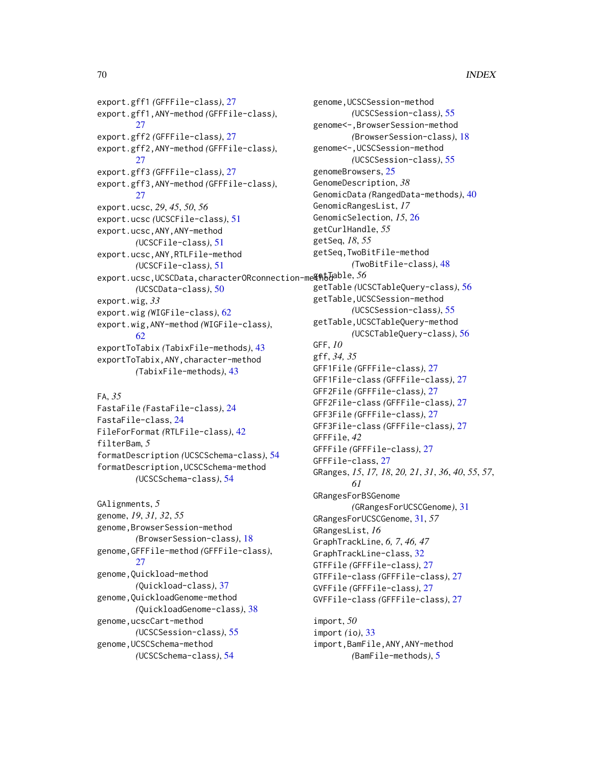export.gff1 *(*GFFFile-class*)*, [27](#page-26-2) export.gff1,ANY-method *(*GFFFile-class*)*, [27](#page-26-2) export.gff2 *(*GFFFile-class*)*, [27](#page-26-2) export.gff2,ANY-method *(*GFFFile-class*)*, [27](#page-26-2) export.gff3 *(*GFFFile-class*)*, [27](#page-26-2) export.gff3,ANY-method *(*GFFFile-class*)*,  $27$ export.ucsc, *29*, *45*, *50*, *56* export.ucsc *(*UCSCFile-class*)*, [51](#page-50-1) export.ucsc,ANY,ANY-method *(*UCSCFile-class*)*, [51](#page-50-1) export.ucsc,ANY,RTLFile-method *(*UCSCFile-class*)*, [51](#page-50-1) export.ucsc,UCSCData,characterORconnection-me<del>&β</del>bJable,*56 (*UCSCData-class*)*, [50](#page-49-1) export.wig, *33* export.wig *(*WIGFile-class*)*, [62](#page-61-1) export.wig,ANY-method *(*WIGFile-class*)*, [62](#page-61-1) exportToTabix *(*TabixFile-methods*)*, [43](#page-42-0) exportToTabix,ANY,character-method *(*TabixFile-methods*)*, [43](#page-42-0)

#### FA, *35*

FastaFile *(*FastaFile-class*)*, [24](#page-23-0) FastaFile-class, [24](#page-23-0) FileForFormat *(*RTLFile-class*)*, [42](#page-41-1) filterBam, *5* formatDescription *(*UCSCSchema-class*)*, [54](#page-53-1) formatDescription,UCSCSchema-method *(*UCSCSchema-class*)*, [54](#page-53-1)

GAlignments, *5* genome, *19*, *31, 32*, *55* genome,BrowserSession-method *(*BrowserSession-class*)*, [18](#page-17-1) genome,GFFFile-method *(*GFFFile-class*)*, [27](#page-26-2) genome,Quickload-method *(*Quickload-class*)*, [37](#page-36-1) genome,QuickloadGenome-method *(*QuickloadGenome-class*)*, [38](#page-37-1) genome,ucscCart-method *(*UCSCSession-class*)*, [55](#page-54-1) genome,UCSCSchema-method *(*UCSCSchema-class*)*, [54](#page-53-1)

genome,UCSCSession-method *(*UCSCSession-class*)*, [55](#page-54-1) genome<-,BrowserSession-method *(*BrowserSession-class*)*, [18](#page-17-1) genome<-,UCSCSession-method *(*UCSCSession-class*)*, [55](#page-54-1) genomeBrowsers, [25](#page-24-0) GenomeDescription, *38* GenomicData *(*RangedData-methods*)*, [40](#page-39-0) GenomicRangesList, *17* GenomicSelection, *15*, [26](#page-25-0) getCurlHandle, *55* getSeq, *18*, *55* getSeq,TwoBitFile-method *(*TwoBitFile-class*)*, [48](#page-47-1) getTable *(*UCSCTableQuery-class*)*, [56](#page-55-1) getTable,UCSCSession-method *(*UCSCSession-class*)*, [55](#page-54-1) getTable,UCSCTableQuery-method *(*UCSCTableQuery-class*)*, [56](#page-55-1) GFF, *10* gff, *34, 35* GFF1File *(*GFFFile-class*)*, [27](#page-26-2) GFF1File-class *(*GFFFile-class*)*, [27](#page-26-2) GFF2File *(*GFFFile-class*)*, [27](#page-26-2) GFF2File-class *(*GFFFile-class*)*, [27](#page-26-2) GFF3File *(*GFFFile-class*)*, [27](#page-26-2) GFF3File-class *(*GFFFile-class*)*, [27](#page-26-2) GFFFile, *42* GFFFile *(*GFFFile-class*)*, [27](#page-26-2) GFFFile-class, [27](#page-26-2) GRanges, *15*, *17, 18*, *20, 21*, *31*, *36*, *40*, *55*, *57*, *61* GRangesForBSGenome *(*GRangesForUCSCGenome*)*, [31](#page-30-1) GRangesForUCSCGenome, [31,](#page-30-1) *57* GRangesList, *16* GraphTrackLine, *6, 7*, *46, 47* GraphTrackLine-class, [32](#page-31-1) GTFFile *(*GFFFile-class*)*, [27](#page-26-2) GTFFile-class *(*GFFFile-class*)*, [27](#page-26-2) GVFFile *(*GFFFile-class*)*, [27](#page-26-2) GVFFile-class *(*GFFFile-class*)*, [27](#page-26-2) import, *50*

import *(*io*)*, [33](#page-32-1) import,BamFile,ANY,ANY-method *(*BamFile-methods*)*, [5](#page-4-0)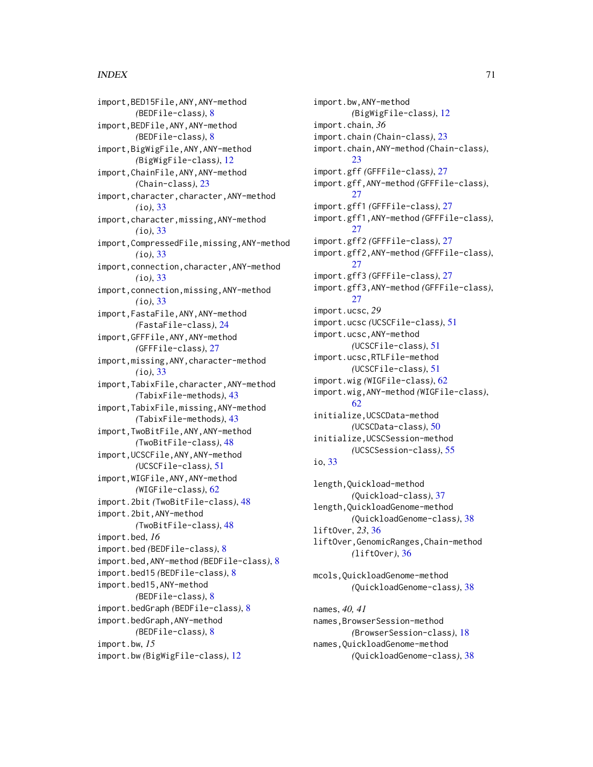# $I<sub>N</sub>$  in  $I<sub>1</sub>$  is  $I<sub>2</sub>$  in  $I<sub>3</sub>$  in  $I<sub>4</sub>$  in  $I<sub>5</sub>$  in  $I<sub>6</sub>$  in  $I<sub>7</sub>$  in  $I<sub>8</sub>$  in  $I<sub>9</sub>$  in  $I<sub>9</sub>$  in  $I<sub>9</sub>$  in  $I<sub>9</sub>$  in  $I<sub>9</sub>$  in  $I<sub>9</sub>$  in  $I<sub>9</sub>$  i

import,BED15File,ANY,ANY-method *(*BEDFile-class*)*, [8](#page-7-2) import,BEDFile,ANY,ANY-method *(*BEDFile-class*)*, [8](#page-7-2) import,BigWigFile,ANY,ANY-method *(*BigWigFile-class*)*, [12](#page-11-2) import,ChainFile,ANY,ANY-method *(*Chain-class*)*, [23](#page-22-0) import,character,character,ANY-method *(*io*)*, [33](#page-32-1) import,character,missing,ANY-method *(*io*)*, [33](#page-32-1) import,CompressedFile,missing,ANY-method *(*io*)*, [33](#page-32-1) import,connection,character,ANY-method *(*io*)*, [33](#page-32-1) import,connection,missing,ANY-method *(*io*)*, [33](#page-32-1) import,FastaFile,ANY,ANY-method *(*FastaFile-class*)*, [24](#page-23-0) import,GFFFile,ANY,ANY-method *(*GFFFile-class*)*, [27](#page-26-2) import,missing,ANY,character-method *(*io*)*, [33](#page-32-1) import,TabixFile,character,ANY-method *(*TabixFile-methods*)*, [43](#page-42-0) import,TabixFile,missing,ANY-method *(*TabixFile-methods*)*, [43](#page-42-0) import,TwoBitFile,ANY,ANY-method *(*TwoBitFile-class*)*, [48](#page-47-1) import,UCSCFile,ANY,ANY-method *(*UCSCFile-class*)*, [51](#page-50-1) import,WIGFile,ANY,ANY-method *(*WIGFile-class*)*, [62](#page-61-1) import.2bit *(*TwoBitFile-class*)*, [48](#page-47-1) import.2bit,ANY-method *(*TwoBitFile-class*)*, [48](#page-47-1) import.bed, *16* import.bed *(*BEDFile-class*)*, [8](#page-7-2) import.bed,ANY-method *(*BEDFile-class*)*, [8](#page-7-2) import.bed15 *(*BEDFile-class*)*, [8](#page-7-2) import.bed15,ANY-method *(*BEDFile-class*)*, [8](#page-7-2) import.bedGraph *(*BEDFile-class*)*, [8](#page-7-2) import.bedGraph,ANY-method *(*BEDFile-class*)*, [8](#page-7-2) import.bw, *15* import.bw *(*BigWigFile-class*)*, [12](#page-11-2)

import.bw,ANY-method *(*BigWigFile-class*)*, [12](#page-11-2) import.chain, *36* import.chain *(*Chain-class*)*, [23](#page-22-0) import.chain,ANY-method *(*Chain-class*)*,  $23$ import.gff *(*GFFFile-class*)*, [27](#page-26-2) import.gff,ANY-method *(*GFFFile-class*)*, [27](#page-26-2) import.gff1 *(*GFFFile-class*)*, [27](#page-26-2) import.gff1,ANY-method *(*GFFFile-class*)*, [27](#page-26-2) import.gff2 *(*GFFFile-class*)*, [27](#page-26-2) import.gff2,ANY-method *(*GFFFile-class*)*,  $27$ import.gff3 *(*GFFFile-class*)*, [27](#page-26-2) import.gff3,ANY-method *(*GFFFile-class*)*, [27](#page-26-2) import.ucsc, *29* import.ucsc *(*UCSCFile-class*)*, [51](#page-50-1) import.ucsc,ANY-method *(*UCSCFile-class*)*, [51](#page-50-1) import.ucsc,RTLFile-method *(*UCSCFile-class*)*, [51](#page-50-1) import.wig *(*WIGFile-class*)*, [62](#page-61-1) import.wig,ANY-method *(*WIGFile-class*)*, [62](#page-61-1) initialize,UCSCData-method *(*UCSCData-class*)*, [50](#page-49-1) initialize,UCSCSession-method *(*UCSCSession-class*)*, [55](#page-54-1) io, [33](#page-32-1)

length,Quickload-method *(*Quickload-class*)*, [37](#page-36-1) length,QuickloadGenome-method *(*QuickloadGenome-class*)*, [38](#page-37-1) liftOver, *23*, [36](#page-35-0) liftOver,GenomicRanges,Chain-method *(*liftOver*)*, [36](#page-35-0)

mcols,QuickloadGenome-method *(*QuickloadGenome-class*)*, [38](#page-37-1)

names, *40, 41* names,BrowserSession-method *(*BrowserSession-class*)*, [18](#page-17-1) names,QuickloadGenome-method *(*QuickloadGenome-class*)*, [38](#page-37-1)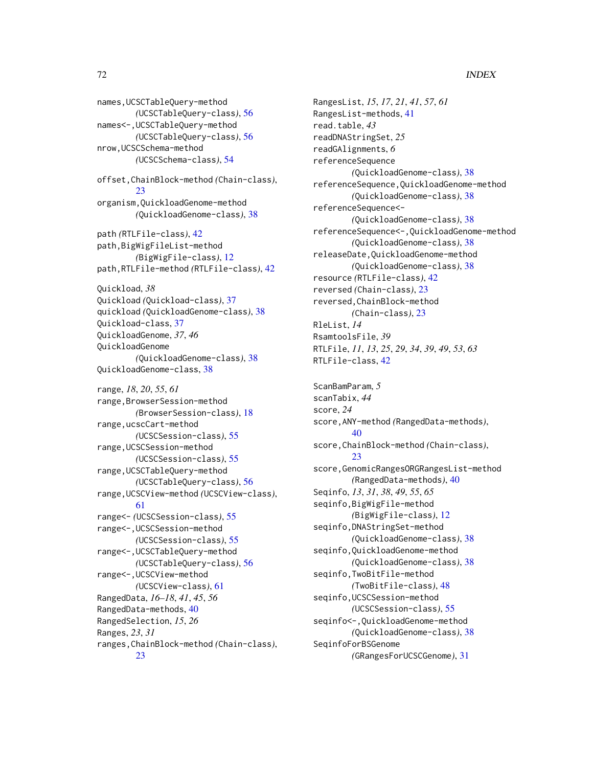names,UCSCTableQuery-method *(*UCSCTableQuery-class*)*, [56](#page-55-1) names<-,UCSCTableQuery-method *(*UCSCTableQuery-class*)*, [56](#page-55-1) nrow,UCSCSchema-method *(*UCSCSchema-class*)*, [54](#page-53-1) offset,ChainBlock-method *(*Chain-class*)*,  $23$ organism,QuickloadGenome-method *(*QuickloadGenome-class*)*, [38](#page-37-1) path *(*RTLFile-class*)*, [42](#page-41-1) path,BigWigFileList-method *(*BigWigFile-class*)*, [12](#page-11-2) path,RTLFile-method *(*RTLFile-class*)*, [42](#page-41-1) Quickload, *38* Quickload *(*Quickload-class*)*, [37](#page-36-1) quickload *(*QuickloadGenome-class*)*, [38](#page-37-1) Quickload-class, [37](#page-36-1) QuickloadGenome, *37*, *46* QuickloadGenome *(*QuickloadGenome-class*)*, [38](#page-37-1) QuickloadGenome-class, [38](#page-37-1) range, *18*, *20*, *55*, *61* range,BrowserSession-method *(*BrowserSession-class*)*, [18](#page-17-1) range,ucscCart-method *(*UCSCSession-class*)*, [55](#page-54-1) range,UCSCSession-method *(*UCSCSession-class*)*, [55](#page-54-1) range,UCSCTableQuery-method *(*UCSCTableQuery-class*)*, [56](#page-55-1) range,UCSCView-method *(*UCSCView-class*)*, [61](#page-60-1) range<- *(*UCSCSession-class*)*, [55](#page-54-1) range<-,UCSCSession-method *(*UCSCSession-class*)*, [55](#page-54-1) range<-,UCSCTableQuery-method *(*UCSCTableQuery-class*)*, [56](#page-55-1) range<-,UCSCView-method *(*UCSCView-class*)*, [61](#page-60-1) RangedData, *16–18*, *41*, *45*, *56* RangedData-methods, [40](#page-39-0) RangedSelection, *15*, *26* Ranges, *23*, *31* ranges,ChainBlock-method *(*Chain-class*)*, [23](#page-22-0)

RangesList, *15*, *17*, *21*, *41*, *57*, *61* RangesList-methods, [41](#page-40-0) read.table, *43* readDNAStringSet, *25* readGAlignments, *6* referenceSequence *(*QuickloadGenome-class*)*, [38](#page-37-1) referenceSequence,QuickloadGenome-method *(*QuickloadGenome-class*)*, [38](#page-37-1) referenceSequence<- *(*QuickloadGenome-class*)*, [38](#page-37-1) referenceSequence<-,QuickloadGenome-method *(*QuickloadGenome-class*)*, [38](#page-37-1) releaseDate,QuickloadGenome-method *(*QuickloadGenome-class*)*, [38](#page-37-1) resource *(*RTLFile-class*)*, [42](#page-41-1) reversed *(*Chain-class*)*, [23](#page-22-0) reversed,ChainBlock-method *(*Chain-class*)*, [23](#page-22-0) RleList, *14* RsamtoolsFile, *39* RTLFile, *11*, *13*, *25*, *29*, *34*, *39*, *49*, *53*, *63* RTLFile-class, [42](#page-41-1) ScanBamParam, *5* scanTabix, *44* score, *24* score,ANY-method *(*RangedData-methods*)*, [40](#page-39-0) score,ChainBlock-method *(*Chain-class*)*,  $23$ score, GenomicRangesORGRangesList-method *(*RangedData-methods*)*, [40](#page-39-0) Seqinfo, *13*, *31*, *38*, *49*, *55*, *65* seqinfo,BigWigFile-method *(*BigWigFile-class*)*, [12](#page-11-2) seqinfo,DNAStringSet-method *(*QuickloadGenome-class*)*, [38](#page-37-1) seqinfo,QuickloadGenome-method *(*QuickloadGenome-class*)*, [38](#page-37-1) seqinfo,TwoBitFile-method *(*TwoBitFile-class*)*, [48](#page-47-1) seqinfo,UCSCSession-method *(*UCSCSession-class*)*, [55](#page-54-1) seqinfo<-,QuickloadGenome-method *(*QuickloadGenome-class*)*, [38](#page-37-1)

SeqinfoForBSGenome

*(*GRangesForUCSCGenome*)*, [31](#page-30-1)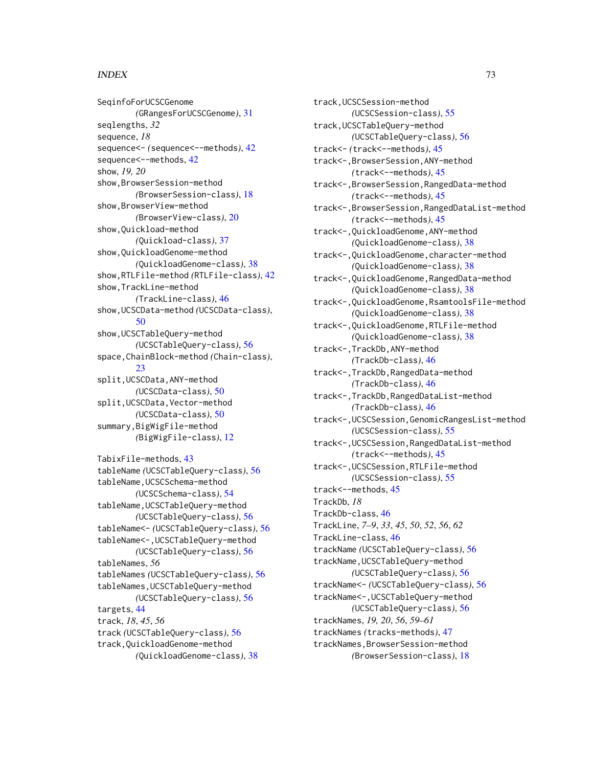## $I<sub>N</sub>$   $I<sub>3</sub>$   $I<sub>3</sub>$   $I<sub>4</sub>$   $I<sub>5</sub>$   $I<sub>6</sub>$   $I<sub>7</sub>$   $I<sub>8</sub>$   $I<sub>9</sub>$   $I<sub>9</sub>$   $I<sub>9</sub>$   $I<sub>9</sub>$   $I<sub>9</sub>$   $I<sub>9</sub>$   $I<sub>9</sub>$   $I<sub>9</sub>$   $I<sub>9</sub>$   $I<sub>9</sub>$   $I<sub>9</sub>$   $I<sub>9</sub>$   $I$

SeqinfoForUCSCGenome *(*GRangesForUCSCGenome*)*, [31](#page-30-0) seqlengths, *32* sequence, *18* sequence<- *(*sequence<--methods*)*, [42](#page-41-0) sequence<--methods, [42](#page-41-0) show, *19, 20* show,BrowserSession-method *(*BrowserSession-class*)*, [18](#page-17-0) show,BrowserView-method *(*BrowserView-class*)*, [20](#page-19-0) show,Quickload-method *(*Quickload-class*)*, [37](#page-36-0) show,QuickloadGenome-method *(*QuickloadGenome-class*)*, [38](#page-37-0) show,RTLFile-method *(*RTLFile-class*)*, [42](#page-41-0) show,TrackLine-method *(*TrackLine-class*)*, [46](#page-45-0) show,UCSCData-method *(*UCSCData-class*)*, [50](#page-49-0) show,UCSCTableQuery-method *(*UCSCTableQuery-class*)*, [56](#page-55-0) space,ChainBlock-method *(*Chain-class*)*, [23](#page-22-0) split,UCSCData,ANY-method *(*UCSCData-class*)*, [50](#page-49-0) split,UCSCData,Vector-method *(*UCSCData-class*)*, [50](#page-49-0) summary,BigWigFile-method *(*BigWigFile-class*)*, [12](#page-11-0) TabixFile-methods, [43](#page-42-0) tableName *(*UCSCTableQuery-class*)*, [56](#page-55-0) tableName,UCSCSchema-method *(*UCSCSchema-class*)*, [54](#page-53-0) tableName,UCSCTableQuery-method *(*UCSCTableQuery-class*)*, [56](#page-55-0)

tableName<- *(*UCSCTableQuery-class*)*, [56](#page-55-0) tableName<-,UCSCTableQuery-method *(*UCSCTableQuery-class*)*, [56](#page-55-0) tableNames, *56* tableNames *(*UCSCTableQuery-class*)*, [56](#page-55-0) tableNames,UCSCTableQuery-method *(*UCSCTableQuery-class*)*, [56](#page-55-0) targets, [44](#page-43-0) track, *18*, *45*, *56* track *(*UCSCTableQuery-class*)*, [56](#page-55-0) track,QuickloadGenome-method *(*QuickloadGenome-class*)*, [38](#page-37-0)

track,UCSCSession-method *(*UCSCSession-class*)*, [55](#page-54-0) track,UCSCTableQuery-method *(*UCSCTableQuery-class*)*, [56](#page-55-0) track<- *(*track<--methods*)*, [45](#page-44-0) track<-,BrowserSession,ANY-method *(*track<--methods*)*, [45](#page-44-0) track<-,BrowserSession,RangedData-method *(*track<--methods*)*, [45](#page-44-0) track<-,BrowserSession,RangedDataList-method *(*track<--methods*)*, [45](#page-44-0) track<-,QuickloadGenome,ANY-method *(*QuickloadGenome-class*)*, [38](#page-37-0) track<-,QuickloadGenome,character-method *(*QuickloadGenome-class*)*, [38](#page-37-0) track<-,QuickloadGenome,RangedData-method *(*QuickloadGenome-class*)*, [38](#page-37-0) track<-,QuickloadGenome,RsamtoolsFile-method *(*QuickloadGenome-class*)*, [38](#page-37-0) track<-,QuickloadGenome,RTLFile-method *(*QuickloadGenome-class*)*, [38](#page-37-0) track<-,TrackDb,ANY-method *(*TrackDb-class*)*, [46](#page-45-0) track<-,TrackDb,RangedData-method *(*TrackDb-class*)*, [46](#page-45-0) track<-,TrackDb,RangedDataList-method *(*TrackDb-class*)*, [46](#page-45-0) track<-,UCSCSession,GenomicRangesList-method *(*UCSCSession-class*)*, [55](#page-54-0) track<-,UCSCSession,RangedDataList-method *(*track<--methods*)*, [45](#page-44-0) track<-,UCSCSession,RTLFile-method *(*UCSCSession-class*)*, [55](#page-54-0) track<--methods, [45](#page-44-0) TrackDb, *18* TrackDb-class, [46](#page-45-0) TrackLine, *7–9*, *33*, *45*, *50*, *52*, *56*, *62* TrackLine-class, [46](#page-45-0) trackName *(*UCSCTableQuery-class*)*, [56](#page-55-0) trackName,UCSCTableQuery-method *(*UCSCTableQuery-class*)*, [56](#page-55-0) trackName<- *(*UCSCTableQuery-class*)*, [56](#page-55-0) trackName<-,UCSCTableQuery-method *(*UCSCTableQuery-class*)*, [56](#page-55-0) trackNames, *19, 20*, *56*, *59–61* trackNames *(*tracks-methods*)*, [47](#page-46-0) trackNames,BrowserSession-method *(*BrowserSession-class*)*, [18](#page-17-0)